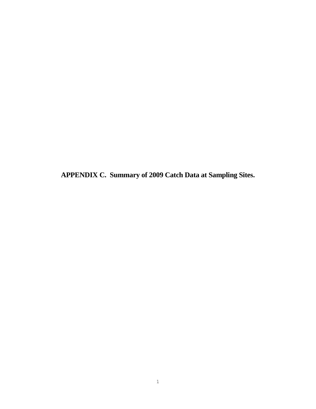**APPENDIX C. Summary of 2009 Catch Data at Sampling Sites.**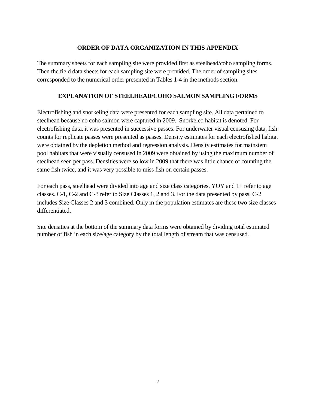### **ORDER OF DATA ORGANIZATION IN THIS APPENDIX**

The summary sheets for each sampling site were provided first as steelhead/coho sampling forms. Then the field data sheets for each sampling site were provided. The order of sampling sites corresponded to the numerical order presented in Tables 1-4 in the methods section.

### **EXPLANATION OF STEELHEAD/COHO SALMON SAMPLING FORMS**

Electrofishing and snorkeling data were presented for each sampling site. All data pertained to steelhead because no coho salmon were captured in 2009. Snorkeled habitat is denoted. For electrofishing data, it was presented in successive passes. For underwater visual censusing data, fish counts for replicate passes were presented as passes. Density estimates for each electrofished habitat were obtained by the depletion method and regression analysis. Density estimates for mainstem pool habitats that were visually censused in 2009 were obtained by using the maximum number of steelhead seen per pass. Densities were so low in 2009 that there was little chance of counting the same fish twice, and it was very possible to miss fish on certain passes.

For each pass, steelhead were divided into age and size class categories. YOY and 1+ refer to age classes. C-1, C-2 and C-3 refer to Size Classes 1, 2 and 3. For the data presented by pass, C-2 includes Size Classes 2 and 3 combined. Only in the population estimates are these two size classes differentiated.

Site densities at the bottom of the summary data forms were obtained by dividing total estimated number of fish in each size/age category by the total length of stream that was censused.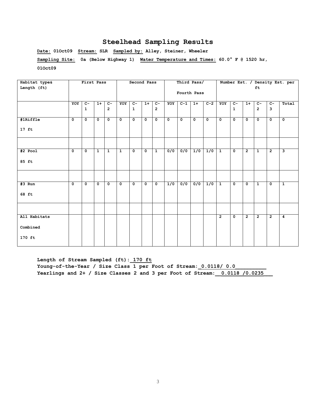**Date: 01Oct09 Stream: SLR Sampled by: Alley, Steiner, Wheeler Sampling Site: 0a (Below Highway 1) Water Temperature and Times: 60.0° F @ 1520 hr, 01Oct09** 

| Habitat type& |             | First Pass           |              |                |              | Second Pass  |             |                |              | Third Pass/      |                  |             |                |                |                |                |                | Number Est. / Density Est. per |
|---------------|-------------|----------------------|--------------|----------------|--------------|--------------|-------------|----------------|--------------|------------------|------------------|-------------|----------------|----------------|----------------|----------------|----------------|--------------------------------|
| Length (ft)   |             |                      |              |                |              |              |             |                |              |                  |                  |             |                |                |                | ft             |                |                                |
|               |             |                      |              |                |              |              |             |                |              | Fourth Pass      |                  |             |                |                |                |                |                |                                |
|               |             |                      |              |                |              |              |             |                |              |                  |                  |             |                |                |                |                |                |                                |
|               | YOY         | $\overline{c}$       | $1+$         | $C-$           | YOY          | $C -$        | $1+$        | $C-$           | YOY          | $C-1$            | $1+$             | $C-2$       | YOY            | $\overline{c}$ | $1+$           | $\overline{c}$ | $C -$          | Total                          |
|               |             | $\mathbf{1}$         |              | $\overline{2}$ |              | $\mathbf{1}$ |             | $\overline{2}$ |              |                  |                  |             |                | $\mathbf{1}$   |                | $\overline{2}$ | $\overline{3}$ |                                |
|               |             |                      |              |                |              |              |             |                |              |                  |                  |             |                |                |                |                |                |                                |
| #1Riffle      | $\mathbf 0$ | $\overline{\bullet}$ | $\mathbf 0$  | $\mathbf 0$    | $\mathbf{o}$ | $\mathbf 0$  | $\mathbf 0$ | $\mathbf 0$    | $\mathbf{o}$ | $\mathbf 0$      | $\mathbf 0$      | $\mathbf 0$ | $\mathbf{o}$   | $\mathbf 0$    | $\mathbf 0$    | $\mathbf 0$    | $\mathbf 0$    | $\mathbf 0$                    |
|               |             |                      |              |                |              |              |             |                |              |                  |                  |             |                |                |                |                |                |                                |
| $17$ ft       |             |                      |              |                |              |              |             |                |              |                  |                  |             |                |                |                |                |                |                                |
|               |             |                      |              |                |              |              |             |                |              |                  |                  |             |                |                |                |                |                |                                |
|               |             |                      |              |                |              |              |             |                |              |                  |                  |             |                |                |                |                |                |                                |
|               |             |                      |              |                |              |              |             |                |              |                  |                  |             |                |                |                |                |                |                                |
| #2 Pool       | $\mathbf 0$ | $\mathbf 0$          | $\mathbf{1}$ | $\mathbf{1}$   | $\mathbf{1}$ | $\mathbf{0}$ | $\mathbf 0$ | $\mathbf{1}$   | 0/0          | 0/0              | 1/0              | 1/0         | $\mathbf{1}$   | $\mathbf{0}$   | $\overline{2}$ | $\mathbf{1}$   | $\overline{2}$ | $\overline{\mathbf{3}}$        |
|               |             |                      |              |                |              |              |             |                |              |                  |                  |             |                |                |                |                |                |                                |
| 85 ft         |             |                      |              |                |              |              |             |                |              |                  |                  |             |                |                |                |                |                |                                |
|               |             |                      |              |                |              |              |             |                |              |                  |                  |             |                |                |                |                |                |                                |
|               |             |                      |              |                |              |              |             |                |              |                  |                  |             |                |                |                |                |                |                                |
|               |             |                      |              |                |              |              |             |                |              |                  |                  |             |                |                |                |                |                |                                |
| $#3$ Run      | $\mathbf 0$ | $\mathbf{o}$         | $\mathbf 0$  | $\mathbf{o}$   | $\mathbf{o}$ | $\mathbf 0$  | $\mathbf 0$ | $\mathbf 0$    | 1/0          | $\overline{0/0}$ | $\overline{0/0}$ | 1/0         | $\mathbf{1}$   | $\mathbf 0$    | $\mathbf 0$    | $\mathbf{1}$   | $\mathbf 0$    | $\mathbf{1}$                   |
|               |             |                      |              |                |              |              |             |                |              |                  |                  |             |                |                |                |                |                |                                |
| 68 ft         |             |                      |              |                |              |              |             |                |              |                  |                  |             |                |                |                |                |                |                                |
|               |             |                      |              |                |              |              |             |                |              |                  |                  |             |                |                |                |                |                |                                |
|               |             |                      |              |                |              |              |             |                |              |                  |                  |             |                |                |                |                |                |                                |
|               |             |                      |              |                |              |              |             |                |              |                  |                  |             |                |                |                |                |                |                                |
| All Habitats  |             |                      |              |                |              |              |             |                |              |                  |                  |             | $\overline{2}$ | $\mathbf{0}$   | $\overline{2}$ | $\overline{2}$ | $\overline{2}$ | $\overline{4}$                 |
|               |             |                      |              |                |              |              |             |                |              |                  |                  |             |                |                |                |                |                |                                |
| Combined      |             |                      |              |                |              |              |             |                |              |                  |                  |             |                |                |                |                |                |                                |
|               |             |                      |              |                |              |              |             |                |              |                  |                  |             |                |                |                |                |                |                                |
| 170 ft        |             |                      |              |                |              |              |             |                |              |                  |                  |             |                |                |                |                |                |                                |
|               |             |                      |              |                |              |              |             |                |              |                  |                  |             |                |                |                |                |                |                                |

**Length of Stream Sampled (ft):\_170 ft** Young-of-the-Year / Size Class 1 per Foot of Stream: 0.0118/ 0.0 **Yearlings and 2+ / Size Classes 2 and 3 per Foot of Stream:\_\_0.0118 /0.0235\_\_\_**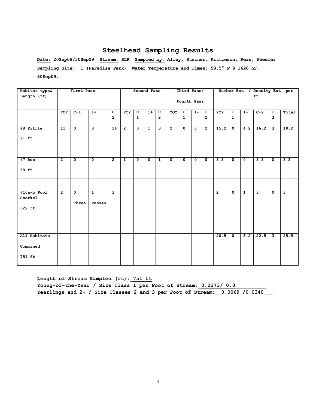**Date: 20Sep09/30Sep09 Stream: SLR Sampled by: Alley, Steiner, Kittleson, Reis, Wheeler Sampling Site: 1 (Paradise Park) Water Temperature and Times: 58.5° F @ 1620 hr, 30Sep09.** 

| Habitat type&            |                 | First Pass              |                         |                 |                | Second Pass          |              |                |                | Third Pass/  |             |                |                  |              |                  | Number Est. / Density Est. per |              |                         |
|--------------------------|-----------------|-------------------------|-------------------------|-----------------|----------------|----------------------|--------------|----------------|----------------|--------------|-------------|----------------|------------------|--------------|------------------|--------------------------------|--------------|-------------------------|
| Length (ft)              |                 |                         |                         |                 |                |                      |              |                |                |              |             |                |                  |              |                  | ft                             |              |                         |
|                          |                 |                         |                         |                 |                |                      |              |                |                | Fourth Pass  |             |                |                  |              |                  |                                |              |                         |
|                          | YOY             | $C-1$                   | $1+$                    | $C-$            | YOY            | $c-$                 | $1+$         | $c-$           | YOY            | $C-$         | $1+$        | $c-$           | YOY              | $C-$         | $1+$             | $\overline{C-2}$               | $C-$         | Total                   |
|                          |                 |                         |                         | $\overline{2}$  |                | $\mathbf{1}$         |              | $\overline{2}$ |                | $\mathbf{1}$ |             | $\overline{2}$ |                  | $\mathbf{1}$ |                  |                                | 3            |                         |
| #8 Riffle                | $\overline{11}$ | $\overline{\mathbf{0}}$ | $\overline{\mathbf{3}}$ | $\overline{14}$ | $\overline{2}$ | $\overline{\bullet}$ | $\mathbf{1}$ | ِ              | $\overline{2}$ | $\mathbf{o}$ | $\mathbf 0$ | $\overline{2}$ | 15.2             | $\mathbf 0$  | $\overline{4.2}$ | 16.2                           | ى            | 19.2                    |
| 71 ft                    |                 |                         |                         |                 |                |                      |              |                |                |              |             |                |                  |              |                  |                                |              |                         |
|                          |                 |                         |                         |                 |                |                      |              |                |                |              |             |                |                  |              |                  |                                |              |                         |
| $#7$ Run                 | $\overline{2}$  | $\mathbf 0$             | $\mathbf 0$             | $\overline{2}$  | $\mathbf{1}$   | $\mathbf{o}$         | $\mathbf 0$  | $\mathbf{1}$   | $\mathbf 0$    | $\mathbf 0$  | $\mathbf 0$ | $\mathbf 0$    | $\overline{3.3}$ | $\mathbf{o}$ | $\mathbf 0$      | $\overline{3.3}$               | $\mathbf 0$  | 3.3                     |
| 58 ft                    |                 |                         |                         |                 |                |                      |              |                |                |              |             |                |                  |              |                  |                                |              |                         |
|                          |                 |                         |                         |                 |                |                      |              |                |                |              |             |                |                  |              |                  |                                |              |                         |
| $#10a-b$ Pool<br>Snorkel | $\overline{2}$  | $\mathbf 0$             | $\mathbf{1}$            | $\mathbf{3}$    |                |                      |              |                |                |              |             |                | $\overline{2}$   | $\mathbf{o}$ | $\mathbf{1}$     | 3                              | $\mathbf 0$  | $\overline{\mathbf{3}}$ |
| 622 ft                   |                 | Three                   | Passes                  |                 |                |                      |              |                |                |              |             |                |                  |              |                  |                                |              |                         |
|                          |                 |                         |                         |                 |                |                      |              |                |                |              |             |                |                  |              |                  |                                |              |                         |
| All Habitats             |                 |                         |                         |                 |                |                      |              |                |                |              |             |                | 20.5             | $\mathbf 0$  | 5.2              | 22.5                           | $\mathbf{3}$ | 25.5                    |
| Combined                 |                 |                         |                         |                 |                |                      |              |                |                |              |             |                |                  |              |                  |                                |              |                         |
| 751 ft                   |                 |                         |                         |                 |                |                      |              |                |                |              |             |                |                  |              |                  |                                |              |                         |

**Length of Stream Sampled (ft):\_751 ft** Young-of-the-Year / Size Class 1 per Foot of Stream: 0.0273/ 0.0 **Yearlings and 2+ / Size Classes 2 and 3 per Foot of Stream:\_\_0.0069 /0.0340\_\_\_**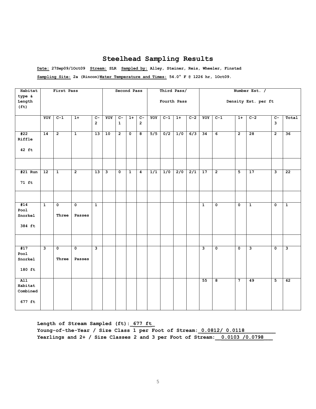**Date: 27Sep09/1Oct09 Stream: SLR Sampled by: Alley, Steiner, Reis, Wheeler, Finstad**

**Sampling Site: 2a (Rincon)Water Temperature and Times: 54.0° F @ 1226 hr, 1Oct09.** 

| Habitat                               |                         | First Pass                       |                       |                         |     |                      | Second Pass             |                         |     | Third Pass/ |                  |       |                         |                         |                         | Number Est. /           |                         |                         |
|---------------------------------------|-------------------------|----------------------------------|-----------------------|-------------------------|-----|----------------------|-------------------------|-------------------------|-----|-------------|------------------|-------|-------------------------|-------------------------|-------------------------|-------------------------|-------------------------|-------------------------|
| type &<br>Length<br>(f <sub>t</sub> ) |                         |                                  |                       |                         |     |                      |                         |                         |     | Fourth Pass |                  |       |                         |                         |                         | Density Est. per ft     |                         |                         |
|                                       | YOY                     | $C-1$                            | $1+$                  | $C -$<br>$\overline{2}$ | YOY | $C-$<br>$\mathbf{1}$ | $1+$                    | $c-$<br>$\overline{2}$  | YOY | $C-1$       | $1+$             | $C-2$ | YOY                     | $C-1$                   | $1+$                    | $C-2$                   | $c-$<br>3               | Total                   |
| #22<br>Riffle                         | $\overline{14}$         | $\overline{2}$                   | $\overline{1}$        | $\overline{13}$         | 10  | $\overline{2}$       | $\overline{\mathbf{0}}$ | $\overline{\mathbf{8}}$ | 5/5 | 0/2         | 1/0              | 6/3   | $\overline{34}$         | $\overline{6}$          | $\overline{2}$          | $\overline{28}$         | $\overline{2}$          | $\overline{36}$         |
| 42 ft                                 |                         |                                  |                       |                         |     |                      |                         |                         |     |             |                  |       |                         |                         |                         |                         |                         |                         |
| $#21$ Run                             | 12                      | $\overline{1}$                   | $\overline{2}$        | $\overline{13}$         | ى   | $\mathbf 0$          | $\mathbf{1}$            | $\overline{4}$          | 1/1 | 1/0         | $\overline{2/0}$ | 2/1   | 17                      | $\overline{2}$          | 5                       | 17                      | 3                       | $\overline{22}$         |
| 71 ft                                 |                         |                                  |                       |                         |     |                      |                         |                         |     |             |                  |       |                         |                         |                         |                         |                         |                         |
|                                       |                         |                                  |                       |                         |     |                      |                         |                         |     |             |                  |       |                         |                         |                         |                         |                         |                         |
| #14<br>Pool<br>Snorkel<br>384 ft      | $\overline{1}$          | 0<br>Three                       | 0<br>Passes           | $\mathbf{1}$            |     |                      |                         |                         |     |             |                  |       | $\mathbf{1}$            | $\mathbf 0$             | $\mathbf 0$             | $\mathbf{1}$            | $\mathbf 0$             | $\mathbf{1}$            |
|                                       |                         |                                  |                       |                         |     |                      |                         |                         |     |             |                  |       |                         |                         |                         |                         |                         |                         |
| #17<br>Pool<br>Snorkel<br>180 ft      | $\overline{\mathbf{3}}$ | $\overline{\mathbf{0}}$<br>Three | $\mathbf 0$<br>Passes | $\overline{\mathbf{3}}$ |     |                      |                         |                         |     |             |                  |       | $\overline{\mathbf{3}}$ | $\overline{\mathbf{0}}$ | $\overline{\mathbf{0}}$ | $\overline{\mathbf{3}}$ | $\overline{\mathbf{0}}$ | $\overline{\mathbf{3}}$ |
| AI1<br>Habitat<br>Combined<br>677 ft  |                         |                                  |                       |                         |     |                      |                         |                         |     |             |                  |       | 55                      | $\overline{\mathbf{8}}$ | $\overline{7}$          | 49                      | $\overline{\mathbf{5}}$ | 62                      |

**Length of Stream Sampled (ft):\_677 ft\_** Young-of-the-Year / Size Class 1 per Foot of Stream: 0.0812/ 0.0118 **Yearlings and 2+ / Size Classes 2 and 3 per Foot of Stream:\_\_0.0103 /0.0798\_\_\_**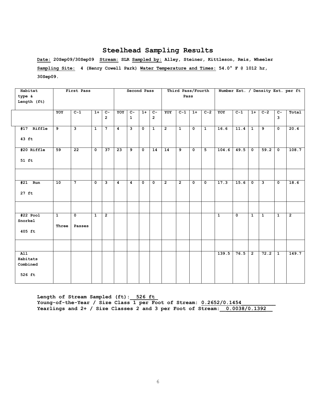**Date: 20Sep09/30Sep09 Stream: SLR Sampled by: Alley, Steiner, Kittleson, Reis, Wheeler Sampling Site: 4 (Henry Cowell Park) Water Temperature and Times: 54.0° F @ 1012 hr, 30Sep09.** 

| Habitat<br>type &<br>Length (ft)                   |                         | First Pass                        |                |                                    |                | Second Pass                    |              |                                    |                | Third Pass/Fourth<br>Pass |                      |              |              |                         |                |                |                         | Number Est. / Density Est. per ft |
|----------------------------------------------------|-------------------------|-----------------------------------|----------------|------------------------------------|----------------|--------------------------------|--------------|------------------------------------|----------------|---------------------------|----------------------|--------------|--------------|-------------------------|----------------|----------------|-------------------------|-----------------------------------|
|                                                    | YOY                     | $C-1$                             | $1+$           | $\overline{c}$ -<br>$\overline{2}$ | YOY            | $\overline{c}$<br>$\mathbf{1}$ | $1+$         | $\overline{c}$ -<br>$\overline{2}$ | YOY            | $C-1$                     | $1+$                 | $C-2$        | YOY          | $C-1$                   | $1+$           | $C-2$          | $\overline{c}$<br>3     | Total                             |
| #17 Riffle<br>43 ft                                | 9                       | 3                                 | $\mathbf{1}$   | $\overline{7}$                     | $\overline{4}$ | نا                             | $\mathbf 0$  | $\overline{1}$                     | $\overline{2}$ | $\mathbf{1}$              | $\overline{\bullet}$ | $\mathbf{1}$ | 16.6         | 11.4                    | $\mathbf{1}$   | و              | $\overline{\mathbf{0}}$ | 20.4                              |
| #20 Riffle<br>$51$ ft                              | 59                      | 22                                | $\mathbf{0}$   | 37                                 | 23             | 9                              | $\mathbf{0}$ | 14                                 | 14             | 9                         | $\mathbf{o}$         | 5            | 104.6        | 49.5                    | $\mathbf 0$    | 59.2           | $\mathbf 0$             | 108.7                             |
| $#21$ Run<br>$27$ ft                               | 10                      | 7 <sup>7</sup>                    | $\mathbf 0$    | 3                                  | $\overline{4}$ | $\overline{4}$                 | $\mathbf 0$  | $\mathbf 0$                        | $\overline{2}$ | $\overline{2}$            | $\mathbf{o}$         | $\mathbf{0}$ | 17.3         | 15.6                    | $\mathbf 0$    | $\mathbf{3}$   | $\mathbf 0$             | 18.6                              |
| $#22$ Pool<br>Snorkel<br>405 ft                    | $\overline{1}$<br>Three | $\overline{\mathbf{0}}$<br>Passes | $\overline{1}$ | $\overline{2}$                     |                |                                |              |                                    |                |                           |                      |              | $\mathbf{1}$ | $\overline{\mathbf{0}}$ | $\mathbf{1}$   | $\overline{1}$ | $\overline{1}$          | $\overline{2}$                    |
| $\overline{A11}$<br>Habitats<br>Combined<br>526 ft |                         |                                   |                |                                    |                |                                |              |                                    |                |                           |                      |              | 139.5        | 76.5                    | $\overline{2}$ | 72.2           | $\mathbf{1}$            | 149.7                             |

**Length of Stream Sampled (ft):\_ 526 ft\_ Young-of-the-Year / Size Class 1 per Foot of Stream: 0.2652/0.1454\_\_\_\_\_\_\_\_\_\_\_ Yearlings and 2+ / Size Classes 2 and 3 per Foot of Stream:\_\_0.0038/0.1392\_\_**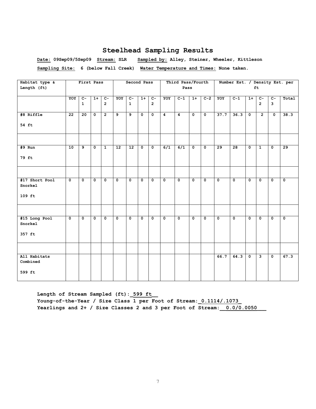**Date: 09Sep09/5Sep09 Stream: SLR Sampled by: Alley, Steiner, Wheeler, Kittleson Sampling Site: 6 (below Fall Creek) Water Temperature and Times: None taken.**

| Habitat type & |                 | First Pass      |              |                |                   | Second Pass     |             |                |                | Third Pass/Fourth |                         |                         |              | Number Est. / Density Est. per |             |                |                         |              |
|----------------|-----------------|-----------------|--------------|----------------|-------------------|-----------------|-------------|----------------|----------------|-------------------|-------------------------|-------------------------|--------------|--------------------------------|-------------|----------------|-------------------------|--------------|
| Length (ft)    |                 |                 |              |                |                   |                 |             |                |                | Pass              |                         |                         |              |                                |             | ft             |                         |              |
|                |                 |                 |              |                |                   |                 |             |                |                |                   |                         |                         |              |                                |             |                |                         |              |
|                | YOY             | $\overline{c}$  | $1+$         | $C -$          | YOY               | $c-$            | $1+$        | $c-$           | YOY            | $C-1$             | $1+$                    | $C-2$                   | YOY          | $C-1$                          | $1+$        | $C-$           | $C -$                   | Total        |
|                |                 | $\mathbf{1}$    |              | $\overline{2}$ |                   | $\mathbf{1}$    |             | $\overline{2}$ |                |                   |                         |                         |              |                                |             | $\overline{2}$ | 3                       |              |
|                |                 |                 |              |                |                   |                 |             |                |                |                   |                         |                         |              |                                |             |                |                         |              |
| #8 Riffle      | $\overline{22}$ | $\overline{20}$ | $\mathbf 0$  | $\overline{2}$ | $\overline{9}$    | $\overline{9}$  | $\mathbf 0$ | $\mathbf 0$    | $\overline{4}$ | $\overline{4}$    | $\overline{\mathbf{0}}$ | $\overline{\mathbf{0}}$ | 37.7         | 36.3                           | $\mathbf 0$ | $\overline{2}$ | $\overline{\mathbf{0}}$ | 38.3         |
|                |                 |                 |              |                |                   |                 |             |                |                |                   |                         |                         |              |                                |             |                |                         |              |
| 54 ft          |                 |                 |              |                |                   |                 |             |                |                |                   |                         |                         |              |                                |             |                |                         |              |
|                |                 |                 |              |                |                   |                 |             |                |                |                   |                         |                         |              |                                |             |                |                         |              |
|                |                 |                 |              |                |                   |                 |             |                |                |                   |                         |                         |              |                                |             |                |                         |              |
|                |                 |                 |              |                |                   |                 |             |                |                |                   |                         |                         |              |                                |             |                |                         |              |
| #9 Run         | 10              | 9               | $\mathbf 0$  | $\mathbf{1}$   | $12 \overline{ }$ | 12 <sup>2</sup> | $\mathbf 0$ | $\mathbf 0$    | 6/1            | 6/1               | $\mathbf 0$             | $\mathbf 0$             | 29           | 28                             | $\mathbf 0$ | $\mathbf{1}$   | $\mathbf 0$             | 29           |
|                |                 |                 |              |                |                   |                 |             |                |                |                   |                         |                         |              |                                |             |                |                         |              |
| 79 ft          |                 |                 |              |                |                   |                 |             |                |                |                   |                         |                         |              |                                |             |                |                         |              |
|                |                 |                 |              |                |                   |                 |             |                |                |                   |                         |                         |              |                                |             |                |                         |              |
|                |                 |                 |              |                |                   |                 |             |                |                |                   |                         |                         |              |                                |             |                |                         |              |
| #17 Short Pool | $\mathbf 0$     | $\mathbf{0}$    | $\mathbf 0$  | $\mathbf 0$    | $\mathbf 0$       | $\mathbf 0$     | $\mathbf 0$ | $\mathbf 0$    | $\mathbf 0$    | $\mathbf 0$       | 0                       | $\mathbf{o}$            | $\mathbf{0}$ | $\mathbf{0}$                   | $\mathbf 0$ | $\mathbf{0}$   | $\mathbf 0$             | $\mathbf 0$  |
| Snorkel        |                 |                 |              |                |                   |                 |             |                |                |                   |                         |                         |              |                                |             |                |                         |              |
|                |                 |                 |              |                |                   |                 |             |                |                |                   |                         |                         |              |                                |             |                |                         |              |
| $109$ ft       |                 |                 |              |                |                   |                 |             |                |                |                   |                         |                         |              |                                |             |                |                         |              |
|                |                 |                 |              |                |                   |                 |             |                |                |                   |                         |                         |              |                                |             |                |                         |              |
|                |                 |                 |              |                |                   |                 |             |                |                |                   |                         |                         |              |                                |             |                |                         |              |
|                |                 |                 |              |                |                   |                 |             |                |                |                   |                         |                         |              |                                |             |                |                         |              |
| #15 Long Pool  | $\mathbf 0$     | $\mathbf 0$     | $\mathbf{0}$ | $\mathbf 0$    | $\mathbf 0$       | $\mathbf 0$     | $\mathbf 0$ | 0              | $\mathbf 0$    | $\mathbf 0$       | $\mathbf 0$             | $\mathbf{o}$            | $\mathbf{0}$ | $\mathbf 0$                    | $\mathbf 0$ | $\mathbf 0$    | $\mathbf 0$             | $\mathbf{o}$ |
| Snorkel        |                 |                 |              |                |                   |                 |             |                |                |                   |                         |                         |              |                                |             |                |                         |              |
|                |                 |                 |              |                |                   |                 |             |                |                |                   |                         |                         |              |                                |             |                |                         |              |
| 357 ft         |                 |                 |              |                |                   |                 |             |                |                |                   |                         |                         |              |                                |             |                |                         |              |
|                |                 |                 |              |                |                   |                 |             |                |                |                   |                         |                         |              |                                |             |                |                         |              |
|                |                 |                 |              |                |                   |                 |             |                |                |                   |                         |                         |              |                                |             |                |                         |              |
|                |                 |                 |              |                |                   |                 |             |                |                |                   |                         |                         |              |                                |             |                |                         |              |
| All Habitats   |                 |                 |              |                |                   |                 |             |                |                |                   |                         |                         | 66.7         | 64.3                           | $\mathbf 0$ | 3              | $\mathbf 0$             | 67.3         |
| Combined       |                 |                 |              |                |                   |                 |             |                |                |                   |                         |                         |              |                                |             |                |                         |              |
| 599 ft         |                 |                 |              |                |                   |                 |             |                |                |                   |                         |                         |              |                                |             |                |                         |              |
|                |                 |                 |              |                |                   |                 |             |                |                |                   |                         |                         |              |                                |             |                |                         |              |
|                |                 |                 |              |                |                   |                 |             |                |                |                   |                         |                         |              |                                |             |                |                         |              |

**Length of Stream Sampled (ft):\_599 ft\_\_ Young-of-the-Year / Size Class 1 per Foot of Stream:\_0.1114/.1073\_ Yearlings and 2+ / Size Classes 2 and 3 per Foot of Stream:\_\_0.0/0.0050\_\_\_**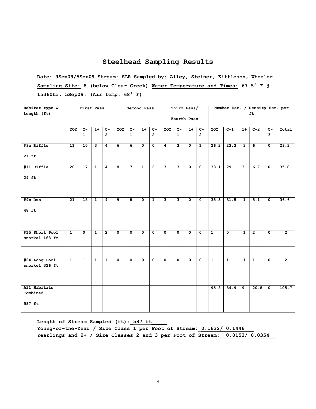**Date: 9Sep09/5Sep09 Stream: SLR Sampled by: Alley, Steiner, Kittleson, Wheeler Sampling Site: 8 (below Clear Creek) Water Temperature and Times: 67.5° F @ 15360hr, 5Sep09. (Air temp. 68° F)**

| Habitat type &                   |                 | First Pass      |              |                |                | Second Pass             |              |                |                | Third Pass/             |              |                |              |              |                         | Number Est. / Density Est. per |                |                |
|----------------------------------|-----------------|-----------------|--------------|----------------|----------------|-------------------------|--------------|----------------|----------------|-------------------------|--------------|----------------|--------------|--------------|-------------------------|--------------------------------|----------------|----------------|
| Length (ft)                      |                 |                 |              |                |                |                         |              |                |                | Fourth Pass             |              |                |              |              |                         | ft                             |                |                |
|                                  | YOY             | $C-$            | $1+$         | $\overline{c}$ | YOY            | $\overline{c}$          | $1+$         | $c-$           | YOY            | $C-$                    | $1+$         | $c-$           | YOY          | $C-1$        | $1+$                    | $C-2$                          | $\overline{c}$ | Total          |
|                                  |                 | $\mathbf{1}$    |              | $\overline{2}$ |                | $\mathbf{1}$            |              | $\overline{2}$ |                | $\mathbf{1}$            |              | $\overline{2}$ |              |              |                         |                                | 3              |                |
| #9a Riffle                       | 11              | 10              | $\mathbf{3}$ | $\overline{4}$ | 6              | $\overline{6}$          | 0            | $\mathbf 0$    | $\overline{4}$ | $\mathbf{3}$            | $\mathbf{0}$ | $\mathbf{1}$   | 26.2         | 23.3         | $\overline{\mathbf{3}}$ | 6                              | $\mathbf 0$    | 29.3           |
| $21$ ft                          |                 |                 |              |                |                |                         |              |                |                |                         |              |                |              |              |                         |                                |                |                |
| #11 Riffle                       | $\overline{20}$ | $\overline{17}$ | $\mathbf{1}$ | 4              | 8              | $\overline{7}$          | $\mathbf{1}$ | $\overline{2}$ | 3              | 3                       | $\mathbf{0}$ | $\mathbf 0$    | 33.1         | 29.1         | ىر                      | 6.7                            | $\mathbf 0$    | 35.8           |
| 29 ft                            |                 |                 |              |                |                |                         |              |                |                |                         |              |                |              |              |                         |                                |                |                |
|                                  |                 |                 |              |                |                |                         |              |                |                |                         |              |                |              |              |                         |                                |                |                |
| $#9b$ Run                        | $\overline{21}$ | $\overline{18}$ | $\mathbf{1}$ | 4              | $\overline{9}$ | $\overline{\mathbf{8}}$ | $\mathbf 0$  | $\mathbf{1}$   | ى              | $\overline{\mathbf{3}}$ | $\mathbf 0$  | $\mathbf 0$    | 35.5         | 31.5         | $\overline{1}$          | 5.1                            | $\mathbf 0$    | 36.6           |
| 48 ft                            |                 |                 |              |                |                |                         |              |                |                |                         |              |                |              |              |                         |                                |                |                |
|                                  |                 |                 |              |                |                |                         |              |                |                |                         |              |                |              |              |                         |                                |                |                |
| #15 Short Pool<br>snorkel 163 ft | $\overline{1}$  | $\mathbf{0}$    | $\mathbf{1}$ | $\overline{2}$ | $\mathbf{0}$   | $\mathbf{0}$            | $\mathbf{0}$ | $\mathbf 0$    | $\mathbf 0$    | $\mathbf 0$             | $\mathbf 0$  | $\mathbf 0$    | $\mathbf{1}$ | $\mathbf 0$  | $\overline{1}$          | $\overline{2}$                 | $\mathbf{0}$   | $\overline{2}$ |
|                                  |                 |                 |              |                |                |                         |              |                |                |                         |              |                |              |              |                         |                                |                |                |
| #24 Long Pool                    | $\mathbf{1}$    | $\mathbf{1}$    | $\mathbf{1}$ | $\mathbf{1}$   | $\mathbf 0$    | 0                       | 0            | 0              | $\mathbf 0$    | 0                       | $\mathbf 0$  | $\mathbf 0$    | $\mathbf{1}$ | $\mathbf{1}$ | $\overline{1}$          | $\mathbf{1}$                   | $\mathbf 0$    | $\overline{2}$ |
| snorkel 326 ft                   |                 |                 |              |                |                |                         |              |                |                |                         |              |                |              |              |                         |                                |                |                |
|                                  |                 |                 |              |                |                |                         |              |                |                |                         |              |                |              |              |                         |                                |                |                |
| All Habitats                     |                 |                 |              |                |                |                         |              |                |                |                         |              |                | 95.8         | 84.9         | 9                       | 20.8                           | $\mathbf 0$    | 105.7          |
| Combined                         |                 |                 |              |                |                |                         |              |                |                |                         |              |                |              |              |                         |                                |                |                |
| 587 ft                           |                 |                 |              |                |                |                         |              |                |                |                         |              |                |              |              |                         |                                |                |                |

Length of Stream Sampled (ft): 587 ft Young-of-the-Year / Size Class 1 per Foot of Stream: 0.1632/ 0.1446 **Yearlings and 2+ / Size Classes 2 and 3 per Foot of Stream:\_\_0.0153/ 0.0354\_\_**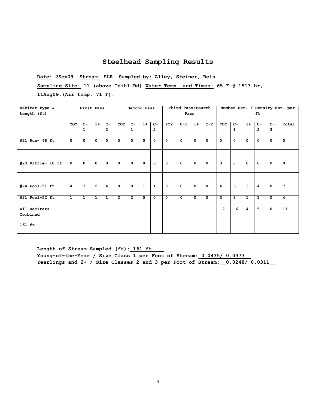**Date: 2Sep09 Stream: SLR Sampled by: Alley, Steiner, Reis Sampling Site: 11 (above Teihl Rd) Water Temp. and Times: 65 F @ 1513 hr, 11Aug09.(Air temp. 71 F).**

| Habitat type &<br>Length (ft) |             | First Pass   |                |                        |                | Second Pass          |              |                        |              | Third Pass/Fourth<br>Pass |             |             |              |              |              | ft.                     |             | Number Est. / Density Est. per |
|-------------------------------|-------------|--------------|----------------|------------------------|----------------|----------------------|--------------|------------------------|--------------|---------------------------|-------------|-------------|--------------|--------------|--------------|-------------------------|-------------|--------------------------------|
|                               | YOY         | $C-$<br>1    | $1+$           | $C-$<br>$\overline{2}$ | YOY            | $C-$<br>$\mathbf{1}$ | $1+$         | $C-$<br>$\overline{2}$ | YOY          | $C-1$                     | $1+$        | $C-2$       | YOY          | $C-$<br>1    | $1+$         | $C -$<br>$\overline{2}$ | $C-$<br>3   | Total                          |
| #21 Run- 48 ft                | $\Omega$    | $\mathbf 0$  | $\mathbf 0$    | $\mathbf{0}$           | $^{\circ}$     | $\mathbf{0}$         | $\Omega$     | $\mathbf{0}$           | $\mathbf{0}$ | $\mathbf{0}$              | $\mathbf 0$ | $\mathbf 0$ | $\mathbf{0}$ | $\mathbf{0}$ | 0            | $\mathbf 0$             | $\mathbf 0$ | $\mathbf{0}$                   |
|                               |             |              |                |                        |                |                      |              |                        |              |                           |             |             |              |              |              |                         |             |                                |
| #23 Riffle- 10 ft             | $\mathbf 0$ | $\Omega$     | $\mathbf 0$    | $\mathbf{0}$           | $\mathbf{o}$   | $\Omega$             | $\Omega$     | $\Omega$               | $\Omega$     | $\mathbf{0}$              | $\mathbf 0$ | $\mathbf 0$ | $\mathbf{0}$ | $\Omega$     | 0            | $\mathbf 0$             | $\mathbf 0$ | $\mathbf{0}$                   |
|                               |             |              |                |                        |                |                      |              |                        |              |                           |             |             |              |              |              |                         |             |                                |
| #24 Pool-51 ft                | 4           | 3            | $\overline{2}$ | $\overline{4}$         | $\mathbf{0}$   | $\mathbf 0$          | $\mathbf{1}$ | 1                      | $\mathbf{0}$ | $\mathbf{0}$              | $\Omega$    | $\mathbf 0$ | 4            | $\mathbf{3}$ | 3            | $\overline{4}$          | $\mathbf 0$ | $\overline{7}$                 |
| #21 Pool-52 ft                | 1           | $\mathbf{1}$ | 1              | <sup>1</sup>           | $\overline{2}$ | $\overline{2}$       | $\mathbf{0}$ | $\Omega$               | $\mathbf{0}$ | $\mathbf 0$               | $\Omega$    | $^{\circ}$  | 3            | 3            | $\mathbf{1}$ | 1                       | $\mathbf 0$ | 4                              |
| All Habitats<br>Combined      |             |              |                |                        |                |                      |              |                        |              |                           |             |             | 7            | 6            | 4            | 5.                      | $\mathbf 0$ | 11                             |
| $161$ ft                      |             |              |                |                        |                |                      |              |                        |              |                           |             |             |              |              |              |                         |             |                                |

Length of Stream Sampled (ft): 161 ft Young-of-the-Year / Size Class 1 per Foot of Stream: 0.0435/ 0.0373 **Yearlings and 2+ / Size Classes 2 and 3 per Foot of Stream:\_\_0.0248/ 0.0311\_\_**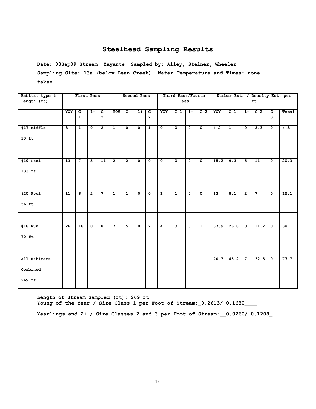**Date: 03Sep09 Stream: Zayante Sampled by: Alley, Steiner, Wheeler Sampling Site: 13a (below Bean Creek) Water Temperature and Times: none taken.**

| Habitat type &                     |     | First Pass           |                |                                  |                | Second Pass                    |                         |                                  |                | Third Pass/Fourth       |                         |                |                 |                |                | Number Est. / Density Est. per |                         |       |
|------------------------------------|-----|----------------------|----------------|----------------------------------|----------------|--------------------------------|-------------------------|----------------------------------|----------------|-------------------------|-------------------------|----------------|-----------------|----------------|----------------|--------------------------------|-------------------------|-------|
| Length (ft)                        |     |                      |                |                                  |                |                                |                         |                                  |                | Pass                    |                         |                |                 |                |                | ft                             |                         |       |
|                                    | YOY | $C-$<br>$\mathbf{1}$ | $1+$           | $\overline{c}$<br>$\overline{2}$ | YOY            | $\overline{c}$<br>$\mathbf{1}$ | $1+$                    | $\overline{c}$<br>$\overline{2}$ | YOY            | $C-1$                   | $1+$                    | $C-2$          | YOY             | $C-1$          | $1+$           | $C-2$                          | $\overline{c}$<br>3     | Total |
| #17 Riffle<br>$10$ ft              | ى   | $\overline{1}$       | $\overline{0}$ | $\overline{2}$                   | $\overline{1}$ | $\overline{0}$                 | $\overline{\mathbf{0}}$ | $\overline{1}$                   | $\overline{0}$ | $\overline{\mathbf{0}}$ | $\overline{\mathbf{0}}$ | $\overline{0}$ | 4.2             | $\overline{1}$ | $\overline{0}$ | 3.3                            | $\overline{\mathbf{0}}$ | 4.3   |
|                                    |     |                      |                |                                  |                |                                |                         |                                  |                |                         |                         |                |                 |                |                |                                |                         |       |
| $#19$ Pool<br>133 ft               | 13  | $7\overline{ }$      | 5 <sub>1</sub> | 11                               | $\overline{2}$ | $\overline{2}$                 | $\mathbf 0$             | $\mathbf 0$                      | $\mathbf 0$    | $\mathbf 0$             | $\mathbf 0$             | $\mathbf 0$    | 15.2            | 9.3            | 5              | 11                             | $\mathbf 0$             | 20.3  |
|                                    |     |                      |                |                                  |                |                                |                         |                                  |                |                         |                         |                |                 |                |                |                                |                         |       |
| $#20$ Pool<br>56 ft                | 11  | $\overline{6}$       | $\overline{2}$ | $\overline{7}$                   | $\overline{1}$ | $\mathbf{1}$                   | $\overline{\mathbf{0}}$ | $\mathbf 0$                      | $\overline{1}$ | $\overline{1}$          | $\mathbf{0}$            | $\mathbf{0}$   | $\overline{13}$ | 8.1            | $\overline{2}$ | $\overline{7}$                 | $\mathbf 0$             | 15.1  |
|                                    |     |                      |                |                                  |                |                                |                         |                                  |                |                         |                         |                |                 |                |                |                                |                         |       |
| $#18$ Run<br>70 ft                 | 26  | 18                   | $\mathbf{0}$   | 8                                | $7^{\circ}$    | 5                              | $\mathbf{o}$            | $\overline{2}$                   | $\overline{4}$ | $\mathbf{3}$            | $\mathbf 0$             | $\mathbf{1}$   | 37.9            | 26.8           | $\mathbf{o}$   | 11.2                           | $\mathbf 0$             | 38    |
|                                    |     |                      |                |                                  |                |                                |                         |                                  |                |                         |                         |                |                 |                |                |                                |                         |       |
| All Habitats<br>Combined<br>269 ft |     |                      |                |                                  |                |                                |                         |                                  |                |                         |                         |                | 70.3            | 45.2           | $\overline{7}$ | 32.5                           | $\overline{\mathbf{0}}$ | 77.7  |

**Length of Stream Sampled (ft):\_269 ft\_\_\_ Young-of-the-Year / Size Class 1 per Foot of Stream:\_0.2613/ 0.1680\_\_\_\_**

**Yearlings and 2+ / Size Classes 2 and 3 per Foot of Stream:\_\_0.0260/ 0.1208\_**

10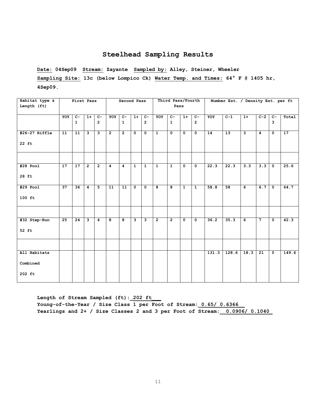**Date: 04Sep09 Stream: Zayante Sampled by: Alley, Steiner, Wheeler Sampling Site: 13c (below Lompico Ck) Water Temp. and Times: 64° F @ 1405 hr, 4Sep09.** 

| Habitat type & |                 | First Pass   |                |                |                | Second Pass     |                |                |                | Third Pass/Fourth |                         |                         |       | Number Est. / Density Est. per ft |                |                 |                      |       |
|----------------|-----------------|--------------|----------------|----------------|----------------|-----------------|----------------|----------------|----------------|-------------------|-------------------------|-------------------------|-------|-----------------------------------|----------------|-----------------|----------------------|-------|
| Length (ft)    |                 |              |                |                |                |                 |                |                |                | Pass              |                         |                         |       |                                   |                |                 |                      |       |
|                | YOY             | $C-$         | $1+$           | $\overline{c}$ | YOY            | $C -$           | $1+$           | $C-$           | YOY            | $C -$             | $1+$                    | $\overline{C}$          | YOY   | $C-1$                             | $1+$           | $C-2$           | $C-$                 | Total |
|                |                 | $\mathbf{1}$ |                | $\overline{2}$ |                | $\mathbf{1}$    |                | $\overline{2}$ |                | $\mathbf{1}$      |                         | $\overline{2}$          |       |                                   |                |                 | $\mathbf{3}$         |       |
| #26-27 Riffle  | 11              | 11           | $\mathbf{3}$   | $\mathbf{3}$   | $\overline{2}$ | $\overline{2}$  | $\mathbf{0}$   | $\mathbf{0}$   | $\mathbf{1}$   | $\mathbf{o}$      | $\mathbf 0$             | $\mathbf{o}$            | 14    | 13                                | $\overline{3}$ | 4               | $\mathbf 0$          | 17    |
| 22 ft          |                 |              |                |                |                |                 |                |                |                |                   |                         |                         |       |                                   |                |                 |                      |       |
|                |                 |              |                |                |                |                 |                |                |                |                   |                         |                         |       |                                   |                |                 |                      |       |
| $#28$ Pool     | $\overline{17}$ | 17           | $\overline{2}$ | $\overline{2}$ | $\overline{4}$ | $\overline{4}$  | $\overline{1}$ | $\overline{1}$ | $\overline{1}$ | $\overline{1}$    | $\overline{\mathbf{0}}$ | $\overline{\mathbf{0}}$ | 22.3  | 22.3                              | 3.3            | 3.3             | $\overline{\bullet}$ | 25.6  |
| 28 ft          |                 |              |                |                |                |                 |                |                |                |                   |                         |                         |       |                                   |                |                 |                      |       |
| $#29$ Pool     | 37              | 36           | $\overline{4}$ | 5 <sup>5</sup> | 11             | $\overline{11}$ | $\mathbf 0$    | $\mathbf 0$    | 8              | 8                 | $\mathbf{1}$            | $\mathbf{1}$            | 58.8  | 58                                | 6              | 6.7             | $\mathbf{o}$         | 64.7  |
| $100$ ft       |                 |              |                |                |                |                 |                |                |                |                   |                         |                         |       |                                   |                |                 |                      |       |
|                |                 |              |                |                |                |                 |                |                |                |                   |                         |                         |       |                                   |                |                 |                      |       |
| #32 Step-Run   | 25              | 24           | $\mathbf{3}$   | $\overline{4}$ | 8              | 8               | 3              | $\mathbf{3}$   | $\overline{2}$ | $\overline{2}$    | $\mathbf 0$             | $\mathbf 0$             | 36.2  | 35.3                              | 6              | $7\phantom{.0}$ | 0                    | 42.3  |
| 52 ft          |                 |              |                |                |                |                 |                |                |                |                   |                         |                         |       |                                   |                |                 |                      |       |
|                |                 |              |                |                |                |                 |                |                |                |                   |                         |                         |       |                                   |                |                 |                      |       |
| All Habitats   |                 |              |                |                |                |                 |                |                |                |                   |                         |                         | 131.3 | 128.6                             | 18.3           | 21              | $\mathbf 0$          | 149.6 |
| Combined       |                 |              |                |                |                |                 |                |                |                |                   |                         |                         |       |                                   |                |                 |                      |       |
| 202 ft         |                 |              |                |                |                |                 |                |                |                |                   |                         |                         |       |                                   |                |                 |                      |       |

Length of Stream Sampled (ft): 202 ft **Young-of-the-Year / Size Class 1 per Foot of Stream:\_0.65/ 0.6366\_\_ Yearlings and 2+ / Size Classes 2 and 3 per Foot of Stream:\_\_0.0906/ 0.1040\_**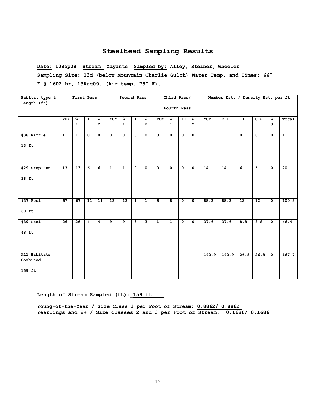**Date: 10Sep08 Stream: Zayante Sampled by: Alley, Steiner, Wheeler Sampling Site: 13d (below Mountain Charlie Gulch) Water Temp. and Times: 66° F @ 1602 hr, 13Aug09. (Air temp. 79° F).**

| Habitat type & |                 | First Pass      |                |                |                | Second Pass     |                         |                |                | Third Pass/    |                |                |                | Number Est. / Density Est. per ft |                |                 |                      |                |
|----------------|-----------------|-----------------|----------------|----------------|----------------|-----------------|-------------------------|----------------|----------------|----------------|----------------|----------------|----------------|-----------------------------------|----------------|-----------------|----------------------|----------------|
| Length (ft)    |                 |                 |                |                |                |                 |                         |                |                | Fourth Pass    |                |                |                |                                   |                |                 |                      |                |
|                | YOY             | $C-$            | $1+$           | $C-$           | YOY            | $C-$            | $1+$                    | $c-$           | YOY            | $C-$           | $1+$           | $c-$           | YOY            | $C-1$                             | $1+$           | $C-2$           | $c-$                 | Total          |
|                |                 | $\mathbf{1}$    |                | $\overline{2}$ |                | $\mathbf{1}$    |                         | $\overline{2}$ |                | $\mathbf{1}$   |                | $\overline{2}$ |                |                                   |                |                 | 3                    |                |
| #38 Riffle     | $\overline{1}$  | $\overline{1}$  | $\Omega$       | $\overline{0}$ | $\overline{0}$ | $\overline{0}$  | $\overline{0}$          | $\overline{0}$ | $\overline{0}$ | $\overline{0}$ | $\overline{0}$ | $\overline{0}$ | $\overline{1}$ | $\overline{1}$                    | $\overline{0}$ | $\overline{0}$  | $\overline{0}$       | $\overline{1}$ |
| $13$ ft        |                 |                 |                |                |                |                 |                         |                |                |                |                |                |                |                                   |                |                 |                      |                |
|                |                 |                 |                |                |                |                 |                         |                |                |                |                |                |                |                                   |                |                 |                      |                |
| #29 Step-Run   | $\overline{13}$ | 13              | 6              | 6              | $\mathbf{1}$   | $\mathbf{1}$    | $\mathbf 0$             | $\mathbf 0$    | $\mathbf 0$    | $\mathbf{0}$   | $\mathbf 0$    | $\mathbf{0}$   | 14             | 14                                | $\overline{6}$ | 6               | $\mathbf 0$          | 20             |
| 38 ft          |                 |                 |                |                |                |                 |                         |                |                |                |                |                |                |                                   |                |                 |                      |                |
|                |                 |                 |                |                |                |                 |                         |                |                |                |                |                |                |                                   |                |                 |                      |                |
| $#37$ Pool     | 67              | 67              | 11             | 11             | 13             | $\overline{13}$ | $\mathbf{1}$            | $\mathbf{1}$   | 8              | 8              | $\mathbf 0$    | $\mathbf 0$    | 88.3           | 88.3                              | 12             | $\overline{12}$ | $\mathbf{o}$         | 100.3          |
| 60 ft          |                 |                 |                |                |                |                 |                         |                |                |                |                |                |                |                                   |                |                 |                      |                |
| $#39$ Pool     | $\overline{26}$ | $\overline{26}$ | $\overline{4}$ | $\overline{4}$ | 9              | $\overline{9}$  | $\overline{\mathbf{3}}$ | З              | $\overline{1}$ | $\overline{1}$ | $\overline{0}$ | $\overline{0}$ | 37.6           | 37.6                              | 8.8            | 8.8             | $\overline{\bullet}$ | 46.4           |
| 48 ft          |                 |                 |                |                |                |                 |                         |                |                |                |                |                |                |                                   |                |                 |                      |                |
|                |                 |                 |                |                |                |                 |                         |                |                |                |                |                |                |                                   |                |                 |                      |                |
| All Habitats   |                 |                 |                |                |                |                 |                         |                |                |                |                |                | 140.9          | 140.9                             | 26.8           | 26.8            | $\overline{\bullet}$ | 167.7          |
| Combined       |                 |                 |                |                |                |                 |                         |                |                |                |                |                |                |                                   |                |                 |                      |                |
| 159 ft         |                 |                 |                |                |                |                 |                         |                |                |                |                |                |                |                                   |                |                 |                      |                |

Length of Stream Sampled (ft): 159 ft

**Young-of-the-Year / Size Class 1 per Foot of Stream:\_0.8862/ 0.8862\_ Yearlings and 2+ / Size Classes 2 and 3 per Foot of Stream:\_\_0.1686/ 0.1686**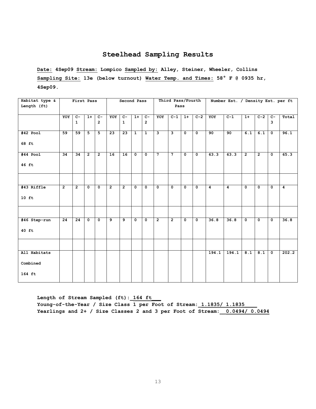**Date: 4Sep09 Stream: Lompico Sampled by: Alley, Steiner, Wheeler, Collins Sampling Site: 13e (below turnout) Water Temp. and Times: 58° F @ 0935 hr, 4Sep09.**

| Habitat type & |                 | First Pass      |                |                |                | Second Pass    |              |                      |                | Third Pass/Fourth |                |                      |                | Number Est. / Density Est. per ft |                  |                |                         |                |
|----------------|-----------------|-----------------|----------------|----------------|----------------|----------------|--------------|----------------------|----------------|-------------------|----------------|----------------------|----------------|-----------------------------------|------------------|----------------|-------------------------|----------------|
| Length (ft)    |                 |                 |                |                |                |                |              |                      |                | Pass              |                |                      |                |                                   |                  |                |                         |                |
|                | YOY             | $\overline{C}$  | $1+$           | $C-$           | YOY            | $C-$           | $1+$         | $C-$                 | YOY            | $C-1$             | $1+$           | $C-2$                | YOY            | $C-1$                             | $1+$             | $C-2$          | $\overline{c}$ -        | Total          |
|                |                 | $\mathbf{1}$    |                | $\overline{2}$ |                | $\mathbf{1}$   |              | $\overline{2}$       |                |                   |                |                      |                |                                   |                  |                | 3                       |                |
| $#42$ Pool     | 59              | 59              | 5              | 5 <sub>1</sub> | 23             | 23             | $\mathbf{1}$ | $\mathbf{1}$         | $\mathbf{3}$   | $\mathbf{3}$      | $\mathbf 0$    | $\mathbf{o}$         | 90             | 90                                | $\overline{6.1}$ | 6.1            | $\mathbf{o}$            | 96.1           |
| 68 ft          |                 |                 |                |                |                |                |              |                      |                |                   |                |                      |                |                                   |                  |                |                         |                |
| #44 Pool       | $\overline{34}$ | $\overline{34}$ | $\overline{2}$ | $\overline{2}$ | 16             | 16             | $\mathbf 0$  | $\overline{\bullet}$ | $\overline{7}$ | $\overline{7}$    | $\overline{0}$ | $\overline{\bullet}$ | 63.3           | 63.3                              | $\overline{2}$   | $\overline{2}$ | $\overline{\mathbf{0}}$ | 65.3           |
| 46 ft          |                 |                 |                |                |                |                |              |                      |                |                   |                |                      |                |                                   |                  |                |                         |                |
|                |                 |                 |                |                |                |                |              |                      |                |                   |                |                      |                |                                   |                  |                |                         |                |
| #43 Riffle     | $\overline{2}$  | $\overline{2}$  | $\mathbf{0}$   | $\mathbf 0$    | $\overline{2}$ | $\overline{2}$ | $\mathbf{0}$ | $\mathbf 0$          | $\mathbf 0$    | $\mathbf{o}$      | $\mathbf{0}$   | $\mathbf{o}$         | $\overline{4}$ | 4                                 | $\mathbf 0$      | $\mathbf 0$    | $\mathbf{0}$            | $\overline{4}$ |
| $10$ ft        |                 |                 |                |                |                |                |              |                      |                |                   |                |                      |                |                                   |                  |                |                         |                |
|                |                 |                 |                |                |                |                |              |                      |                |                   |                |                      |                |                                   |                  |                |                         |                |
| #46 Step-run   | 24              | 24              | $\mathbf 0$    | $\mathbf{o}$   | 9              | و              | $\mathbf 0$  | $\mathbf 0$          | $\overline{2}$ | $\overline{2}$    | $\mathbf 0$    | $\mathbf 0$          | 36.8           | 36.8                              | $\mathbf 0$      | $\mathbf 0$    | $\mathbf 0$             | 36.8           |
| $40$ ft        |                 |                 |                |                |                |                |              |                      |                |                   |                |                      |                |                                   |                  |                |                         |                |
|                |                 |                 |                |                |                |                |              |                      |                |                   |                |                      |                |                                   |                  |                |                         |                |
| All Habitats   |                 |                 |                |                |                |                |              |                      |                |                   |                |                      | 194.1          | 194.1                             | 8.1              | 8.1            | $\mathbf 0$             | 202.2          |
| Combined       |                 |                 |                |                |                |                |              |                      |                |                   |                |                      |                |                                   |                  |                |                         |                |
| 164 ft         |                 |                 |                |                |                |                |              |                      |                |                   |                |                      |                |                                   |                  |                |                         |                |

Length of Stream Sampled (ft): 164 ft Young-of-the-Year / Size Class 1 per Foot of Stream: 1.1835/ 1.1835 **Yearlings and 2+ / Size Classes 2 and 3 per Foot of Stream:\_\_0.0494/ 0.0494**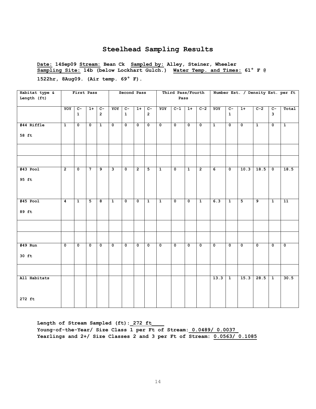**Date: 14Sep09 Stream: Bean Ck Sampled by: Alley, Steiner, Wheeler Sampling Site: 14b (below Lockhart Gulch.) Water Temp. and Times: 61° F @** 

**1522hr, 8Aug09. (Air temp. 69° F).**

| Habitat type &<br>Length (ft) |                  | First Pass                       |                           |                                  |                           | Second Pass                    |                           |                                  |                           | Third Pass/Fourth<br>Pass |                         |                           |                         |                                |                         |                           |                                | Number Est. / Density Est. per ft |
|-------------------------------|------------------|----------------------------------|---------------------------|----------------------------------|---------------------------|--------------------------------|---------------------------|----------------------------------|---------------------------|---------------------------|-------------------------|---------------------------|-------------------------|--------------------------------|-------------------------|---------------------------|--------------------------------|-----------------------------------|
|                               | YOY              | $\overline{c}$ -<br>$\mathbf{1}$ | $1+$                      | $\overline{c}$<br>$\overline{2}$ | YOY                       | $\overline{C}$<br>$\mathbf{1}$ | $1+$                      | $\overline{C}$<br>$\overline{2}$ | YOY                       | $C-1$                     | $1+$                    | $C-2$                     | YOY                     | $\overline{c}$<br>$\mathbf{1}$ | $1+$                    | $C-2$                     | $\overline{C}$<br>$\mathbf{3}$ | Total                             |
| #44 Riffle<br>58 ft           | $\overline{1}$   | $\overline{\mathfrak{o}}$        | $\mathbf 0$               | $\overline{1}$                   | $\overline{\mathfrak{o}}$ | $\overline{\mathfrak{o}}$      | $\overline{\mathfrak{o}}$ | $\overline{\mathbf{0}}$          | $\overline{\mathfrak{o}}$ | $\overline{\mathbf{0}}$   | $\overline{\mathbf{0}}$ | $\overline{\mathfrak{o}}$ | $\overline{1}$          | $\overline{\mathfrak{o}}$      | $\overline{\mathbf{0}}$ | $\overline{1}$            | $\overline{\mathfrak{o}}$      | $\overline{1}$                    |
|                               |                  |                                  |                           |                                  |                           |                                |                           |                                  |                           |                           |                         |                           |                         |                                |                         |                           |                                |                                   |
| $#43$ Pool<br>95 ft           | $\overline{2}$   | $\overline{\mathbf{0}}$          | 7                         | $\overline{9}$                   | $\overline{\mathbf{3}}$   | $\mathbf 0$                    | $\overline{2}$            | 5                                | $\overline{1}$            | $\overline{\mathbf{0}}$   | $\overline{1}$          | $\overline{2}$            | $\overline{6}$          | $\overline{\bullet}$           | 10.3                    | 18.5                      | $\overline{\bullet}$           | 18.5                              |
| $#45$ Pool<br>89 ft           | $\boldsymbol{4}$ | $\mathbf{1}$                     | $\overline{5}$            | $\overline{\mathbf{8}}$          | $\overline{1}$            | $\mathbf 0$                    | $\mathbf 0$               | $\mathbf{1}$                     | $\overline{1}$            | $\overline{\mathbf{0}}$   | $\mathbf{o}$            | $\overline{1}$            | 6.3                     | $\overline{1}$                 | $\overline{\mathbf{5}}$ | $\overline{9}$            | $\overline{1}$                 | $\overline{11}$                   |
|                               |                  |                                  |                           |                                  |                           |                                |                           |                                  |                           |                           |                         |                           |                         |                                |                         |                           |                                |                                   |
| $#49$ Run<br>$30$ ft          | $\overline{0}$   | $\overline{\mathfrak{o}}$        | $\overline{\mathfrak{o}}$ | $\overline{\mathfrak{o}}$        | $\overline{\mathbf{0}}$   | $\mathbf 0$                    | $\overline{\mathfrak{o}}$ | $\overline{\mathbf{0}}$          | $\overline{\mathfrak{o}}$ | $\overline{\mathfrak{o}}$ | $\overline{0}$          | $\overline{\mathfrak{o}}$ | $\overline{\mathbf{0}}$ | $\overline{\mathfrak{o}}$      | $\overline{\mathbf{0}}$ | $\overline{\mathfrak{o}}$ | $\overline{\mathfrak{o}}$      | $\overline{\mathfrak{o}}$         |
| All Habitats                  |                  |                                  |                           |                                  |                           |                                |                           |                                  |                           |                           |                         |                           | 13.3                    | $\mathbf{1}$                   | 15.3                    | 28.5                      | $\mathbf{1}$                   | 30.5                              |
| 272 ft                        |                  |                                  |                           |                                  |                           |                                |                           |                                  |                           |                           |                         |                           |                         |                                |                         |                           |                                |                                   |

**Length of Stream Sampled (ft):\_272 ft\_\_\_\_** Young-of-the-Year/ Size Class 1 per Ft of Stream: 0.0489/ 0.0037 **Yearlings and 2+/ Size Classes 2 and 3 per Ft of Stream: 0.0563/ 0.1085**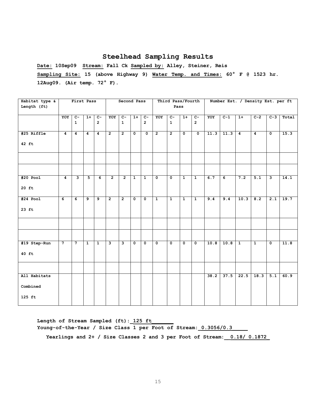**Date: 10Sep09 Stream: Fall Ck Sampled by: Alley, Steiner, Reis Sampling Site: 15 (above Highway 9) Water Temp. and Times: 60° F @ 1523 hr. 12Aug09. (Air temp. 72° F).**

| Habitat type & |                         | First Pass              |                |                |                | Second Pass    |                         |                         |                         | Third Pass/Fourth       |                         |                         |      | Number Est. / Density Est. per ft |                |                |                         |       |
|----------------|-------------------------|-------------------------|----------------|----------------|----------------|----------------|-------------------------|-------------------------|-------------------------|-------------------------|-------------------------|-------------------------|------|-----------------------------------|----------------|----------------|-------------------------|-------|
| Length (ft)    |                         |                         |                |                |                |                |                         |                         |                         | Pass                    |                         |                         |      |                                   |                |                |                         |       |
|                | YOY                     | $\overline{c}$          | $1+$           | $\overline{C}$ | YOY            | $\overline{c}$ | $1+$                    | $C-$                    | YOY                     | $c-$                    | $1+$                    | $\overline{C}$          | YOY  | $C-1$                             | $1+$           | $C-2$          | $C-3$                   | Total |
|                |                         | $\mathbf{1}$            |                | $\overline{2}$ |                | $\mathbf{1}$   |                         | $\overline{2}$          |                         | $\mathbf{1}$            |                         | $\overline{2}$          |      |                                   |                |                |                         |       |
| #25 Riffle     | $\overline{\mathbf{4}}$ | $\overline{4}$          | $\overline{4}$ | $\overline{4}$ | $\overline{2}$ | $\overline{2}$ | $\mathbf{0}$            | $\overline{0}$          | $\overline{2}$          | $\overline{2}$          | $\overline{\mathbf{0}}$ | $\overline{\mathbf{0}}$ | 11.3 | 11.3                              | $\overline{4}$ | $\overline{4}$ | $\overline{\mathbf{0}}$ | 15.3  |
| 42 ft          |                         |                         |                |                |                |                |                         |                         |                         |                         |                         |                         |      |                                   |                |                |                         |       |
|                |                         |                         |                |                |                |                |                         |                         |                         |                         |                         |                         |      |                                   |                |                |                         |       |
|                |                         |                         |                |                |                |                |                         |                         |                         |                         |                         |                         |      |                                   |                |                |                         |       |
| $#20$ Pool     | $\overline{\mathbf{4}}$ | $\overline{\mathbf{3}}$ | 5              | 6              | $\overline{2}$ | $\overline{2}$ | $\mathbf{1}$            | $\overline{1}$          | $\overline{\mathbf{0}}$ | $\overline{\mathbf{0}}$ | $\overline{1}$          | $\overline{1}$          | 6.7  | $\overline{6}$                    | 7.2            | 5.1            | نا                      | 14.1  |
| $20$ ft        |                         |                         |                |                |                |                |                         |                         |                         |                         |                         |                         |      |                                   |                |                |                         |       |
| $#24$ Pool     | $\overline{6}$          | $\overline{6}$          | و              | و              | $\overline{2}$ | $\overline{2}$ | $\overline{\mathbf{0}}$ | $\overline{\bullet}$    | $\overline{1}$          | $\overline{1}$          | $\overline{1}$          | $\overline{1}$          | 9.4  | 9.4                               | 10.3           | 8.2            | 2.1                     | 19.7  |
| $23$ ft        |                         |                         |                |                |                |                |                         |                         |                         |                         |                         |                         |      |                                   |                |                |                         |       |
|                |                         |                         |                |                |                |                |                         |                         |                         |                         |                         |                         |      |                                   |                |                |                         |       |
|                |                         |                         |                |                |                |                |                         |                         |                         |                         |                         |                         |      |                                   |                |                |                         |       |
| #19 Step-Run   | $\overline{7}$          | $\overline{7}$          | $\mathbf{1}$   | $\overline{1}$ | ِ              | ى              | $\mathbf 0$             | $\overline{\mathbf{0}}$ | $\overline{\mathbf{0}}$ | $\overline{\mathbf{0}}$ | $\overline{\mathbf{0}}$ | $\overline{\mathbf{0}}$ | 10.8 | 10.8                              | $\overline{1}$ | $\overline{1}$ | $\overline{\bullet}$    | 11.8  |
| 40 ft          |                         |                         |                |                |                |                |                         |                         |                         |                         |                         |                         |      |                                   |                |                |                         |       |
|                |                         |                         |                |                |                |                |                         |                         |                         |                         |                         |                         |      |                                   |                |                |                         |       |
| All Habitats   |                         |                         |                |                |                |                |                         |                         |                         |                         |                         |                         | 38.2 | 37.5                              | 22.5           | 18.3           | 5.1                     | 60.9  |
| Combined       |                         |                         |                |                |                |                |                         |                         |                         |                         |                         |                         |      |                                   |                |                |                         |       |
| $125$ ft       |                         |                         |                |                |                |                |                         |                         |                         |                         |                         |                         |      |                                   |                |                |                         |       |

Length of Stream Sampled (ft): 125 ft Young-of-the-Year / Size Class 1 per Foot of Stream: 0.3056/0.3

**Yearlings and 2+ / Size Classes 2 and 3 per Foot of Stream:\_\_0.18/ 0.1872\_**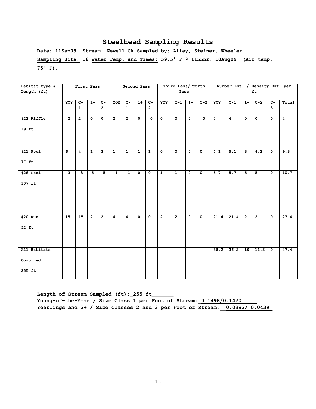**Date: 11Sep09 Stream: Newell Ck Sampled by: Alley, Steiner, Wheeler Sampling Site: 16 Water Temp. and Times: 59.5° F @ 1155hr. 10Aug09. (Air temp. 75° F).**

| Habitat type &                     |                         | First Pass           |                |                                  |                | Second Pass                    |                         |                         |                      | Third Pass/Fourth    |                      |                      |                |                |                | Number Est. / Density Est. per |                         |                |
|------------------------------------|-------------------------|----------------------|----------------|----------------------------------|----------------|--------------------------------|-------------------------|-------------------------|----------------------|----------------------|----------------------|----------------------|----------------|----------------|----------------|--------------------------------|-------------------------|----------------|
| Length (ft)                        |                         |                      |                |                                  |                |                                |                         |                         |                      | Pass                 |                      |                      |                |                |                | ft                             |                         |                |
|                                    | YOY                     | $c-$<br>$\mathbf{1}$ | $1+$           | $\overline{c}$<br>$\overline{2}$ | YOY            | $\overline{C}$<br>$\mathbf{1}$ | $1+$                    | $C -$<br>$\overline{2}$ | YOY                  | $C-1$                | $1+$                 | $C-2$                | YOY            | $C-1$          | $1+$           | $C-2$                          | $\overline{c}$<br>3     | Total          |
| #22 Riffle<br>$19$ ft              | $\overline{2}$          | $\overline{2}$       | $\mathbf 0$    | $\mathbf 0$                      | $\overline{2}$ | $\overline{2}$                 | $\overline{\mathbf{0}}$ | $\overline{\bullet}$    | $\overline{\bullet}$ | $\overline{\bullet}$ | $\overline{\bullet}$ | $\overline{\bullet}$ | $\overline{4}$ | $\overline{4}$ | $\mathbf{o}$   | $\overline{\bullet}$           | $\overline{\mathbf{0}}$ | $\overline{4}$ |
|                                    |                         |                      |                |                                  |                |                                |                         |                         |                      |                      |                      |                      |                |                |                |                                |                         |                |
| $#21$ Pool<br>77 ft                | 6                       | $\overline{4}$       | $\mathbf{1}$   | $\mathbf{3}$                     | $\mathbf{1}$   | $\mathbf{1}$                   | $\mathbf{1}$            | $\mathbf{1}$            | $\mathbf 0$          | $\mathbf{o}$         | $\mathbf 0$          | $\mathbf 0$          | 7.1            | 5.1            | $\mathbf{3}$   | 4.2                            | $\mathbf 0$             | 9.3            |
| $#28$ Pool<br>$107$ ft             | $\overline{\mathbf{3}}$ | $\mathbf{3}$         | 5 <sup>5</sup> | 5 <sup>5</sup>                   | $\mathbf{1}$   | $\mathbf{1}$                   | $\mathbf{o}$            | $\mathbf 0$             | $\mathbf{1}$         | $\mathbf{1}$         | $\mathbf 0$          | $\mathbf 0$          | 5.7            | 5.7            | 5              | 5 <sup>5</sup>                 | $\mathbf 0$             | 10.7           |
|                                    |                         |                      |                |                                  |                |                                |                         |                         |                      |                      |                      |                      |                |                |                |                                |                         |                |
|                                    |                         |                      |                |                                  |                |                                |                         |                         |                      |                      |                      |                      |                |                |                |                                |                         |                |
| #20 Run<br>52 ft                   | 15                      | 15                   | $\overline{2}$ | $\overline{2}$                   | $\overline{4}$ | 4                              | $\mathbf{o}$            | $\mathbf{o}$            | $\overline{2}$       | $\overline{2}$       | $\mathbf 0$          | $\mathbf 0$          | 21.4           | 21.4           | $\overline{2}$ | $\overline{2}$                 | $\mathbf 0$             | 23.4           |
|                                    |                         |                      |                |                                  |                |                                |                         |                         |                      |                      |                      |                      |                |                |                |                                |                         |                |
| All Habitats<br>Combined<br>255 ft |                         |                      |                |                                  |                |                                |                         |                         |                      |                      |                      |                      | 38.2           | 36.2           | 10             | 11.2                           | $\overline{\bullet}$    | 47.4           |

Length of Stream Sampled (ft): 255 ft Young-of-the-Year / Size Class 1 per Foot of Stream: 0.1498/0.1420 **Yearlings and 2+ / Size Classes 2 and 3 per Foot of Stream:\_\_0.0392/ 0.0439\_**

16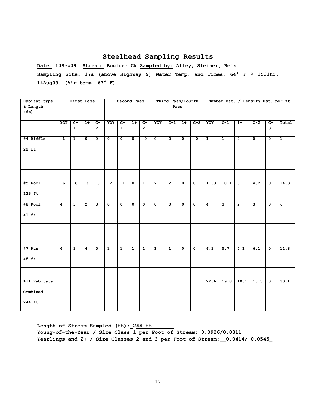**Date: 10Sep09 Stream: Boulder Ck Sampled by: Alley, Steiner, Reis Sampling Site: 17a (above Highway 9) Water Temp. and Times: 64° F @ 1531hr. 14Aug09. (Air temp. 67° F).**

| Habitat type      |                  | First Pass              |                         |                         |                | Second Pass    |                |                         |                         | Third Pass/Fourth |                         |                         |              |                |                | Number Est. / Density Est. per ft |                         |              |
|-------------------|------------------|-------------------------|-------------------------|-------------------------|----------------|----------------|----------------|-------------------------|-------------------------|-------------------|-------------------------|-------------------------|--------------|----------------|----------------|-----------------------------------|-------------------------|--------------|
| & Length          |                  |                         |                         |                         |                |                |                |                         |                         | Pass              |                         |                         |              |                |                |                                   |                         |              |
| (f <sub>t</sub> ) |                  |                         |                         |                         |                |                |                |                         |                         |                   |                         |                         |              |                |                |                                   |                         |              |
|                   |                  |                         |                         |                         |                |                |                |                         |                         |                   |                         |                         |              |                |                |                                   |                         |              |
|                   | YOY              | $\overline{c}$          | $1+$                    | $\overline{C}$          | YOY            | $c-$           | $1+$           | $\overline{c}$          | YOY                     | $C-1$             | $\overline{1+}$         | $C-2$                   | YOY          | $C-1$          | $1+$           | $C-2$                             | $\overline{C}$          | Total        |
|                   |                  | $\mathbf{1}$            |                         | $\overline{2}$          |                | $\mathbf{1}$   |                | $\overline{2}$          |                         |                   |                         |                         |              |                |                |                                   | $\overline{\mathbf{3}}$ |              |
|                   |                  |                         |                         |                         |                |                |                |                         |                         |                   |                         |                         |              |                |                |                                   |                         |              |
| #4 Riffle         | $\mathbf{1}$     | $\mathbf{1}$            | $\mathbf{0}$            | $\Omega$                | $\mathbf{0}$   | $\mathbf 0$    | $\mathbf{0}$   | $\overline{\mathbf{0}}$ | $\overline{\mathbf{0}}$ | $\Omega$          | $\mathbf{o}$            | $\overline{\mathbf{0}}$ | $\mathbf{1}$ | $\mathbf{1}$   | $\mathbf 0$    | $\mathbf 0$                       | $\overline{\mathbf{0}}$ | $\mathbf{1}$ |
|                   |                  |                         |                         |                         |                |                |                |                         |                         |                   |                         |                         |              |                |                |                                   |                         |              |
| $22$ ft           |                  |                         |                         |                         |                |                |                |                         |                         |                   |                         |                         |              |                |                |                                   |                         |              |
|                   |                  |                         |                         |                         |                |                |                |                         |                         |                   |                         |                         |              |                |                |                                   |                         |              |
|                   |                  |                         |                         |                         |                |                |                |                         |                         |                   |                         |                         |              |                |                |                                   |                         |              |
|                   |                  |                         |                         |                         |                |                |                |                         |                         |                   |                         |                         |              |                |                |                                   |                         |              |
|                   |                  |                         |                         |                         |                |                |                |                         |                         |                   |                         |                         |              |                |                |                                   |                         |              |
|                   |                  |                         |                         |                         |                |                |                |                         |                         |                   |                         |                         |              |                |                |                                   |                         |              |
| #5 Pool           | 6                | 6                       | $\overline{\mathbf{3}}$ | $\mathbf{3}$            | $\overline{2}$ | $\mathbf{1}$   | $\mathbf{o}$   | $\mathbf{1}$            | $\overline{2}$          | $\overline{2}$    | $\overline{\mathbf{0}}$ | $\overline{\mathbf{0}}$ | 11.3         | 10.1           | ی              | $\overline{4.2}$                  | $\mathbf{0}$            | 14.3         |
|                   |                  |                         |                         |                         |                |                |                |                         |                         |                   |                         |                         |              |                |                |                                   |                         |              |
| 133 ft            |                  |                         |                         |                         |                |                |                |                         |                         |                   |                         |                         |              |                |                |                                   |                         |              |
|                   |                  |                         |                         |                         |                |                |                |                         |                         |                   |                         |                         |              |                |                |                                   |                         |              |
| $#8$ Pool         | $\boldsymbol{4}$ | $\overline{\mathbf{3}}$ | $\overline{2}$          | $\overline{\mathbf{3}}$ | $\mathbf 0$    | $\mathbf 0$    | $\mathbf{0}$   | $\mathbf 0$             | $\mathbf 0$             | $\mathbf 0$       | $\mathbf 0$             | $\mathbf 0$             | 4            | $\overline{3}$ | $\overline{2}$ | $\mathbf{3}$                      | $\mathbf 0$             | 6            |
|                   |                  |                         |                         |                         |                |                |                |                         |                         |                   |                         |                         |              |                |                |                                   |                         |              |
| 41 ft             |                  |                         |                         |                         |                |                |                |                         |                         |                   |                         |                         |              |                |                |                                   |                         |              |
|                   |                  |                         |                         |                         |                |                |                |                         |                         |                   |                         |                         |              |                |                |                                   |                         |              |
|                   |                  |                         |                         |                         |                |                |                |                         |                         |                   |                         |                         |              |                |                |                                   |                         |              |
|                   |                  |                         |                         |                         |                |                |                |                         |                         |                   |                         |                         |              |                |                |                                   |                         |              |
|                   |                  |                         |                         |                         |                |                |                |                         |                         |                   |                         |                         |              |                |                |                                   |                         |              |
|                   |                  | $\overline{\mathbf{3}}$ |                         |                         |                | $\overline{1}$ | $\overline{1}$ | $\overline{1}$          |                         |                   |                         |                         | 6.3          | 5.7            |                |                                   |                         |              |
| $#7$ Run          | 4                |                         | 4                       | 5                       | $\overline{1}$ |                |                |                         | $\overline{1}$          | $\overline{1}$    | $\overline{\mathbf{0}}$ | $\overline{\mathbf{0}}$ |              |                | 5.1            | 6.1                               | $\mathbf 0$             | 11.8         |
| 48 ft             |                  |                         |                         |                         |                |                |                |                         |                         |                   |                         |                         |              |                |                |                                   |                         |              |
|                   |                  |                         |                         |                         |                |                |                |                         |                         |                   |                         |                         |              |                |                |                                   |                         |              |
|                   |                  |                         |                         |                         |                |                |                |                         |                         |                   |                         |                         |              |                |                |                                   |                         |              |
|                   |                  |                         |                         |                         |                |                |                |                         |                         |                   |                         |                         |              |                |                |                                   |                         |              |
| All Habitats      |                  |                         |                         |                         |                |                |                |                         |                         |                   |                         |                         | 22.6         | 19.8           | 10.1           | 13.3                              | $\overline{\mathbf{0}}$ | 33.1         |
|                   |                  |                         |                         |                         |                |                |                |                         |                         |                   |                         |                         |              |                |                |                                   |                         |              |
| Combined          |                  |                         |                         |                         |                |                |                |                         |                         |                   |                         |                         |              |                |                |                                   |                         |              |
|                   |                  |                         |                         |                         |                |                |                |                         |                         |                   |                         |                         |              |                |                |                                   |                         |              |
| 244 ft            |                  |                         |                         |                         |                |                |                |                         |                         |                   |                         |                         |              |                |                |                                   |                         |              |
|                   |                  |                         |                         |                         |                |                |                |                         |                         |                   |                         |                         |              |                |                |                                   |                         |              |

Length of Stream Sampled (ft): 244 ft Young-of-the-Year / Size Class 1 per Foot of Stream: 0.0926/0.0811 **Yearlings and 2+ / Size Classes 2 and 3 per Foot of Stream:\_\_0.0414/ 0.0545\_**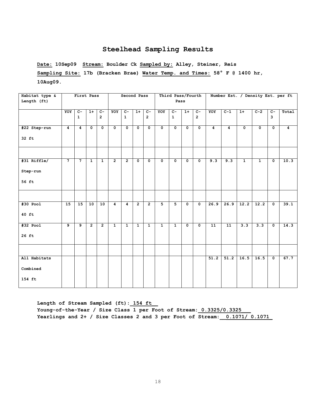**Date: 10Sep09 Stream: Boulder Ck Sampled by: Alley, Steiner, Reis Sampling Site: 17b (Bracken Brae) Water Temp. and Times: 58° F @ 1400 hr, 10Aug09.** 

| Habitat type & |             | First Pass                     |                         |                                  |                           | Second Pass                      |                         |                                  |                           | Third Pass/Fourth              |                |                                  |                 |                   |                |                |                                  | Number Est. / Density Est. per ft |
|----------------|-------------|--------------------------------|-------------------------|----------------------------------|---------------------------|----------------------------------|-------------------------|----------------------------------|---------------------------|--------------------------------|----------------|----------------------------------|-----------------|-------------------|----------------|----------------|----------------------------------|-----------------------------------|
| Length (ft)    |             |                                |                         |                                  |                           |                                  |                         |                                  |                           | Pass                           |                |                                  |                 |                   |                |                |                                  |                                   |
|                | YOY         | $\overline{c}$<br>$\mathbf{1}$ | $1+$                    | $\overline{c}$<br>$\overline{2}$ | YOY                       | $\overline{c}$ -<br>$\mathbf{1}$ | $1+$                    | $\overline{C}$<br>$\overline{2}$ | YOY                       | $\overline{c}$<br>$\mathbf{1}$ | $1+$           | $\overline{c}$<br>$\overline{2}$ | YOY             | $C-1$             | $1+$           | $C-2$          | $\overline{c}$<br>$\overline{3}$ | Total                             |
|                |             |                                |                         |                                  |                           |                                  |                         |                                  |                           |                                |                |                                  |                 |                   |                |                |                                  |                                   |
| #22 Step-run   | 4           | $\overline{4}$                 | $\overline{\mathbf{0}}$ | $\overline{\mathfrak{o}}$        | $\overline{\mathfrak{o}}$ | $\overline{\mathbf{0}}$          | $\overline{\mathbf{0}}$ | $\overline{\mathfrak{o}}$        | $\overline{\mathfrak{o}}$ | $\overline{\mathfrak{o}}$      | $\mathbf 0$    | $\overline{\mathfrak{o}}$        | $\overline{4}$  | $\overline{4}$    | $\overline{0}$ | $\overline{0}$ | $\mathbf 0$                      | $\overline{4}$                    |
| 32 ft          |             |                                |                         |                                  |                           |                                  |                         |                                  |                           |                                |                |                                  |                 |                   |                |                |                                  |                                   |
|                |             |                                |                         |                                  |                           |                                  |                         |                                  |                           |                                |                |                                  |                 |                   |                |                |                                  |                                   |
| #31 Riffle/    | $7^{\circ}$ | $\overline{7}$                 | $\mathbf{1}$            | $\mathbf{1}$                     | $\overline{2}$            | $\overline{2}$                   | $\mathbf 0$             | $\mathbf 0$                      | $\mathbf 0$               | $\mathbf 0$                    | 0              | $\mathbf 0$                      | 9.3             | 9.3               | $\mathbf{1}$   | $\mathbf{1}$   | $\mathbf 0$                      | 10.3                              |
| Step-run       |             |                                |                         |                                  |                           |                                  |                         |                                  |                           |                                |                |                                  |                 |                   |                |                |                                  |                                   |
| 56 ft          |             |                                |                         |                                  |                           |                                  |                         |                                  |                           |                                |                |                                  |                 |                   |                |                |                                  |                                   |
|                |             |                                |                         |                                  |                           |                                  |                         |                                  |                           |                                |                |                                  |                 |                   |                |                |                                  |                                   |
| $#30$ Pool     | 15          | 15                             | 10                      | 10                               | $\overline{4}$            | $\overline{4}$                   | $\overline{2}$          | $\overline{2}$                   | $\overline{5}$            | $\overline{5}$                 | 0              | $\overline{\mathbf{0}}$          | 26.9            | 26.9              | 12.2           | 12.2           | $\overline{\mathbf{0}}$          | 39.1                              |
| 40 ft          |             |                                |                         |                                  |                           |                                  |                         |                                  |                           |                                |                |                                  |                 |                   |                |                |                                  |                                   |
| $#32$ Pool     | و           | $\overline{9}$                 | $\overline{2}$          | $\overline{2}$                   | $\overline{1}$            | $\overline{1}$                   | $\overline{1}$          | $\overline{1}$                   | $\overline{1}$            | $\overline{1}$                 | $\overline{0}$ | $\overline{\mathbf{0}}$          | $\overline{11}$ | $\overline{11}$   | 3.3            | 3.3            | $\overline{\mathbf{0}}$          | 14.3                              |
| 26 ft          |             |                                |                         |                                  |                           |                                  |                         |                                  |                           |                                |                |                                  |                 |                   |                |                |                                  |                                   |
|                |             |                                |                         |                                  |                           |                                  |                         |                                  |                           |                                |                |                                  |                 |                   |                |                |                                  |                                   |
| All Habitats   |             |                                |                         |                                  |                           |                                  |                         |                                  |                           |                                |                |                                  | 51.2            | $\overline{51.2}$ | 16.5           | 16.5           | $\mathbf 0$                      | 67.7                              |
| Combined       |             |                                |                         |                                  |                           |                                  |                         |                                  |                           |                                |                |                                  |                 |                   |                |                |                                  |                                   |
| 154 ft         |             |                                |                         |                                  |                           |                                  |                         |                                  |                           |                                |                |                                  |                 |                   |                |                |                                  |                                   |

**Length of Stream Sampled (ft):\_154 ft\_\_** Young-of-the-Year / Size Class 1 per Foot of Stream: 0.3325/0.3325 **Yearlings and 2+ / Size Classes 2 and 3 per Foot of Stream:\_\_0.1071/ 0.1071\_**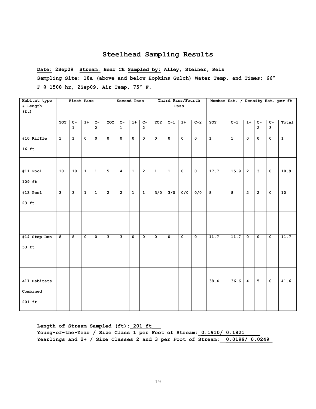**Date: 2Sep09 Stream: Bear Ck Sampled by: Alley, Steiner, Reis Sampling Site: 18a (above and below Hopkins Gulch) Water Temp. and Times: 66° F @ 1508 hr, 2Sep09. Air Temp. 75° F.**

| Habitat type      |                         | First Pass              |                         |                         |                | Second Pass    |                 |                |                         | Third Pass/Fourth       |                           |                         | Number Est. / Density Est. per ft |                |                      |                         |                         |                |
|-------------------|-------------------------|-------------------------|-------------------------|-------------------------|----------------|----------------|-----------------|----------------|-------------------------|-------------------------|---------------------------|-------------------------|-----------------------------------|----------------|----------------------|-------------------------|-------------------------|----------------|
| & Length          |                         |                         |                         |                         |                |                |                 |                |                         |                         | Pass                      |                         |                                   |                |                      |                         |                         |                |
| (f <sub>t</sub> ) |                         |                         |                         |                         |                |                |                 |                |                         |                         |                           |                         |                                   |                |                      |                         |                         |                |
|                   |                         |                         |                         |                         |                |                |                 |                |                         |                         |                           |                         |                                   |                |                      |                         |                         |                |
|                   | YOY                     | $\overline{c}$ -        | $1+$                    | $\overline{C}$          | YOY            | $c-$           | $\overline{1+}$ | $\overline{c}$ | YOY                     | $C-1$                   | $1+$                      | $C-2$                   | YOY                               | $C-1$          | $1+$                 | $\overline{c}$          | $\overline{c}$          | Total          |
|                   |                         | $\mathbf{1}$            |                         | $\overline{2}$          |                | $\mathbf{1}$   |                 | $\overline{2}$ |                         |                         |                           |                         |                                   |                |                      | $\overline{2}$          | $\mathbf{3}$            |                |
|                   |                         |                         |                         |                         |                |                |                 |                |                         |                         |                           |                         |                                   |                |                      |                         |                         |                |
| #10 Riffle        | $\mathbf{1}$            | $\mathbf{1}$            | $\mathbf 0$             | $\mathbf 0$             | $\mathbf{o}$   | $\mathbf{0}$   | $\mathbf{0}$    | $\mathbf{0}$   | $\mathbf{0}$            | $\overline{\mathbf{0}}$ | $\overline{\mathbf{0}}$   | $\mathbf{o}$            | $\overline{1}$                    | $\overline{1}$ | $\mathbf 0$          | $\mathbf 0$             | $\mathbf{0}$            | $\overline{1}$ |
| $16$ ft           |                         |                         |                         |                         |                |                |                 |                |                         |                         |                           |                         |                                   |                |                      |                         |                         |                |
|                   |                         |                         |                         |                         |                |                |                 |                |                         |                         |                           |                         |                                   |                |                      |                         |                         |                |
|                   |                         |                         |                         |                         |                |                |                 |                |                         |                         |                           |                         |                                   |                |                      |                         |                         |                |
|                   |                         |                         |                         |                         |                |                |                 |                |                         |                         |                           |                         |                                   |                |                      |                         |                         |                |
| $#11$ Pool        | 10                      | 10                      | $\mathbf{1}$            | $\mathbf{1}$            | 5              | $\overline{4}$ | $\mathbf{1}$    | $\overline{2}$ | $\mathbf{1}$            | $\mathbf{1}$            | $\mathbf{o}$              | $\mathbf{o}$            | 17.7                              | 15.9           | $\overline{2}$       | $\mathbf{3}$            | $\mathbf{o}$            | 18.9           |
| $109$ ft          |                         |                         |                         |                         |                |                |                 |                |                         |                         |                           |                         |                                   |                |                      |                         |                         |                |
|                   |                         |                         |                         |                         |                |                |                 |                |                         |                         |                           |                         |                                   |                |                      |                         |                         |                |
| $#13$ Pool        | $\overline{\mathbf{3}}$ | $\overline{\mathbf{3}}$ | $\overline{1}$          | $\overline{1}$          | $\overline{2}$ | $\overline{2}$ | $\mathbf{1}$    | $\overline{1}$ | 3/0                     | 3/0                     | 0/0                       | 0/0                     | $\overline{\mathbf{g}}$           | $\overline{8}$ | $\overline{2}$       | $\overline{2}$          | $\mathbf 0$             | 10             |
|                   |                         |                         |                         |                         |                |                |                 |                |                         |                         |                           |                         |                                   |                |                      |                         |                         |                |
| $23$ ft           |                         |                         |                         |                         |                |                |                 |                |                         |                         |                           |                         |                                   |                |                      |                         |                         |                |
|                   |                         |                         |                         |                         |                |                |                 |                |                         |                         |                           |                         |                                   |                |                      |                         |                         |                |
|                   |                         |                         |                         |                         |                |                |                 |                |                         |                         |                           |                         |                                   |                |                      |                         |                         |                |
|                   |                         |                         |                         |                         |                |                |                 |                |                         |                         |                           |                         |                                   |                |                      |                         |                         |                |
|                   |                         |                         |                         |                         |                |                |                 |                |                         |                         |                           |                         |                                   |                |                      |                         |                         |                |
| #14 Step-Run      | $\overline{\mathbf{8}}$ | $\overline{\mathbf{8}}$ | $\overline{\mathbf{0}}$ | $\overline{\mathbf{0}}$ | د              | ن              | $\mathbf 0$     | 0              | $\overline{\mathbf{0}}$ | $\overline{\mathbf{0}}$ | $\overline{\mathfrak{o}}$ | $\overline{\mathbf{0}}$ | 11.7                              | 11.7           | $\overline{\bullet}$ | $\overline{\mathbf{0}}$ | $\mathbf 0$             | 11.7           |
|                   |                         |                         |                         |                         |                |                |                 |                |                         |                         |                           |                         |                                   |                |                      |                         |                         |                |
| 53 ft             |                         |                         |                         |                         |                |                |                 |                |                         |                         |                           |                         |                                   |                |                      |                         |                         |                |
|                   |                         |                         |                         |                         |                |                |                 |                |                         |                         |                           |                         |                                   |                |                      |                         |                         |                |
|                   |                         |                         |                         |                         |                |                |                 |                |                         |                         |                           |                         |                                   |                |                      |                         |                         |                |
|                   |                         |                         |                         |                         |                |                |                 |                |                         |                         |                           |                         |                                   |                |                      |                         |                         |                |
|                   |                         |                         |                         |                         |                |                |                 |                |                         |                         |                           |                         |                                   |                |                      |                         |                         |                |
|                   |                         |                         |                         |                         |                |                |                 |                |                         |                         |                           |                         |                                   |                |                      |                         |                         |                |
| All Habitats      |                         |                         |                         |                         |                |                |                 |                |                         |                         |                           |                         | 38.4                              | 36.6           | $\boldsymbol{4}$     | $\overline{5}$          | $\overline{\mathbf{0}}$ | 41.6           |
|                   |                         |                         |                         |                         |                |                |                 |                |                         |                         |                           |                         |                                   |                |                      |                         |                         |                |
| Combined          |                         |                         |                         |                         |                |                |                 |                |                         |                         |                           |                         |                                   |                |                      |                         |                         |                |
| $201$ ft          |                         |                         |                         |                         |                |                |                 |                |                         |                         |                           |                         |                                   |                |                      |                         |                         |                |
|                   |                         |                         |                         |                         |                |                |                 |                |                         |                         |                           |                         |                                   |                |                      |                         |                         |                |

**Length of Stream Sampled (ft):\_201 ft\_\_\_** Young-of-the-Year / Size Class 1 per Foot of Stream: 0.1910/ 0.1821 **Yearlings and 2+ / Size Classes 2 and 3 per Foot of Stream:\_\_0.0199/ 0.0249\_**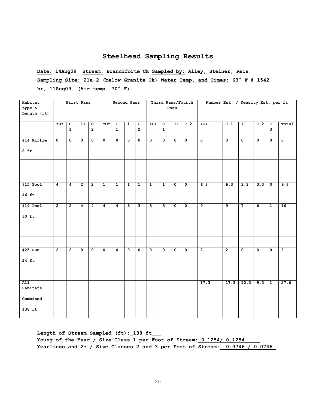**Date: 14Aug09 Stream: Branciforte Ck Sampled by: Alley, Steiner, Reis Sampling Site: 21a-2 (below Granite Ck) Water Temp. and Times: 63° F @ 1542 hr, 11Aug09. (Air temp. 70° F).**

| Habitat<br>type &<br>Length (ft)                   |                | First Pass           |                |                      |                | Second Pass                    |                         |                                  |                         |                                | Pass         | Third Pass/Fourth       | Number Est. / Density Est. per ft |                |                |                |                                |                |
|----------------------------------------------------|----------------|----------------------|----------------|----------------------|----------------|--------------------------------|-------------------------|----------------------------------|-------------------------|--------------------------------|--------------|-------------------------|-----------------------------------|----------------|----------------|----------------|--------------------------------|----------------|
|                                                    | YOY            | $c-$<br>$\mathbf{1}$ | $1+$           | $c-$<br>$\mathbf{2}$ | YOY            | $\overline{c}$<br>$\mathbf{1}$ | $1+$                    | $\overline{c}$<br>$\overline{2}$ | YOY                     | $\overline{c}$<br>$\mathbf{1}$ | $1+$         | $C-2$                   | YOY                               | $C-1$          | $1+$           | $C-2$          | $\overline{c}$<br>$\mathbf{3}$ | Total          |
| #14 Riffle<br>$8$ ft                               | $\mathbf 0$    | $\mathbf 0$          | $\mathbf 0$    | $\mathbf 0$          | $\mathbf 0$    | $\mathbf 0$                    | $\mathbf 0$             | $\mathbf 0$                      | $\mathbf 0$             | $\mathbf 0$                    | $\mathbf 0$  | $\mathbf 0$             | $\mathbf 0$                       | $\mathbf 0$    | $\mathbf 0$    | $\mathbf 0$    | $\mathbf 0$                    | $\mathbf 0$    |
|                                                    |                |                      |                |                      |                |                                |                         |                                  |                         |                                |              |                         |                                   |                |                |                |                                |                |
| $#15$ Pool<br>46 ft                                | 4              | 4                    | $\overline{2}$ | $\overline{2}$       | $\overline{1}$ | $\overline{1}$                 | $\mathbf{1}$            | $\overline{1}$                   | $\mathbf{1}$            | $\mathbf{1}$                   | $\mathbf 0$  | $\overline{\mathbf{0}}$ | 6.3                               | 6.3            | 3.3            | 3.3            | $\mathbf 0$                    | 9.6            |
| $#19$ Pool<br>$60$ ft                              | $\overline{2}$ | $\overline{2}$       | 4              | $\overline{4}$       | 4              | $\overline{4}$                 | $\overline{\mathbf{3}}$ | $\overline{\mathbf{3}}$          | $\overline{\mathbf{3}}$ | $\overline{\mathbf{3}}$        | $\mathbf{0}$ | $\mathbf{0}$            | $\overline{9}$                    | $\overline{9}$ | $\overline{7}$ | $\overline{6}$ | $\mathbf{1}$                   | 16             |
|                                                    |                |                      |                |                      |                |                                |                         |                                  |                         |                                |              |                         |                                   |                |                |                |                                |                |
| #25 Run<br>24 ft                                   | $\overline{2}$ | $\overline{2}$       | $\mathbf 0$    | 0                    | 0              | $\overline{\mathbf{0}}$        | $\mathbf 0$             | $\mathbf 0$                      | $\mathbf 0$             | $\mathbf 0$                    | $\mathbf 0$  | $\overline{\mathbf{0}}$ | $\overline{2}$                    | $\overline{2}$ | 0              | $\mathbf 0$    | $\mathbf 0$                    | $\overline{2}$ |
|                                                    |                |                      |                |                      |                |                                |                         |                                  |                         |                                |              |                         |                                   |                |                |                |                                |                |
| $\overline{A11}$<br>Habitats<br>Combined<br>138 ft |                |                      |                |                      |                |                                |                         |                                  |                         |                                |              |                         | 17.3                              | 17.3           | 10.3           | 9.3            | $\overline{1}$                 | 27.6           |

Length of Stream Sampled (ft): 138 ft Young-of-the-Year / Size Class 1 per Foot of Stream: 0.1254/ 0.1254 **Yearlings and 2+ / Size Classes 2 and 3 per Foot of Stream:\_\_0.0746 / 0.0746\_**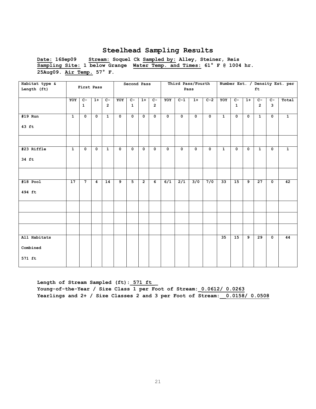**Date: 16Sep09 Stream: Soquel Ck Sampled by: Alley, Steiner, Reis Sampling Site: 1 below Grange Water Temp. and Times: 61° F @ 1004 hr. 25Aug09. Air Temp. 57° F.** 

| Habitat type & |                |                |                |                 |             | Second Pass  |                |                |             | Third Pass/Fourth |              |             |              |              |                |                 |                           | Number Est. / Density Est. per |
|----------------|----------------|----------------|----------------|-----------------|-------------|--------------|----------------|----------------|-------------|-------------------|--------------|-------------|--------------|--------------|----------------|-----------------|---------------------------|--------------------------------|
| Length (ft)    |                | First Pass     |                |                 |             |              |                |                |             | Pass              |              |             |              |              |                | ft              |                           |                                |
|                | YOY            | $c-$           | $1+$           | $C-$            | YOY         | $C-$         | $1+$           | $c-$           | YOY         | $C-1$             | $1+$         | $C-2$       | YOY          | $c-$         | $1+$           | $C -$           | $c-$                      | Total                          |
|                |                | $\mathbf{1}$   |                | $\overline{2}$  |             | $\mathbf{1}$ |                | $\overline{2}$ |             |                   |              |             |              | $\mathbf{1}$ |                | $\overline{2}$  | 3                         |                                |
|                |                |                |                |                 |             |              |                |                |             |                   |              |             |              |              |                |                 |                           |                                |
| #19 Run        | $\mathbf{1}$   | $\mathbf 0$    | $\mathbf 0$    | $\mathbf{1}$    | $\mathbf 0$ | $\mathbf 0$  | $\mathbf 0$    | $\mathbf{o}$   | $\mathbf 0$ | $\mathbf{o}$      | $\mathbf{0}$ | $\mathbf 0$ | $\mathbf{1}$ | $\mathbf 0$  | $\mathbf 0$    | $\mathbf{1}$    | $\mathbf 0$               | $\mathbf{1}$                   |
| $43$ ft        |                |                |                |                 |             |              |                |                |             |                   |              |             |              |              |                |                 |                           |                                |
|                |                |                |                |                 |             |              |                |                |             |                   |              |             |              |              |                |                 |                           |                                |
| #23 Riffle     | $\overline{1}$ | $\mathbf 0$    | $\mathbf 0$    | $\mathbf{1}$    | $\mathbf 0$ | $\mathbf 0$  | $\mathbf 0$    | $\mathbf{o}$   | $\mathbf 0$ | $\mathbf{o}$      | $\mathbf{o}$ | $\mathbf 0$ | $\mathbf{1}$ | $\mathbf 0$  | $\mathbf 0$    | $\mathbf{1}$    | $\mathbf 0$               | $\mathbf{1}$                   |
| 34 ft          |                |                |                |                 |             |              |                |                |             |                   |              |             |              |              |                |                 |                           |                                |
|                |                |                |                |                 |             |              |                |                |             |                   |              |             |              |              |                |                 |                           |                                |
| $#18$ Pool     | 17             | $\overline{7}$ | $\overline{4}$ | $\overline{14}$ | و           | 5            | $\overline{2}$ | $\overline{6}$ | 6/1         | $\overline{2/1}$  | 3/0          | 7/0         | 33           | 15           | و              | $\overline{27}$ | $\overline{\mathbf{0}}$   | 42                             |
| 494 ft         |                |                |                |                 |             |              |                |                |             |                   |              |             |              |              |                |                 |                           |                                |
|                |                |                |                |                 |             |              |                |                |             |                   |              |             |              |              |                |                 |                           |                                |
|                |                |                |                |                 |             |              |                |                |             |                   |              |             |              |              |                |                 |                           |                                |
|                |                |                |                |                 |             |              |                |                |             |                   |              |             |              |              |                |                 |                           |                                |
| All Habitats   |                |                |                |                 |             |              |                |                |             |                   |              |             | 35           | 15           | $\overline{9}$ | 29              | $\overline{\mathfrak{o}}$ | 44                             |
| Combined       |                |                |                |                 |             |              |                |                |             |                   |              |             |              |              |                |                 |                           |                                |
| 571 ft         |                |                |                |                 |             |              |                |                |             |                   |              |             |              |              |                |                 |                           |                                |

Length of Stream Sampled (ft): 571 ft **Young-of-the-Year / Size Class 1 per Foot of Stream:\_0.0612/ 0.0263 Yearlings and 2+ / Size Classes 2 and 3 per Foot of Stream:\_\_0.0158/ 0.0508**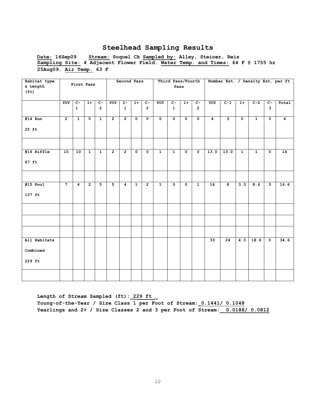**Date: 16Sep09 Stream: Soquel Ck Sampled by: Alley, Steiner, Reis Sampling Site: 4 Adjacent Flower Field. Water Temp. and Times: 64 F @ 1755 hr 25Aug09. Air Temp. 63 F** 

| Habitat type                  |                | First Pass     |                |                |                | Second Pass             |              |                |                | Third Pass/Fourth<br>Pass |                         |                |                  |                         |              |              |                         | Number Est. / Density Est. per ft |
|-------------------------------|----------------|----------------|----------------|----------------|----------------|-------------------------|--------------|----------------|----------------|---------------------------|-------------------------|----------------|------------------|-------------------------|--------------|--------------|-------------------------|-----------------------------------|
| & Length<br>(f <sub>t</sub> ) |                |                |                |                |                |                         |              |                |                |                           |                         |                |                  |                         |              |              |                         |                                   |
|                               | YOY            | $C -$          | $1+$           | $c-$           | YOY            | $C-$                    | $1+$         | $c-$           | YOY            | $C -$                     | $1+$                    | $C -$          | YOY              | $C-1$                   | $1+$         | $C-2$        | $c-$                    | Total                             |
|                               |                | $\mathbf{1}$   |                | $\overline{2}$ |                | $\mathbf{1}$            |              | $\overline{2}$ |                | $\mathbf{1}$              |                         | $\overline{2}$ |                  |                         |              |              | $\overline{3}$          |                                   |
| $#14$ Run                     | $\overline{2}$ | $\mathbf{1}$   | $\mathbf 0$    | $\mathbf{1}$   | $\overline{2}$ | $\overline{2}$          | $\mathbf 0$  | $\mathbf 0$    | $\mathbf 0$    | $\mathbf 0$               | 0                       | $\mathbf 0$    | $\boldsymbol{4}$ | $\mathbf{3}$            | $\mathbf 0$  | $\mathbf{1}$ | $\mathbf 0$             | 4                                 |
| 25 ft                         |                |                |                |                |                |                         |              |                |                |                           |                         |                |                  |                         |              |              |                         |                                   |
|                               |                |                |                |                |                |                         |              |                |                |                           |                         |                |                  |                         |              |              |                         |                                   |
| #16 Riffle                    | 10             | 10             | $\overline{1}$ | $\mathbf{1}$   | $\overline{2}$ | $\overline{2}$          | $\mathbf 0$  | $\mathbf 0$    | $\overline{1}$ | $\overline{1}$            | $\overline{\mathbf{0}}$ | $\mathbf 0$    | 13.0             | 13.0                    | $\mathbf{1}$ | $\mathbf{1}$ | $\overline{\mathbf{0}}$ | $\overline{14}$                   |
| 67 ft                         |                |                |                |                |                |                         |              |                |                |                           |                         |                |                  |                         |              |              |                         |                                   |
|                               |                |                |                |                |                |                         |              |                |                |                           |                         |                |                  |                         |              |              |                         |                                   |
| $#15$ Pool                    | $\overline{7}$ | $\overline{4}$ | $\overline{2}$ | 5              | $\overline{5}$ | $\overline{\mathbf{4}}$ | $\mathbf{1}$ | $\overline{2}$ | $\overline{1}$ | $\overline{\mathbf{0}}$   | $\overline{\mathbf{0}}$ | $\overline{1}$ | 16               | $\overline{\mathbf{e}}$ | 3.3          | 8.6          | $\mathbf 0$             | 16.6                              |
| 137 ft                        |                |                |                |                |                |                         |              |                |                |                           |                         |                |                  |                         |              |              |                         |                                   |
|                               |                |                |                |                |                |                         |              |                |                |                           |                         |                |                  |                         |              |              |                         |                                   |
|                               |                |                |                |                |                |                         |              |                |                |                           |                         |                |                  |                         |              |              |                         |                                   |
|                               |                |                |                |                |                |                         |              |                |                |                           |                         |                |                  |                         |              |              |                         |                                   |
| All Habitats                  |                |                |                |                |                |                         |              |                |                |                           |                         |                | 33               | 24                      | 4.3          | 18.6         | $\overline{\mathbf{0}}$ | 34.6                              |
| Combined                      |                |                |                |                |                |                         |              |                |                |                           |                         |                |                  |                         |              |              |                         |                                   |
| 229 ft                        |                |                |                |                |                |                         |              |                |                |                           |                         |                |                  |                         |              |              |                         |                                   |
|                               |                |                |                |                |                |                         |              |                |                |                           |                         |                |                  |                         |              |              |                         |                                   |

Length of Stream Sampled (ft): 229 ft **Young-of-the-Year / Size Class 1 per Foot of Stream:\_0.1441/ 0.1048 Yearlings and 2+ / Size Classes 2 and 3 per Foot of Stream:\_\_0.0188/ 0.0812**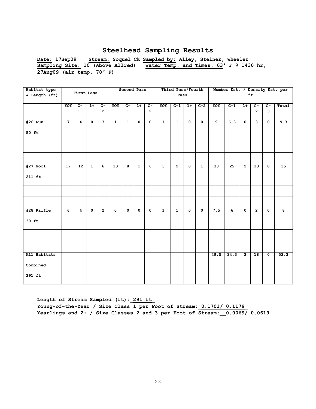**Date: 17Sep09 Stream: Soquel Ck Sampled by: Alley, Steiner, Wheeler Sampling Site: 10 (Above Allred) Water Temp. and Times: 63° F @ 1430 hr, 27Aug09 (air temp. 78° F)**

| Habitat type  |                |                 |                |                         |              | Second Pass             |                |                |                         | Third Pass/Fourth |                         |                |      | Number Est. / Density Est. per |                |                         |                         |       |
|---------------|----------------|-----------------|----------------|-------------------------|--------------|-------------------------|----------------|----------------|-------------------------|-------------------|-------------------------|----------------|------|--------------------------------|----------------|-------------------------|-------------------------|-------|
| & Length (ft) |                | First Pass      |                |                         |              |                         |                |                |                         | Pass              |                         |                |      |                                |                | ft                      |                         |       |
|               |                |                 |                |                         |              |                         |                |                |                         |                   |                         |                |      |                                |                |                         |                         |       |
|               | YOY            | $\overline{c}$  | $1+$           | $c-$                    | YOY          | $C -$                   | $1+$           | $c-$           | YOY                     | $C-1$             | $1+$                    | $C-2$          | YOY  | $C-1$                          | $1+$           | $c-$                    | $c-$                    | Total |
|               |                | $\mathbf{1}$    |                | $\overline{2}$          |              | $\mathbf{1}$            |                | $\overline{2}$ |                         |                   |                         |                |      |                                |                | $\overline{2}$          | $\mathbf{3}$            |       |
|               |                |                 |                |                         |              |                         |                |                |                         |                   |                         |                |      |                                |                |                         |                         |       |
| #26 Run       | $\overline{7}$ | $\overline{4}$  | $\mathbf{0}$   | $\overline{\mathbf{3}}$ | $\mathbf{1}$ | $\overline{1}$          | $\mathbf 0$    | $\mathbf{0}$   | $\mathbf{1}$            | $\overline{1}$    | $\overline{\mathbf{0}}$ | $\overline{0}$ | و    | 6.3                            | $\mathbf 0$    | $\overline{\mathbf{3}}$ | $\overline{0}$          | 9.3   |
|               |                |                 |                |                         |              |                         |                |                |                         |                   |                         |                |      |                                |                |                         |                         |       |
| 50 ft         |                |                 |                |                         |              |                         |                |                |                         |                   |                         |                |      |                                |                |                         |                         |       |
|               |                |                 |                |                         |              |                         |                |                |                         |                   |                         |                |      |                                |                |                         |                         |       |
|               |                |                 |                |                         |              |                         |                |                |                         |                   |                         |                |      |                                |                |                         |                         |       |
|               |                |                 |                |                         |              |                         |                |                |                         |                   |                         |                |      |                                |                |                         |                         |       |
|               |                |                 |                |                         |              |                         |                |                |                         |                   |                         |                |      |                                |                |                         |                         |       |
| $#27$ Pool    | 17             | $\overline{12}$ | $\overline{1}$ | 6                       | 13           | $\overline{\mathbf{8}}$ | $\overline{1}$ | 6              | $\overline{\mathbf{3}}$ | $\overline{2}$    | $\overline{\mathbf{0}}$ | $\mathbf{1}$   | 33   | 22                             | $\overline{2}$ | $\overline{13}$         | $\overline{\mathbf{0}}$ | 35    |
|               |                |                 |                |                         |              |                         |                |                |                         |                   |                         |                |      |                                |                |                         |                         |       |
| 211 ft        |                |                 |                |                         |              |                         |                |                |                         |                   |                         |                |      |                                |                |                         |                         |       |
|               |                |                 |                |                         |              |                         |                |                |                         |                   |                         |                |      |                                |                |                         |                         |       |
|               |                |                 |                |                         |              |                         |                |                |                         |                   |                         |                |      |                                |                |                         |                         |       |
|               |                |                 |                |                         |              |                         |                |                |                         |                   |                         |                |      |                                |                |                         |                         |       |
|               |                |                 |                |                         |              |                         |                |                |                         |                   |                         |                |      |                                |                |                         |                         |       |
| #28 Riffle    | 6              | $\overline{4}$  | $\mathbf 0$    | $\overline{2}$          | $\mathbf 0$  | $\mathbf 0$             | $\mathbf 0$    | $\mathbf 0$    | $\mathbf{1}$            | $\mathbf{1}$      | $\mathbf{o}$            | $\mathbf{o}$   | 7.5  | 6                              | $\mathbf 0$    | $\overline{2}$          | $\mathbf{o}$            | 8     |
|               |                |                 |                |                         |              |                         |                |                |                         |                   |                         |                |      |                                |                |                         |                         |       |
| 30 ft         |                |                 |                |                         |              |                         |                |                |                         |                   |                         |                |      |                                |                |                         |                         |       |
|               |                |                 |                |                         |              |                         |                |                |                         |                   |                         |                |      |                                |                |                         |                         |       |
|               |                |                 |                |                         |              |                         |                |                |                         |                   |                         |                |      |                                |                |                         |                         |       |
|               |                |                 |                |                         |              |                         |                |                |                         |                   |                         |                |      |                                |                |                         |                         |       |
|               |                |                 |                |                         |              |                         |                |                |                         |                   |                         |                |      |                                |                |                         |                         |       |
| All Habitats  |                |                 |                |                         |              |                         |                |                |                         |                   |                         |                | 49.5 | 34.3                           | $\overline{2}$ | 18                      | $\overline{\mathbf{0}}$ | 52.3  |
| Combined      |                |                 |                |                         |              |                         |                |                |                         |                   |                         |                |      |                                |                |                         |                         |       |
|               |                |                 |                |                         |              |                         |                |                |                         |                   |                         |                |      |                                |                |                         |                         |       |
| 291 ft        |                |                 |                |                         |              |                         |                |                |                         |                   |                         |                |      |                                |                |                         |                         |       |
|               |                |                 |                |                         |              |                         |                |                |                         |                   |                         |                |      |                                |                |                         |                         |       |

**Length of Stream Sampled (ft):\_291 ft\_ Young-of-the-Year / Size Class 1 per Foot of Stream:\_0.1701/ 0.1179\_ Yearlings and 2+ / Size Classes 2 and 3 per Foot of Stream:\_\_0.0069/ 0.0619**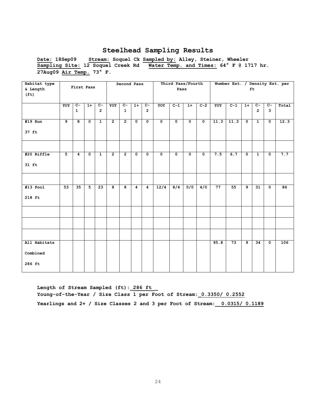**Date: 18Sep09 Stream: Soquel Ck Sampled by: Alley, Steiner, Wheeler Sampling Site: 12 Soquel Creek Rd Water Temp. and Times: 64° F @ 1717 hr. 27Aug09 Air Temp. 73° F.** 

| Habitat type      |     |                 |                      |                |                | Second Pass    |              |                         |                         |                      | Third Pass/Fourth       |                      |      | Number Est. / Density Est. per |                      |                |                         |       |
|-------------------|-----|-----------------|----------------------|----------------|----------------|----------------|--------------|-------------------------|-------------------------|----------------------|-------------------------|----------------------|------|--------------------------------|----------------------|----------------|-------------------------|-------|
| & Length          |     | First Pass      |                      |                |                |                |              |                         |                         | Pass                 |                         |                      |      |                                |                      | ft             |                         |       |
| (f <sub>t</sub> ) |     |                 |                      |                |                |                |              |                         |                         |                      |                         |                      |      |                                |                      |                |                         |       |
|                   |     |                 |                      |                |                |                |              |                         |                         |                      |                         |                      |      |                                |                      |                |                         |       |
|                   | YOY | $\overline{c}$  | $1+$                 | $c-$           | YOY            | $\overline{c}$ | $1+$         | $c-$                    | YOY                     | $C-1$                | $1+$                    | $C-2$                | YOY  | $C-1$                          | $1+$                 | $c-$           | $C -$                   | Total |
|                   |     | $\mathbf{1}$    |                      | $\overline{2}$ |                | $\mathbf{1}$   |              | $\overline{2}$          |                         |                      |                         |                      |      |                                |                      | $\overline{2}$ | $\overline{\mathbf{3}}$ |       |
|                   |     |                 |                      |                |                |                |              |                         |                         |                      |                         |                      |      |                                |                      |                |                         |       |
| $#19$ Run         | و   | 8               | $\mathbf 0$          | $\mathbf{1}$   | $\overline{2}$ | $\overline{2}$ | $\mathbf 0$  | $\overline{\bullet}$    | $\overline{\mathbf{0}}$ | $\overline{\bullet}$ | $\overline{\bullet}$    | $\overline{\bullet}$ | 11.3 | 11.3                           | $\mathbf 0$          | $\mathbf{1}$   | $\overline{\bullet}$    | 12.3  |
|                   |     |                 |                      |                |                |                |              |                         |                         |                      |                         |                      |      |                                |                      |                |                         |       |
| 37 ft             |     |                 |                      |                |                |                |              |                         |                         |                      |                         |                      |      |                                |                      |                |                         |       |
|                   |     |                 |                      |                |                |                |              |                         |                         |                      |                         |                      |      |                                |                      |                |                         |       |
|                   |     |                 |                      |                |                |                |              |                         |                         |                      |                         |                      |      |                                |                      |                |                         |       |
|                   |     |                 |                      |                |                |                |              |                         |                         |                      |                         |                      |      |                                |                      |                |                         |       |
| #20 Riffle        | 5   | $\overline{4}$  | $\overline{\bullet}$ | $\overline{1}$ | $\overline{2}$ | $\overline{2}$ | $\mathbf{0}$ | $\overline{\mathbf{0}}$ | $\overline{\mathbf{0}}$ | $\mathbf 0$          | $\overline{\mathbf{0}}$ | $\overline{0}$       | 7.5  | 6.7                            | $\overline{\bullet}$ | $\overline{1}$ | $\overline{\mathbf{0}}$ | 7.7   |
|                   |     |                 |                      |                |                |                |              |                         |                         |                      |                         |                      |      |                                |                      |                |                         |       |
| $31$ ft           |     |                 |                      |                |                |                |              |                         |                         |                      |                         |                      |      |                                |                      |                |                         |       |
|                   |     |                 |                      |                |                |                |              |                         |                         |                      |                         |                      |      |                                |                      |                |                         |       |
|                   |     |                 |                      |                |                |                |              |                         |                         |                      |                         |                      |      |                                |                      |                |                         |       |
|                   |     |                 |                      |                |                |                |              |                         |                         |                      |                         |                      |      |                                |                      |                |                         |       |
| $#13$ Pool        | 53  | $\overline{35}$ | $\overline{5}$       | 23             | 8              | 8              | 4            | 4                       | $\frac{12}{4}$          | 8/4                  | $\overline{0/0}$        | 4/0                  | 77   | 55                             | $\overline{9}$       | 31             | $\mathbf 0$             | 86    |
| 218 ft            |     |                 |                      |                |                |                |              |                         |                         |                      |                         |                      |      |                                |                      |                |                         |       |
|                   |     |                 |                      |                |                |                |              |                         |                         |                      |                         |                      |      |                                |                      |                |                         |       |
|                   |     |                 |                      |                |                |                |              |                         |                         |                      |                         |                      |      |                                |                      |                |                         |       |
|                   |     |                 |                      |                |                |                |              |                         |                         |                      |                         |                      |      |                                |                      |                |                         |       |
|                   |     |                 |                      |                |                |                |              |                         |                         |                      |                         |                      |      |                                |                      |                |                         |       |
|                   |     |                 |                      |                |                |                |              |                         |                         |                      |                         |                      |      |                                |                      |                |                         |       |
|                   |     |                 |                      |                |                |                |              |                         |                         |                      |                         |                      |      |                                |                      |                |                         |       |
|                   |     |                 |                      |                |                |                |              |                         |                         |                      |                         |                      |      |                                |                      |                |                         |       |
| All Habitats      |     |                 |                      |                |                |                |              |                         |                         |                      |                         |                      | 95.8 | $\overline{73}$                | $\overline{9}$       | 34             | $\mathbf 0$             | 106   |
|                   |     |                 |                      |                |                |                |              |                         |                         |                      |                         |                      |      |                                |                      |                |                         |       |
| Combined          |     |                 |                      |                |                |                |              |                         |                         |                      |                         |                      |      |                                |                      |                |                         |       |
|                   |     |                 |                      |                |                |                |              |                         |                         |                      |                         |                      |      |                                |                      |                |                         |       |
| 286 ft            |     |                 |                      |                |                |                |              |                         |                         |                      |                         |                      |      |                                |                      |                |                         |       |
|                   |     |                 |                      |                |                |                |              |                         |                         |                      |                         |                      |      |                                |                      |                |                         |       |

Length of Stream Sampled (ft): 286 ft **Young-of-the-Year / Size Class 1 per Foot of Stream:\_0.3350/ 0.2552 Yearlings and 2+ / Size Classes 2 and 3 per Foot of Stream:\_\_0.0315/ 0.1189**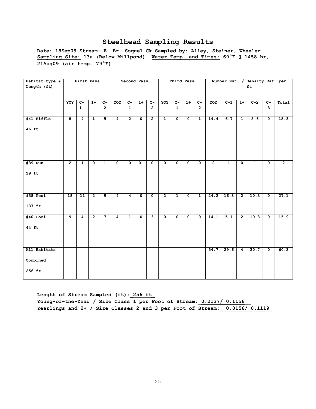**Date: 18Sep09 Stream: E. Br. Soquel Ck Sampled by: Alley, Steiner, Wheeler Sampling Site: 13a (Below Millpond) Water Temp. and Times: 69°F @ 1458 hr, 21Aug09 (air temp. 79°F).**

| Habitat type & |                 | First Pass      |                |                 |                | Second Pass    |                         |                |                         | Third Pass           |                      |                         |                |              |                         | Number Est. / Density Est. per |                         |                |
|----------------|-----------------|-----------------|----------------|-----------------|----------------|----------------|-------------------------|----------------|-------------------------|----------------------|----------------------|-------------------------|----------------|--------------|-------------------------|--------------------------------|-------------------------|----------------|
| Length (ft)    |                 |                 |                |                 |                |                |                         |                |                         |                      |                      |                         |                |              |                         | ft                             |                         |                |
|                |                 |                 |                |                 |                |                |                         |                |                         |                      |                      |                         |                |              |                         |                                |                         |                |
|                |                 |                 |                |                 |                |                |                         |                |                         |                      |                      |                         |                |              |                         |                                |                         |                |
|                | YOY             | $C -$           | $1+$           | $C-$            | YOY            | $C-$           | $1+$                    | $c-$           | YOY                     | $C-$                 | $1+$                 | $C-$                    | YOY            | $C-1$        | $1+$                    | $C-2$                          | $C -$                   | Total          |
|                |                 | $\mathbf{1}$    |                | $\overline{2}$  |                | $\mathbf{1}$   |                         | $\overline{2}$ |                         | $\mathbf{1}$         |                      | $\overline{2}$          |                |              |                         |                                | 3                       |                |
|                |                 |                 |                |                 |                |                |                         |                |                         |                      |                      |                         |                |              |                         |                                |                         |                |
| #41 Riffle     | 8               | $\overline{4}$  | $\mathbf{1}$   | $5\phantom{.0}$ | $\overline{4}$ | $\overline{2}$ | $\mathbf 0$             | $\overline{2}$ | $\mathbf{1}$            | $\mathbf 0$          | $\mathbf 0$          | $\mathbf{1}$            | 14.4           | 6.7          | $\mathbf{1}$            | 8.6                            | $\mathbf 0$             | 15.3           |
|                |                 |                 |                |                 |                |                |                         |                |                         |                      |                      |                         |                |              |                         |                                |                         |                |
| 46 ft          |                 |                 |                |                 |                |                |                         |                |                         |                      |                      |                         |                |              |                         |                                |                         |                |
|                |                 |                 |                |                 |                |                |                         |                |                         |                      |                      |                         |                |              |                         |                                |                         |                |
|                |                 |                 |                |                 |                |                |                         |                |                         |                      |                      |                         |                |              |                         |                                |                         |                |
|                |                 |                 |                |                 |                |                |                         |                |                         |                      |                      |                         |                |              |                         |                                |                         |                |
|                |                 |                 |                |                 |                |                |                         |                |                         |                      |                      |                         |                |              |                         |                                |                         |                |
|                |                 |                 |                |                 |                |                |                         |                |                         |                      |                      |                         |                |              |                         |                                |                         |                |
|                |                 |                 |                |                 |                |                |                         |                |                         |                      |                      |                         |                |              |                         |                                |                         |                |
| #39 Run        | $\overline{2}$  | $\mathbf{1}$    | $\mathbf 0$    | $\mathbf{1}$    | $\mathbf 0$    | $\mathbf{0}$   | $\mathbf 0$             | $\mathbf{o}$   | $\mathbf 0$             | $\mathbf{0}$         | $\mathbf{0}$         | $\mathbf{0}$            | $\overline{2}$ | $\mathbf{1}$ | $\overline{\mathbf{0}}$ | $\mathbf{1}$                   | $\mathbf 0$             | $\overline{2}$ |
|                |                 |                 |                |                 |                |                |                         |                |                         |                      |                      |                         |                |              |                         |                                |                         |                |
| 29 ft          |                 |                 |                |                 |                |                |                         |                |                         |                      |                      |                         |                |              |                         |                                |                         |                |
|                |                 |                 |                |                 |                |                |                         |                |                         |                      |                      |                         |                |              |                         |                                |                         |                |
|                |                 |                 |                |                 |                |                |                         |                |                         |                      |                      |                         |                |              |                         |                                |                         |                |
|                |                 |                 |                |                 |                |                |                         |                |                         |                      |                      |                         |                |              |                         |                                |                         |                |
| $#38$ Pool     | $\overline{18}$ | $\overline{11}$ | $\overline{2}$ | 9               | 4              | 4              | $\mathbf 0$             | $\mathbf{0}$   | $\overline{2}$          | $\mathbf{1}$         | $\mathbf 0$          | $\mathbf{1}$            | 24.2           | 16.8         | $\overline{2}$          | 10.3                           | $\overline{\mathbf{0}}$ | 27.1           |
|                |                 |                 |                |                 |                |                |                         |                |                         |                      |                      |                         |                |              |                         |                                |                         |                |
| 137 ft         |                 |                 |                |                 |                |                |                         |                |                         |                      |                      |                         |                |              |                         |                                |                         |                |
|                |                 |                 |                |                 |                |                |                         |                |                         |                      |                      |                         |                |              |                         |                                |                         |                |
|                | $\overline{9}$  |                 |                |                 |                |                |                         |                |                         |                      |                      |                         |                |              |                         |                                |                         |                |
| $#40$ Pool     |                 | $\overline{4}$  | $\overline{2}$ |                 | $\overline{4}$ | $\mathbf{1}$   | $\overline{\mathbf{0}}$ | ب              | $\overline{\mathbf{0}}$ | $\overline{\bullet}$ | $\overline{\bullet}$ | $\overline{\mathbf{0}}$ | 14.1           | 5.1          | $\overline{2}$          | 10.8                           | $\overline{\mathbf{0}}$ | 15.9           |
|                |                 |                 |                |                 |                |                |                         |                |                         |                      |                      |                         |                |              |                         |                                |                         |                |
| 44 ft          |                 |                 |                |                 |                |                |                         |                |                         |                      |                      |                         |                |              |                         |                                |                         |                |
|                |                 |                 |                |                 |                |                |                         |                |                         |                      |                      |                         |                |              |                         |                                |                         |                |
|                |                 |                 |                |                 |                |                |                         |                |                         |                      |                      |                         |                |              |                         |                                |                         |                |
|                |                 |                 |                |                 |                |                |                         |                |                         |                      |                      |                         |                |              |                         |                                |                         |                |
| All Habitats   |                 |                 |                |                 |                |                |                         |                |                         |                      |                      |                         | 54.7           | 29.6         | $\overline{4}$          | 30.7                           | $\mathbf 0$             | 60.3           |
|                |                 |                 |                |                 |                |                |                         |                |                         |                      |                      |                         |                |              |                         |                                |                         |                |
| Combined       |                 |                 |                |                 |                |                |                         |                |                         |                      |                      |                         |                |              |                         |                                |                         |                |
|                |                 |                 |                |                 |                |                |                         |                |                         |                      |                      |                         |                |              |                         |                                |                         |                |
| 256 ft         |                 |                 |                |                 |                |                |                         |                |                         |                      |                      |                         |                |              |                         |                                |                         |                |
|                |                 |                 |                |                 |                |                |                         |                |                         |                      |                      |                         |                |              |                         |                                |                         |                |

**Length of Stream Sampled (ft):\_256 ft\_ Young-of-the-Year / Size Class 1 per Foot of Stream:\_0.2137/ 0.1156\_\_ Yearlings and 2+ / Size Classes 2 and 3 per Foot of Stream:\_\_0.0156/ 0.1119\_**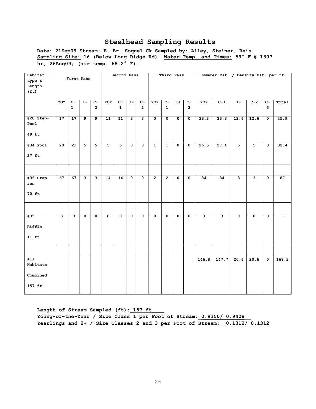**Date: 21Sep09 Stream: E. Br. Soquel Ck Sampled by: Alley, Steiner, Reis Sampling Site: 16 (Below Long Ridge Rd) Water Temp. and Times: 59° F @ 1307 hr, 26Aug09; (air temp. 68.2° F).** 

| Habitat<br>type &<br>Length                        |                         | First Pass              |                           |                                  |                 | Second Pass                    |                         |                                  |                           | Third Pass                     |                         |                                  |                         | Number Est. / Density Est. per ft |                           |                         |                                |                         |
|----------------------------------------------------|-------------------------|-------------------------|---------------------------|----------------------------------|-----------------|--------------------------------|-------------------------|----------------------------------|---------------------------|--------------------------------|-------------------------|----------------------------------|-------------------------|-----------------------------------|---------------------------|-------------------------|--------------------------------|-------------------------|
| (f <sub>t</sub> )                                  |                         |                         |                           |                                  |                 |                                |                         |                                  |                           |                                |                         |                                  |                         |                                   |                           |                         |                                |                         |
|                                                    | YOY                     | $C -$<br>$\mathbf{1}$   | $1+$                      | $\overline{c}$<br>$\overline{2}$ | YOY             | $\overline{c}$<br>$\mathbf{1}$ | $1+$                    | $\overline{c}$<br>$\overline{2}$ | YOY                       | $\overline{c}$<br>$\mathbf{1}$ | $1+$                    | $\overline{c}$<br>$\overline{2}$ | YOY                     | $C-1$                             | $1+$                      | $C-2$                   | $\overline{c}$<br>$\mathbf{3}$ | Total                   |
| #28 Step-<br>Pool<br>49 ft                         | 17                      | 17                      | $\overline{9}$            | $\overline{9}$                   | 11              | 11                             | $\overline{\mathbf{3}}$ | $\overline{\mathbf{3}}$          | $\overline{0}$            | $\overline{0}$                 | $\overline{0}$          | $\overline{\mathfrak{o}}$        | 33.3                    | 33.3                              | 12.6                      | 12.6                    | $\overline{\mathfrak{o}}$      | 45.9                    |
| $#34$ Pool                                         | 20                      | $\overline{21}$         | $\overline{\mathbf{5}}$   | $\overline{\mathbf{5}}$          | $\overline{5}$  | $\overline{5}$                 | $\overline{\mathbf{0}}$ | $\overline{\mathfrak{o}}$        | $\overline{1}$            | $\overline{1}$                 | $\overline{\mathbf{0}}$ | $\overline{\mathfrak{o}}$        | 26.5                    | 27.4                              | $\overline{5}$            | $\overline{\mathbf{5}}$ | $\overline{\mathfrak{o}}$      | 32.4                    |
| $27$ ft                                            |                         |                         |                           |                                  |                 |                                |                         |                                  |                           |                                |                         |                                  |                         |                                   |                           |                         |                                |                         |
| #36 Step-                                          | 67                      | 67                      | $\overline{\mathbf{3}}$   | $\overline{\mathbf{3}}$          | $\overline{14}$ | $\overline{14}$                | $\overline{\mathbf{0}}$ | $\overline{\mathbf{0}}$          | $\overline{2}$            | $\overline{2}$                 | $\overline{\mathbf{0}}$ | $\overline{\mathbf{0}}$          | 84                      | $\overline{84}$                   | $\overline{\mathbf{3}}$   | $\overline{\mathbf{3}}$ | $\overline{\mathbf{0}}$        | 87                      |
| run<br>70 ft                                       |                         |                         |                           |                                  |                 |                                |                         |                                  |                           |                                |                         |                                  |                         |                                   |                           |                         |                                |                         |
|                                                    |                         |                         |                           |                                  |                 |                                |                         |                                  |                           |                                |                         |                                  |                         |                                   |                           |                         |                                |                         |
| #35<br>Riffle<br>$11$ ft                           | $\overline{\mathbf{3}}$ | $\overline{\mathbf{3}}$ | $\overline{\mathfrak{o}}$ | $\overline{\mathbf{0}}$          | $\overline{0}$  | $\overline{0}$                 | $\overline{\mathbf{0}}$ | $\overline{\mathfrak{o}}$        | $\overline{\mathfrak{o}}$ | $\overline{0}$                 | $\overline{0}$          | $\overline{\mathbf{0}}$          | $\overline{\mathbf{3}}$ | $\overline{\mathbf{3}}$           | $\overline{\mathfrak{o}}$ | $\overline{\mathbf{0}}$ | $\overline{\mathfrak{o}}$      | $\overline{\mathbf{3}}$ |
|                                                    |                         |                         |                           |                                  |                 |                                |                         |                                  |                           |                                |                         |                                  |                         |                                   |                           |                         |                                |                         |
| $\overline{A11}$<br>Habitats<br>Combined<br>157 ft |                         |                         |                           |                                  |                 |                                |                         |                                  |                           |                                |                         |                                  | 146.8                   | 147.7                             | 20.6                      | 20.6                    | $\overline{\mathfrak{o}}$      | 168.3                   |

Length of Stream Sampled (ft): 157 ft

**Young-of-the-Year / Size Class 1 per Foot of Stream:\_0.9350/ 0.9408\_\_ Yearlings and 2+ / Size Classes 2 and 3 per Foot of Stream:\_\_0.1312/ 0.1312**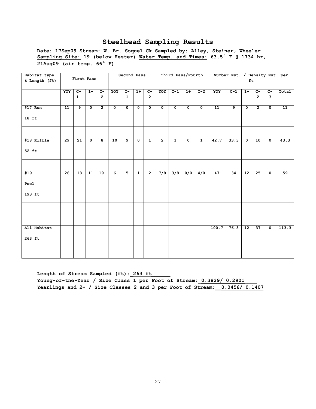**Date: 17Sep09 Stream: W. Br. Soquel Ck Sampled by: Alley, Steiner, Wheeler Sampling Site: 19 (below Hester) Water Temp. and Times: 63.5° F @ 1734 hr, 21Aug09 (air temp. 66° F)**

| Habitat type  |     |              |             |                |             | Second Pass  |              |                |                |              | Third Pass/Fourth |              |       | Number Est. / Density Est. per |                 |                |             |       |
|---------------|-----|--------------|-------------|----------------|-------------|--------------|--------------|----------------|----------------|--------------|-------------------|--------------|-------|--------------------------------|-----------------|----------------|-------------|-------|
| & Length (ft) |     | First Pass   |             |                |             |              |              |                |                |              |                   |              |       |                                | ft              |                |             |       |
|               |     |              |             |                |             |              |              |                |                |              |                   |              |       |                                |                 |                |             |       |
|               | YOY | $C-$         | $1+$        | $C -$          | YOY         | $C-$         | $1+$         | $C -$          | YOY            | $C-1$        | $1+$              | $C-2$        | YOY   | $C-1$                          | $1+$            | $C -$          | $C -$       | Total |
|               |     | $\mathbf{1}$ |             | $\overline{2}$ |             | $\mathbf{1}$ |              | $\overline{2}$ |                |              |                   |              |       |                                |                 | $\overline{2}$ | 3           |       |
|               |     |              |             |                |             |              |              |                |                |              |                   |              |       |                                |                 |                |             |       |
| $#17$ Run     | 11  | 9            | $\mathbf 0$ | $\overline{2}$ | $\mathbf 0$ | $\mathbf{o}$ | $\mathbf 0$  | $\mathbf 0$    | $\mathbf 0$    | $\mathbf{o}$ | $\mathbf 0$       | $\mathbf 0$  | 11    | $\overline{9}$                 | $\mathbf 0$     | $\overline{2}$ | $\mathbf 0$ | 11    |
|               |     |              |             |                |             |              |              |                |                |              |                   |              |       |                                |                 |                |             |       |
| 18 ft         |     |              |             |                |             |              |              |                |                |              |                   |              |       |                                |                 |                |             |       |
|               |     |              |             |                |             |              |              |                |                |              |                   |              |       |                                |                 |                |             |       |
|               |     |              |             |                |             |              |              |                |                |              |                   |              |       |                                |                 |                |             |       |
|               |     |              |             |                |             |              |              |                |                |              |                   |              |       |                                |                 |                |             |       |
| #18 Riffle    | 29  | 21           | $\mathbf 0$ | 8              | 10          | 9            | $\mathbf 0$  | $\mathbf{1}$   | $\overline{2}$ | $\mathbf{1}$ | $\mathbf{0}$      | $\mathbf{1}$ | 42.7  | 33.3                           | $\mathbf{0}$    | 10             | $\mathbf 0$ | 43.3  |
|               |     |              |             |                |             |              |              |                |                |              |                   |              |       |                                |                 |                |             |       |
| 52 ft         |     |              |             |                |             |              |              |                |                |              |                   |              |       |                                |                 |                |             |       |
|               |     |              |             |                |             |              |              |                |                |              |                   |              |       |                                |                 |                |             |       |
|               |     |              |             |                |             |              |              |                |                |              |                   |              |       |                                |                 |                |             |       |
|               |     |              |             |                |             |              |              |                |                |              |                   |              |       |                                |                 |                |             |       |
| #19           | 26  | 18           | 11          | 19             | 6           | 5            | $\mathbf{1}$ | $\overline{2}$ | 7/8            | 3/8          | 0/0               | 4/0          | 47    | 34                             | $\overline{12}$ | 25             | $\mathbf 0$ | 59    |
|               |     |              |             |                |             |              |              |                |                |              |                   |              |       |                                |                 |                |             |       |
| Pool          |     |              |             |                |             |              |              |                |                |              |                   |              |       |                                |                 |                |             |       |
|               |     |              |             |                |             |              |              |                |                |              |                   |              |       |                                |                 |                |             |       |
| 193 ft        |     |              |             |                |             |              |              |                |                |              |                   |              |       |                                |                 |                |             |       |
|               |     |              |             |                |             |              |              |                |                |              |                   |              |       |                                |                 |                |             |       |
|               |     |              |             |                |             |              |              |                |                |              |                   |              |       |                                |                 |                |             |       |
|               |     |              |             |                |             |              |              |                |                |              |                   |              |       |                                |                 |                |             |       |
|               |     |              |             |                |             |              |              |                |                |              |                   |              |       |                                |                 |                |             |       |
|               |     |              |             |                |             |              |              |                |                |              |                   |              |       |                                |                 |                |             |       |
| All Habitat   |     |              |             |                |             |              |              |                |                |              |                   |              | 100.7 | 76.3                           | 12              | 37             | $\mathbf 0$ | 113.3 |
|               |     |              |             |                |             |              |              |                |                |              |                   |              |       |                                |                 |                |             |       |
| $263$ ft      |     |              |             |                |             |              |              |                |                |              |                   |              |       |                                |                 |                |             |       |
|               |     |              |             |                |             |              |              |                |                |              |                   |              |       |                                |                 |                |             |       |
|               |     |              |             |                |             |              |              |                |                |              |                   |              |       |                                |                 |                |             |       |
|               |     |              |             |                |             |              |              |                |                |              |                   |              |       |                                |                 |                |             |       |
|               |     |              |             |                |             |              |              |                |                |              |                   |              |       |                                |                 |                |             |       |

Length of Stream Sampled (ft): 263 ft Young-of-the-Year / Size Class 1 per Foot of Stream:  $0.3829/ 0.2901$ **Yearlings and 2+ / Size Classes 2 and 3 per Foot of Stream:\_\_0.0456/ 0.1407**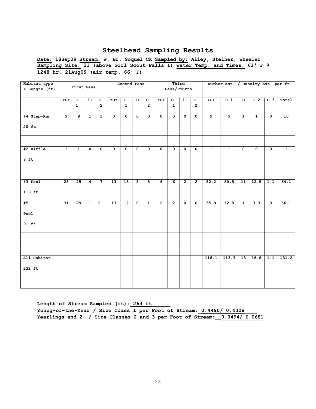**Date: 18Sep09 Stream: W. Br. Soquel Ck Sampled by: Alley, Steiner, Wheeler Sampling Site: 21 (above Girl Scout Falls I) Water Temp. and Times: 61° F @ 1248 hr, 21Aug09 (air temp. 66° F)**

| Habitat type<br>& Length (ft) |                 | First Pass     |                |                |                 | Second Pass             |                           |                         |                         | Third<br>Pass/Fourth |                         |                      |                | Number Est. / Density Est. per ft |                         |                |                         |                |
|-------------------------------|-----------------|----------------|----------------|----------------|-----------------|-------------------------|---------------------------|-------------------------|-------------------------|----------------------|-------------------------|----------------------|----------------|-----------------------------------|-------------------------|----------------|-------------------------|----------------|
|                               |                 |                |                |                |                 |                         |                           |                         |                         |                      |                         |                      |                |                                   |                         |                |                         |                |
|                               | YOY             | $C-$           | $1+$           | $c-$           | YOY             | $C-$                    | $1+$                      | $C -$                   | YOY                     | $C -$                | $1+$                    | $C-$                 | YOY            | $C-1$                             | $1+$                    | $C-2$          | $C-3$                   | Total          |
|                               |                 | $\mathbf{1}$   |                | $\overline{2}$ |                 | $\mathbf{1}$            |                           | $\overline{2}$          |                         | $\mathbf{1}$         |                         | $\overline{2}$       |                |                                   |                         |                |                         |                |
| #4 Step-Run                   | 9               | $\overline{9}$ | $\mathbf{1}$   | $\overline{1}$ | $\mathbf 0$     | $\mathbf 0$             | $\mathbf{o}$              | $\mathbf 0$             | $\mathbf{o}$            | $\mathbf 0$          | $\mathbf 0$             | $\mathbf 0$          | $\overline{9}$ | $\overline{9}$                    | $\mathbf{1}$            | $\mathbf{1}$   | $\mathbf 0$             | 10             |
| $20$ ft                       |                 |                |                |                |                 |                         |                           |                         |                         |                      |                         |                      |                |                                   |                         |                |                         |                |
|                               |                 |                |                |                |                 |                         |                           |                         |                         |                      |                         |                      |                |                                   |                         |                |                         |                |
| #2 Riffle                     | $\mathbf{1}$    | $\overline{1}$ | $\overline{0}$ | $\overline{0}$ | $\overline{0}$  | $\overline{\mathbf{0}}$ | $\overline{0}$            | $\overline{\mathbf{0}}$ | $\overline{\mathbf{0}}$ | $\mathbf{0}$         | $\overline{\mathbf{0}}$ | $\overline{\bullet}$ | $\overline{1}$ | $\overline{1}$                    | $\overline{\mathbf{0}}$ | $\overline{0}$ | $\overline{\mathbf{0}}$ | $\overline{1}$ |
| $8$ ft                        |                 |                |                |                |                 |                         |                           |                         |                         |                      |                         |                      |                |                                   |                         |                |                         |                |
|                               |                 |                |                |                |                 |                         |                           |                         |                         |                      |                         |                      |                |                                   |                         |                |                         |                |
| $#3$ Pool                     | $\overline{28}$ | 25             | $\overline{4}$ | $\overline{7}$ | $\overline{13}$ | $\overline{13}$         | ِ                         | з                       | $\overline{6}$          | $\overline{6}$       | $\overline{2}$          | $\overline{2}$       | 52.2           | 50.5                              | $\overline{11}$         | 12.5           | 1.1                     | 64.1           |
| $113$ ft                      |                 |                |                |                |                 |                         |                           |                         |                         |                      |                         |                      |                |                                   |                         |                |                         |                |
| #5                            | 31              | 29             | $\mathbf{1}$   | $\overline{2}$ | 13              | 12                      | $\overline{\mathfrak{o}}$ | $\overline{1}$          | $\overline{2}$          | $\overline{2}$       | $\overline{\mathbf{0}}$ | $\overline{\bullet}$ | 55.9           | 52.8                              | $\overline{1}$          | 3.3            | $\overline{\mathbf{0}}$ | 56.1           |
| Pool                          |                 |                |                |                |                 |                         |                           |                         |                         |                      |                         |                      |                |                                   |                         |                |                         |                |
| 91 ft                         |                 |                |                |                |                 |                         |                           |                         |                         |                      |                         |                      |                |                                   |                         |                |                         |                |
|                               |                 |                |                |                |                 |                         |                           |                         |                         |                      |                         |                      |                |                                   |                         |                |                         |                |
|                               |                 |                |                |                |                 |                         |                           |                         |                         |                      |                         |                      |                |                                   |                         |                |                         |                |
| All Habitat                   |                 |                |                |                |                 |                         |                           |                         |                         |                      |                         |                      | 118.1          | 113.3                             | 13                      | 16.8           | 1.1                     | 131.2          |
| 232 ft                        |                 |                |                |                |                 |                         |                           |                         |                         |                      |                         |                      |                |                                   |                         |                |                         |                |
|                               |                 |                |                |                |                 |                         |                           |                         |                         |                      |                         |                      |                |                                   |                         |                |                         |                |

Length of Stream Sampled (ft): 263 ft Young-of-the-Year / Size Class 1 per Foot of Stream: 0.4490/ 0.4308 **Yearlings and 2+ / Size Classes 2 and 3 per Foot of Stream:\_\_0.0494/ 0.0681**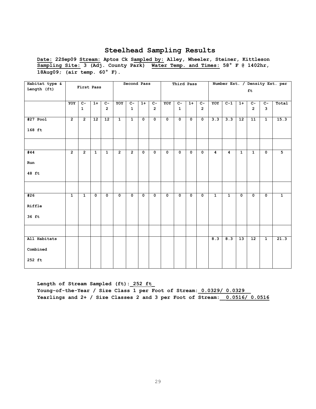**Date: 22Sep09 Stream: Aptos Ck Sampled by: Alley, Wheeler, Steiner, Kittleson Sampling Site: 3 (Adj. County Park) Water Temp. and Times: 58° F @ 1402hr, 18Aug09; (air temp. 60° F).** 

| Habitat type & |                | First Pass     |                 |                 |                | Second Pass    |             |                         |                         | Third Pass           |                      |                      |                |              |                 |                |                | Number Est. / Density Est. per |
|----------------|----------------|----------------|-----------------|-----------------|----------------|----------------|-------------|-------------------------|-------------------------|----------------------|----------------------|----------------------|----------------|--------------|-----------------|----------------|----------------|--------------------------------|
| Length (ft)    |                |                |                 |                 |                |                |             |                         |                         |                      |                      |                      |                |              |                 | ft             |                |                                |
|                | YOY            | $C -$          | $1+$            | $c-$            | YOY            | $C -$          | $1+$        | $c-$                    | YOY                     | $C-$                 | $1+$                 | $c-$                 | YOY            | $C-1$        | $1+$            | $c-$           | $C-$           | Total                          |
|                |                | $\mathbf{1}$   |                 | $\overline{2}$  |                | $\mathbf{1}$   |             | $\overline{2}$          |                         | $\mathbf{1}$         |                      | $\overline{2}$       |                |              |                 | $\overline{2}$ | $\mathbf{3}$   |                                |
| $#27$ Pool     | $\overline{2}$ | $\overline{2}$ | $\overline{12}$ | $\overline{12}$ | $\overline{1}$ | $\overline{1}$ | $\mathbf 0$ | $\overline{\mathbf{0}}$ | $\overline{\mathbf{0}}$ | $\overline{\bullet}$ | $\overline{\bullet}$ | $\overline{\bullet}$ | 3.3            | 3.3          | $\overline{12}$ | 11             | $\overline{1}$ | 15.3                           |
| 168 ft         |                |                |                 |                 |                |                |             |                         |                         |                      |                      |                      |                |              |                 |                |                |                                |
|                |                |                |                 |                 |                |                |             |                         |                         |                      |                      |                      |                |              |                 |                |                |                                |
| #44            | $\overline{2}$ | $\overline{2}$ | $\mathbf{1}$    | $\mathbf{1}$    | $\overline{2}$ | $\overline{2}$ | $\mathbf 0$ | $\mathbf 0$             | $\mathbf 0$             | $\mathbf{o}$         | $\mathbf{o}$         | $\mathbf 0$          | $\overline{4}$ | 4            | $\mathbf{1}$    | $\mathbf{1}$   | $\mathbf 0$    | $\overline{5}$                 |
| Run            |                |                |                 |                 |                |                |             |                         |                         |                      |                      |                      |                |              |                 |                |                |                                |
| 48 ft          |                |                |                 |                 |                |                |             |                         |                         |                      |                      |                      |                |              |                 |                |                |                                |
|                |                |                |                 |                 |                |                |             |                         |                         |                      |                      |                      |                |              |                 |                |                |                                |
| #26            | $\mathbf{1}$   | $\mathbf{1}$   | $\mathbf 0$     | $\mathbf 0$     | $\mathbf 0$    | $\mathbf 0$    | $\mathbf 0$ | $\mathbf 0$             | $\mathbf 0$             | $\mathbf{o}$         | $\mathbf 0$          | $\mathbf 0$          | $\mathbf{1}$   | $\mathbf{1}$ | $\mathbf 0$     | $\mathbf{o}$   | $\mathbf 0$    | $\overline{1}$                 |
| Riffle         |                |                |                 |                 |                |                |             |                         |                         |                      |                      |                      |                |              |                 |                |                |                                |
| 36 ft          |                |                |                 |                 |                |                |             |                         |                         |                      |                      |                      |                |              |                 |                |                |                                |
|                |                |                |                 |                 |                |                |             |                         |                         |                      |                      |                      |                |              |                 |                |                |                                |
| All Habitats   |                |                |                 |                 |                |                |             |                         |                         |                      |                      |                      | 8.3            | 8.3          | $\overline{13}$ | 12             | $\mathbf{1}$   | 21.3                           |
| Combined       |                |                |                 |                 |                |                |             |                         |                         |                      |                      |                      |                |              |                 |                |                |                                |
| 252 ft         |                |                |                 |                 |                |                |             |                         |                         |                      |                      |                      |                |              |                 |                |                |                                |

**Length of Stream Sampled (ft):\_252 ft\_** Young-of-the-Year / Size Class 1 per Foot of Stream:  $0.0329/0.0329$ **Yearlings and 2+ / Size Classes 2 and 3 per Foot of Stream:\_\_0.0516/ 0.0516**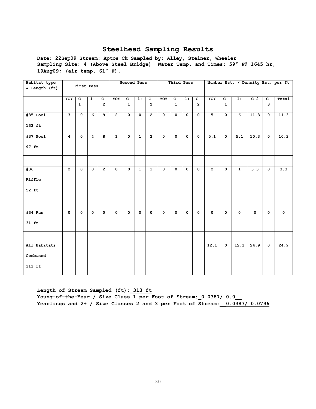**Date: 22Sep09 Stream: Aptos Ck Sampled by: Alley, Steiner, Wheeler Sampling Site: 4 (Above Steel Bridge) Water Temp. and Times: 59° F@ 1645 hr, 19Aug09; (air temp. 61° F).** 

| Habitat type<br>& Length (ft)      |                | First Pass              |                         |                                  |                         | Second Pass           |                |                        |                         | Third Pass              |                |                                  |                |                           |                |             |                         | Number Est. / Density Est. per ft |
|------------------------------------|----------------|-------------------------|-------------------------|----------------------------------|-------------------------|-----------------------|----------------|------------------------|-------------------------|-------------------------|----------------|----------------------------------|----------------|---------------------------|----------------|-------------|-------------------------|-----------------------------------|
|                                    | YOY            | $C -$<br>$\mathbf{1}$   | $1+$                    | $\overline{c}$<br>$\overline{2}$ | YOY                     | $C -$<br>$\mathbf{1}$ | $1+$           | $C-$<br>$\overline{2}$ | YOY                     | $C-$<br>$\mathbf{1}$    | $1+$           | $\overline{c}$<br>$\overline{2}$ | YOY            | $\overline{C}$<br>1       | $1+$           | $C-2$       | $\overline{c}$<br>3     | Total                             |
| #35 Pool<br>133 ft                 | $\mathbf{3}$   | $\mathbf 0$             | 6                       | 9                                | $\overline{2}$          | $\mathbf{0}$          | $\mathbf 0$    | $\overline{2}$         | $\mathbf 0$             | $\mathbf 0$             | $\mathbf{0}$   | $\mathbf 0$                      | 5              | $\mathbf 0$               | 6              | 11.3        | $\mathbf 0$             | 11.3                              |
| $#37$ Pool<br>97 ft                | $\overline{4}$ | $\overline{\bullet}$    | 4                       | $\overline{\mathbf{8}}$          | $\overline{1}$          | $\overline{0}$        | $\overline{1}$ | $\overline{2}$         | $\overline{\mathbf{0}}$ | $\overline{\bullet}$    | $\overline{0}$ | $\overline{\mathbf{0}}$          | 5.1            | $\overline{\mathfrak{o}}$ | 5.1            | 10.3        | $\overline{\bullet}$    | 10.3                              |
| #36                                | $\overline{2}$ | $\overline{\mathbf{0}}$ | $\overline{\mathbf{0}}$ | $\overline{2}$                   | $\overline{\mathbf{0}}$ | $\overline{0}$        | $\overline{1}$ | $\overline{1}$         | $\overline{\mathbf{0}}$ | $\overline{\mathbf{0}}$ | $\overline{0}$ | $\overline{\mathbf{0}}$          | $\overline{2}$ | $\overline{\mathbf{0}}$   | $\overline{1}$ | 3.3         | $\overline{\mathbf{0}}$ | 3.3                               |
| Riffle<br>52 ft                    |                |                         |                         |                                  |                         |                       |                |                        |                         |                         |                |                                  |                |                           |                |             |                         |                                   |
|                                    |                |                         |                         |                                  |                         |                       |                |                        |                         |                         |                |                                  |                |                           |                |             |                         |                                   |
| #34 Run<br>$31$ ft                 | $\mathbf 0$    | $\mathbf 0$             | $\mathbf 0$             | $\mathbf 0$                      | $\mathbf 0$             | $\mathbf 0$           | $\mathbf 0$    | $\mathbf 0$            | $\mathbf 0$             | $\mathbf 0$             | 0              | $\mathbf 0$                      | $\mathbf 0$    | $\mathbf 0$               | $\mathbf 0$    | $\mathbf 0$ | $\mathbf 0$             | $\mathbf 0$                       |
|                                    |                |                         |                         |                                  |                         |                       |                |                        |                         |                         |                |                                  |                |                           |                |             |                         |                                   |
| All Habitats<br>Combined<br>313 ft |                |                         |                         |                                  |                         |                       |                |                        |                         |                         |                |                                  | 12.1           | $\overline{\mathbf{0}}$   | 12.1           | 24.9        | $\overline{\mathbf{0}}$ | 24.9                              |

**Length of Stream Sampled (ft):\_313 ft Young-of-the-Year / Size Class 1 per Foot of Stream:\_0.0387/ 0.0\_\_ Yearlings and 2+ / Size Classes 2 and 3 per Foot of Stream:\_\_0.0387/ 0.0796**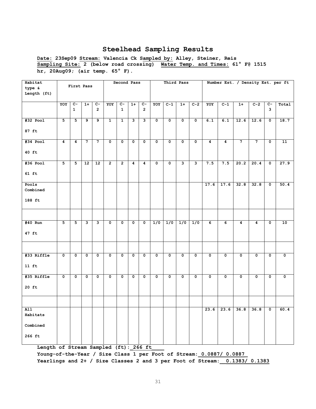**Date: 23Sep09 Stream: Valencia Ck Sampled by: Alley, Steiner, Reis Sampling Site: 2 (below road crossing) Water Temp. and Times: 61° F@ 1515 hr, 20Aug09; (air temp. 65° F).** 

| Habitat<br>type &            |                | First Pass                       |                   |                         |                         | Second Pass             |                         |                         |             |             | Third Pass       |              |                |                  | Number Est. / Density Est. per ft |                |                           |       |
|------------------------------|----------------|----------------------------------|-------------------|-------------------------|-------------------------|-------------------------|-------------------------|-------------------------|-------------|-------------|------------------|--------------|----------------|------------------|-----------------------------------|----------------|---------------------------|-------|
| Length (ft)                  |                |                                  |                   |                         |                         |                         |                         |                         |             |             |                  |              |                |                  |                                   |                |                           |       |
|                              | YOY            | $\overline{c}$ -<br>$\mathbf{1}$ | $1+$              | $C -$<br>$\overline{2}$ | YOY                     | $C -$<br>$\mathbf{1}$   | $1+$                    | $C -$<br>$\overline{2}$ | YOY         | $C-1$       | $1+$             | $C-2$        | YOY            | $C-1$            | $1+$                              | $C-2$          | $C -$<br>3                | Total |
| #32 Pool                     | 5              | 5                                | 9                 | 9                       | $\mathbf{1}$            | $\mathbf{1}$            | 3                       | 3                       | $\mathbf 0$ | $\mathbf 0$ | $\mathbf 0$      | $\mathsf{o}$ | 6.1            | 6.1              | 12.6                              | 12.6           | $\mathbf 0$               | 18.7  |
| 87 ft                        |                |                                  |                   |                         |                         |                         |                         |                         |             |             |                  |              |                |                  |                                   |                |                           |       |
| #34 Pool                     | 4              | $\boldsymbol{4}$                 | $\overline{7}$    | $7\phantom{.0}$         | $\mathbf 0$             | $\mathbf 0$             | $\mathbf 0$             | $\mathbf 0$             | $\mathbf 0$ | $\mathbf 0$ | $\mathbf 0$      | $\mathsf{o}$ | 4              | $\boldsymbol{4}$ | $\overline{7}$                    | $\mathbf{7}$   | $\mathsf{o}\,$            | 11    |
| 40 ft                        |                |                                  |                   |                         |                         |                         |                         |                         |             |             |                  |              |                |                  |                                   |                |                           |       |
| $#36$ Pool                   | 5              | 5                                | $12 \overline{ }$ | 12                      | $\overline{2}$          | $\mathbf{2}$            | 4                       | 4                       | 0           | 0           | 3                | 3            | 7.5            | 7.5              | 20.2                              | 20.4           | 0                         | 27.9  |
| $61$ ft                      |                |                                  |                   |                         |                         |                         |                         |                         |             |             |                  |              |                |                  |                                   |                |                           |       |
| Pools<br>Combined            |                |                                  |                   |                         |                         |                         |                         |                         |             |             |                  |              | 17.6           | 17.6             | 32.8                              | 32.8           | $\overline{\mathbf{0}}$   | 50.4  |
| 188 ft                       |                |                                  |                   |                         |                         |                         |                         |                         |             |             |                  |              |                |                  |                                   |                |                           |       |
|                              |                |                                  |                   |                         |                         |                         |                         |                         |             |             |                  |              |                |                  |                                   |                |                           |       |
| #40 Run                      | $\overline{5}$ | $\overline{5}$                   | 3                 | $\overline{\mathbf{3}}$ | $\overline{\mathbf{0}}$ | $\overline{\mathbf{0}}$ | $\overline{\mathbf{0}}$ | $\overline{\mathbf{0}}$ | 1/0         | 1/0         | $\overline{1/0}$ | 1/0          | $\overline{6}$ | $\overline{6}$   | $\overline{4}$                    | $\overline{4}$ | $\overline{\mathfrak{o}}$ | 10    |
| $47$ ft                      |                |                                  |                   |                         |                         |                         |                         |                         |             |             |                  |              |                |                  |                                   |                |                           |       |
|                              |                |                                  |                   |                         |                         |                         |                         |                         |             |             |                  |              |                |                  |                                   |                |                           |       |
| #33 Riffle                   | $\mathbf 0$    | $\overline{\mathbf{0}}$          | $\mathsf{o}$      | 0                       | $\mathbf 0$             | $\mathbf 0$             | $\mathsf{o}$            | 0                       | 0           | 0           | $\mathbf 0$      | $\mathsf{o}$ | 0              | 0                | 0                                 | 0              | $\overline{\mathbf{0}}$   | 0     |
| $11$ ft                      |                |                                  |                   |                         |                         |                         |                         |                         |             |             |                  |              |                |                  |                                   |                |                           |       |
| #35 Riffle                   | $\mathbf 0$    | $\mathbf 0$                      | $\mathbf 0$       | $\mathbf 0$             | $\mathbf 0$             | $\mathbf 0$             | $\mathbf 0$             | $\mathbf 0$             | 0           | $\mathbf 0$ | $\mathbf 0$      | $\mathbf 0$  | $\mathbf 0$    | $\mathbf 0$      | 0                                 | $\mathsf{o}\,$ | $\overline{\mathbf{0}}$   | 0     |
| $20$ ft                      |                |                                  |                   |                         |                         |                         |                         |                         |             |             |                  |              |                |                  |                                   |                |                           |       |
|                              |                |                                  |                   |                         |                         |                         |                         |                         |             |             |                  |              |                |                  |                                   |                |                           |       |
| $\overline{A11}$<br>Habitats |                |                                  |                   |                         |                         |                         |                         |                         |             |             |                  |              | 23.6           | 23.6             | 36.8                              | 36.8           | $\overline{\mathfrak{o}}$ | 60.4  |
| Combined                     |                |                                  |                   |                         |                         |                         |                         |                         |             |             |                  |              |                |                  |                                   |                |                           |       |
| 266 ft                       |                |                                  |                   |                         |                         |                         |                         |                         |             |             |                  |              |                |                  |                                   |                |                           |       |

Length of Stream Sampled (ft): 266 ft

**Young-of-the-Year / Size Class 1 per Foot of Stream:\_0.0887/ 0.0887\_ Yearlings and 2+ / Size Classes 2 and 3 per Foot of Stream:\_\_0.1383/ 0.1383**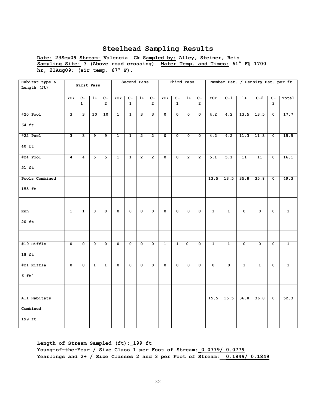**Date: 23Sep09 Stream: Valencia Ck Sampled by: Alley, Steiner, Reis Sampling Site: 3 (Above road crossing) Water Temp. and Times: 61° F@ 1700 hr, 21Aug09; (air temp. 67° F).** 

| Habitat type &<br>Length (ft) |                  | First Pass       |                         |                         |                         | Second Pass             |                         |                         |                         | Third Pass              |                         |                         |                |                |                         | Number Est. / Density Est. per ft |                         |                |
|-------------------------------|------------------|------------------|-------------------------|-------------------------|-------------------------|-------------------------|-------------------------|-------------------------|-------------------------|-------------------------|-------------------------|-------------------------|----------------|----------------|-------------------------|-----------------------------------|-------------------------|----------------|
|                               | YOY              | $\overline{c}$   | $1+$                    | $C-$                    | YOY                     | $c-$                    | $1+$                    | $C-$                    | YOY                     | $\overline{c}$          | $1+$                    | $C-$                    | YOY            | $C-1$          | $1+$                    | $C-2$                             | $c-$                    | Total          |
|                               |                  | $\mathbf{1}$     |                         | $\overline{2}$          |                         | $\mathbf{1}$            |                         | $\mathbf{2}$            |                         | $\mathbf{1}$            |                         | $\overline{2}$          |                |                |                         |                                   | 3                       |                |
| $#20$ Pool                    | 3                | $\mathbf{3}$     | 10                      | 10                      | $\mathbf{1}$            | $\mathbf{1}$            | $\mathbf{3}$            | $\overline{\mathbf{3}}$ | $\mathbf 0$             | $\mathbf 0$             | $\mathbf 0$             | $\mathbf 0$             | 4.2            | 4.2            | 13.5                    | 13.5                              | $\mathbf 0$             | 17.7           |
| 64 ft                         |                  |                  |                         |                         |                         |                         |                         |                         |                         |                         |                         |                         |                |                |                         |                                   |                         |                |
| $#22$ Pool                    | 3                | $\overline{3}$   | 9                       | 9                       | $\mathbf{1}$            | $\mathbf{1}$            | $\overline{2}$          | $\overline{2}$          | $\mathbf 0$             | $\mathbf 0$             | 0                       | $\mathbf 0$             | 4.2            | 4.2            | 11.3                    | 11.3                              | $\mathbf 0$             | 15.5           |
| $40$ ft                       |                  |                  |                         |                         |                         |                         |                         |                         |                         |                         |                         |                         |                |                |                         |                                   |                         |                |
| $#24$ Pool                    | $\boldsymbol{4}$ | $\boldsymbol{4}$ | 5                       | 5                       | $\mathbf{1}$            | $\mathbf{1}$            | $\overline{2}$          | $\overline{2}$          | $\mathbf 0$             | $\mathbf 0$             | $\overline{2}$          | $\overline{2}$          | 5.1            | 5.1            | 11                      | 11                                | $\mathbf 0$             | 16.1           |
| 51 ft                         |                  |                  |                         |                         |                         |                         |                         |                         |                         |                         |                         |                         |                |                |                         |                                   |                         |                |
| Pools Combined                |                  |                  |                         |                         |                         |                         |                         |                         |                         |                         |                         |                         | 13.5           | 13.5           | 35.8                    | 35.8                              | $\overline{\mathbf{0}}$ | 49.3           |
| 155 ft                        |                  |                  |                         |                         |                         |                         |                         |                         |                         |                         |                         |                         |                |                |                         |                                   |                         |                |
|                               |                  |                  |                         |                         |                         |                         |                         |                         |                         |                         |                         |                         |                |                |                         |                                   |                         |                |
| Run                           | $\overline{1}$   | $\mathbf{1}$     | $\overline{\mathbf{0}}$ | $\overline{\mathbf{0}}$ | $\overline{\mathbf{0}}$ | $\overline{\mathbf{0}}$ | $\overline{\mathbf{0}}$ | $\overline{\mathbf{0}}$ | $\overline{\mathbf{0}}$ | $\overline{\mathbf{0}}$ | $\overline{\mathbf{0}}$ | $\overline{\mathbf{0}}$ | $\overline{1}$ | $\overline{1}$ | $\overline{\mathbf{0}}$ | $\overline{\mathbf{0}}$           | $\overline{\mathbf{0}}$ | $\overline{1}$ |
| $20$ ft                       |                  |                  |                         |                         |                         |                         |                         |                         |                         |                         |                         |                         |                |                |                         |                                   |                         |                |
|                               |                  |                  |                         |                         |                         |                         |                         |                         |                         |                         |                         |                         |                |                |                         |                                   |                         |                |
| #19 Riffle                    | 0                | 0                | $\mathbf 0$             | 0                       | $\mathbf 0$             | $\mathbf 0$             | 0                       | 0                       | $\mathbf{1}$            | $\mathbf{1}$            | $\mathbf 0$             | $\mathsf{o}\,$          | $\mathbf{1}$   | $\mathbf{1}$   | $\mathbf 0$             | 0                                 | 0                       | $\mathbf{1}$   |
| $18$ ft                       |                  |                  |                         |                         |                         |                         |                         |                         |                         |                         |                         |                         |                |                |                         |                                   |                         |                |
| #21 Riffle                    | $\mathbf 0$      | $\mathbf 0$      | $\mathbf{1}$            | $\mathbf{1}$            | $\mathbf 0$             | 0                       | $\mathbf 0$             | $\mathbf 0$             | $\mathbf 0$             | $\mathbf 0$             | $\mathbf 0$             | $\mathbf 0$             | $\mathbf 0$    | $\mathbf 0$    | $\mathbf{1}$            | $\mathbf{1}$                      | $\mathbf 0$             | $\mathbf{1}$   |
| $6$ ft                        |                  |                  |                         |                         |                         |                         |                         |                         |                         |                         |                         |                         |                |                |                         |                                   |                         |                |
|                               |                  |                  |                         |                         |                         |                         |                         |                         |                         |                         |                         |                         |                |                |                         |                                   |                         |                |
| All Habitats                  |                  |                  |                         |                         |                         |                         |                         |                         |                         |                         |                         |                         | 15.5           | 15.5           | 36.8                    | 36.8                              | $\overline{\mathbf{0}}$ | 52.3           |
| Combined                      |                  |                  |                         |                         |                         |                         |                         |                         |                         |                         |                         |                         |                |                |                         |                                   |                         |                |
| 199 ft                        |                  |                  |                         |                         |                         |                         |                         |                         |                         |                         |                         |                         |                |                |                         |                                   |                         |                |

**Length of Stream Sampled (ft):\_199 ft Young-of-the-Year / Size Class 1 per Foot of Stream:\_0.0779/ 0.0779 Yearlings and 2+ / Size Classes 2 and 3 per Foot of Stream:\_\_0.1849/ 0.1849**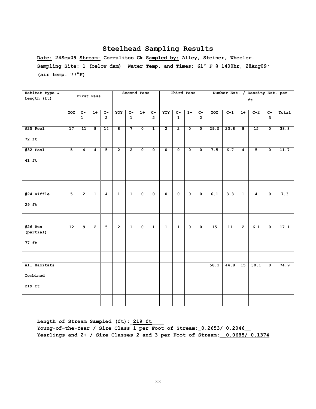**Date: 24Sep09 Stream: Corralitos Ck Sampled by: Alley, Steiner, Wheeler. Sampling Site: 1 (below dam) Water Temp. and Times: 61° F @ 1400hr, 28Aug09; (air temp. 77°F)**

| Habitat type &         |                 | First Pass                     |                |                                  |                         | Second Pass           |                           |                                    |                         | Third Pass                     |                         |                                  |      | Number Est. / Density Est. per |                |                |                           |                   |
|------------------------|-----------------|--------------------------------|----------------|----------------------------------|-------------------------|-----------------------|---------------------------|------------------------------------|-------------------------|--------------------------------|-------------------------|----------------------------------|------|--------------------------------|----------------|----------------|---------------------------|-------------------|
| Length (ft)            |                 |                                |                |                                  |                         |                       |                           |                                    |                         |                                |                         |                                  |      |                                |                | ft             |                           |                   |
|                        |                 |                                |                |                                  |                         |                       |                           |                                    |                         |                                |                         |                                  |      |                                |                |                |                           |                   |
|                        | YOY             | $\overline{c}$<br>$\mathbf{1}$ | $1+$           | $\overline{c}$<br>$\overline{2}$ | YOY                     | $C -$<br>$\mathbf{1}$ | $1+$                      | $\overline{c}$ -<br>$\overline{2}$ | YOY                     | $\overline{c}$<br>$\mathbf{1}$ | $1+$                    | $\overline{C}$<br>$\overline{2}$ | YOY  | $C-1$                          | $1+$           | $C-2$          | $C-$<br>3                 | Total             |
|                        |                 |                                |                |                                  |                         |                       |                           |                                    |                         |                                |                         |                                  |      |                                |                |                |                           |                   |
| $#25$ Pool             | $\overline{17}$ | 11                             | 8              | $\overline{14}$                  | $\overline{\mathbf{8}}$ | $\overline{7}$        | $\overline{\mathfrak{o}}$ | $\overline{1}$                     | $\overline{2}$          | $\overline{2}$                 | 0                       | $\mathbf 0$                      | 29.5 | 23.8                           | $\overline{8}$ | 15             | $\overline{\mathfrak{o}}$ | 38.8              |
| 72 ft                  |                 |                                |                |                                  |                         |                       |                           |                                    |                         |                                |                         |                                  |      |                                |                |                |                           |                   |
| $#32$ Pool             | $\overline{5}$  | 4                              | 4              | $\overline{5}$                   | $\overline{2}$          | $\overline{2}$        | $\overline{\mathfrak{o}}$ | $\overline{\mathfrak{o}}$          | $\overline{0}$          | $\overline{0}$                 | $\overline{0}$          | $\mathbf 0$                      | 7.5  | 6.7                            | $\overline{4}$ | $\overline{5}$ | $\overline{\mathfrak{o}}$ | 11.7              |
| 41 ft                  |                 |                                |                |                                  |                         |                       |                           |                                    |                         |                                |                         |                                  |      |                                |                |                |                           |                   |
|                        |                 |                                |                |                                  |                         |                       |                           |                                    |                         |                                |                         |                                  |      |                                |                |                |                           |                   |
|                        |                 |                                |                |                                  |                         |                       |                           |                                    |                         |                                |                         |                                  |      |                                |                |                |                           |                   |
| #24 Riffle             | $\overline{5}$  | $\overline{2}$                 | $\overline{1}$ | $\overline{\mathbf{4}}$          | $\overline{1}$          | $\mathbf{1}$          | $\overline{\mathbf{0}}$   | $\overline{\mathbf{0}}$            | $\overline{\mathbf{0}}$ | $\overline{\mathbf{0}}$        | $\overline{\mathbf{0}}$ | 0                                | 6.1  | 3.3                            | $\overline{1}$ | 4              | $\overline{\mathbf{0}}$   | 7.3               |
| $29$ ft                |                 |                                |                |                                  |                         |                       |                           |                                    |                         |                                |                         |                                  |      |                                |                |                |                           |                   |
|                        |                 |                                |                |                                  |                         |                       |                           |                                    |                         |                                |                         |                                  |      |                                |                |                |                           |                   |
| $#26$ Run<br>(partial) | 12              | $\overline{9}$                 | $\overline{2}$ | 5                                | $\overline{2}$          | $\overline{1}$        | $\mathbf 0$               | $\overline{1}$                     | $\overline{1}$          | $\overline{1}$                 | $\overline{\mathbf{0}}$ | $\mathbf 0$                      | 15   | $\overline{11}$                | $\overline{2}$ | 6.1            | $\overline{\mathbf{0}}$   | $\overline{17.1}$ |
| 77 ft                  |                 |                                |                |                                  |                         |                       |                           |                                    |                         |                                |                         |                                  |      |                                |                |                |                           |                   |
|                        |                 |                                |                |                                  |                         |                       |                           |                                    |                         |                                |                         |                                  |      |                                |                |                |                           |                   |
| All Habitats           |                 |                                |                |                                  |                         |                       |                           |                                    |                         |                                |                         |                                  | 58.1 | 44.8                           | 15             | 30.1           | $\overline{\mathbf{0}}$   | 74.9              |
| Combined               |                 |                                |                |                                  |                         |                       |                           |                                    |                         |                                |                         |                                  |      |                                |                |                |                           |                   |
| 219 ft                 |                 |                                |                |                                  |                         |                       |                           |                                    |                         |                                |                         |                                  |      |                                |                |                |                           |                   |
|                        |                 |                                |                |                                  |                         |                       |                           |                                    |                         |                                |                         |                                  |      |                                |                |                |                           |                   |

**Length of Stream Sampled (ft):\_219 ft\_\_\_\_ Young-of-the-Year / Size Class 1 per Foot of Stream:\_0.2653/ 0.2046\_\_ Yearlings and 2+ / Size Classes 2 and 3 per Foot of Stream:\_\_0.0685/ 0.1374**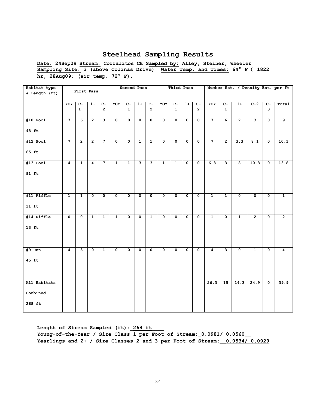**Date: 24Sep09 Stream: Corralitos Ck Sampled by: Alley, Steiner, Wheeler Sampling Site: 3 (above Colinas Drive) Water Temp. and Times: 64° F @ 1822 hr, 28Aug09; (air temp. 72° F).** 

| Habitat type<br>& Length (ft)      |                 | First Pass           |                |                         |                         | Second Pass           |                         |                         |                         | Third Pass                     |                         |                         |                 |                         |                         |                           |                                 | Number Est. / Density Est. per ft |
|------------------------------------|-----------------|----------------------|----------------|-------------------------|-------------------------|-----------------------|-------------------------|-------------------------|-------------------------|--------------------------------|-------------------------|-------------------------|-----------------|-------------------------|-------------------------|---------------------------|---------------------------------|-----------------------------------|
|                                    | YOY             | $C-$<br>$\mathbf{1}$ | $1+$           | $c-$<br>$\overline{2}$  | YOY                     | $C -$<br>$\mathbf{1}$ | $1+$                    | $c-$<br>$\overline{2}$  | YOY                     | $\overline{c}$<br>$\mathbf{1}$ | $1+$                    | $C-$<br>$\overline{2}$  | YOY             | $C -$<br>$\mathbf{1}$   | $1+$                    | $C-2$                     | $\mathbf{C}-$<br>$\overline{3}$ | Total                             |
| $#10$ Pool<br>43 ft                | $7\overline{ }$ | 6                    | $\overline{2}$ | $\overline{\mathbf{3}}$ | 0                       | $\mathbf 0$           | $\mathbf 0$             | $\mathbf 0$             | 0                       | 0                              | $\mathbf 0$             | $\mathbf 0$             | $\overline{7}$  | 6                       | $\overline{2}$          | 3                         | $\overline{\mathbf{0}}$         | 9                                 |
| $#12$ Pool<br>65 ft                | $7\phantom{.}$  | $\overline{2}$       | $\overline{2}$ | $\overline{7}$          | $\mathbf 0$             | $\mathbf 0$           | $\mathbf{1}$            | $\mathbf{1}$            | $\mathbf 0$             | 0                              | $\mathbf 0$             | $\mathbf 0$             | $7\phantom{.0}$ | $\overline{2}$          | 3.3                     | 8.1                       | $\overline{\mathbf{0}}$         | 10.1                              |
| $#13$ Pool<br>$91$ ft              | 4               | $\mathbf{1}$         | 4              | $\overline{7}$          | $\mathbf{1}$            | $\mathbf{1}$          | $\overline{\mathbf{3}}$ | $\overline{\mathbf{3}}$ | $\mathbf{1}$            | $\mathbf{1}$                   | $\overline{\mathbf{0}}$ | $\overline{\mathbf{0}}$ | 6.3             | $\overline{\mathbf{3}}$ | $\overline{8}$          | 10.8                      | $\overline{\mathfrak{o}}$       | 13.8                              |
|                                    |                 |                      |                |                         |                         |                       |                         |                         |                         |                                |                         |                         |                 |                         |                         |                           |                                 |                                   |
| #11 Riffle<br>$11$ ft              | $\mathbf{1}$    | $\mathbf{1}$         | 0              | $\overline{\mathbf{0}}$ | $\overline{\mathbf{0}}$ | $\mathbf 0$           | $\overline{\mathbf{0}}$ | 0                       | $\overline{\mathbf{0}}$ | $\overline{\mathfrak{o}}$      | $\overline{\mathbf{0}}$ | $\overline{\mathbf{0}}$ | $\overline{1}$  | $\overline{1}$          | $\overline{\mathbf{0}}$ | $\overline{\mathfrak{o}}$ | $\overline{\mathfrak{o}}$       | $\overline{1}$                    |
| #14 Riffle<br>$13$ ft              | $\mathbf 0$     | $\mathbf 0$          | $\overline{1}$ | $\overline{1}$          | $\overline{1}$          | $\mathbf 0$           | $\mathbf 0$             | $\mathbf{1}$            | $\mathbf 0$             | $\mathbf 0$                    | $\mathbf 0$             | $\mathbf 0$             | $\overline{1}$  | $\mathbf 0$             | $\overline{1}$          | $\overline{2}$            | $\mathbf 0$                     | $\overline{2}$                    |
|                                    |                 |                      |                |                         |                         |                       |                         |                         |                         |                                |                         |                         |                 |                         |                         |                           |                                 |                                   |
| $#9$ Run<br>$45$ ft                | 4               | 3                    | 0              | $\mathbf{1}$            | $\overline{\mathbf{0}}$ | 0                     | $\mathbf 0$             | $\mathbf 0$             | $\mathbf 0$             | 0                              | $\mathbf 0$             | $\overline{\mathbf{0}}$ | 4               | 3                       | $\overline{\mathbf{0}}$ | $\mathbf{1}$              | $\overline{\mathbf{0}}$         | 4                                 |
|                                    |                 |                      |                |                         |                         |                       |                         |                         |                         |                                |                         |                         |                 |                         |                         |                           |                                 |                                   |
| All Habitats<br>Combined<br>268 ft |                 |                      |                |                         |                         |                       |                         |                         |                         |                                |                         |                         | 26.3            | $\overline{15}$         | 14.3                    | 24.9                      | $\mathbf 0$                     | 39.9                              |

Length of Stream Sampled (ft): 268 ft **Young-of-the-Year / Size Class 1 per Foot of Stream:\_0.0981/ 0.0560\_\_ Yearlings and 2+ / Size Classes 2 and 3 per Foot of Stream:\_\_0.0534/ 0.0929**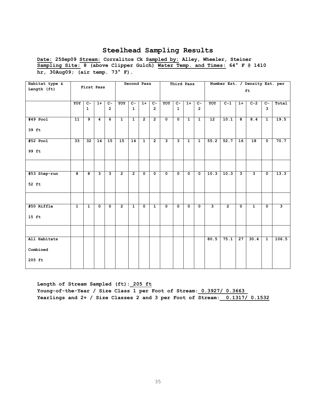**Date: 25Sep09 Stream: Corralitos Ck Sampled by: Alley, Wheeler, Steiner Sampling Site: 8 (above Clipper Gulch) Water Temp. and Times: 64° F @ 1410 hr, 30Aug09; (air temp. 73° F).** 

| Habitat type & |                | First Pass     |              |                         |                | Second Pass    |                |                |                         |                | Third Pass              |                |                 |                   |                         | Number Est. / Density Est. per |                         |       |
|----------------|----------------|----------------|--------------|-------------------------|----------------|----------------|----------------|----------------|-------------------------|----------------|-------------------------|----------------|-----------------|-------------------|-------------------------|--------------------------------|-------------------------|-------|
| Length (ft)    |                |                |              |                         |                |                |                |                |                         |                |                         |                |                 |                   |                         | ft                             |                         |       |
|                | YOY            | $C -$          | $1+$         | $c-$                    | YOY            | $C-$           | $1+$           | $c-$           | YOY                     | $C-$           | $1+$                    | $c-$           | YOY             | $c-1$             | $1+$                    | $C-2$                          | $C -$                   | Total |
|                |                | $\mathbf{1}$   |              | $\overline{2}$          |                | $\mathbf{1}$   |                | $\overline{2}$ |                         | $\mathbf{1}$   |                         | $\overline{2}$ |                 |                   |                         |                                | $\overline{3}$          |       |
| $#49$ Pool     | 11             | $\overline{9}$ | 4            | $\overline{6}$          | $\mathbf{1}$   | $\overline{1}$ | $\overline{2}$ | $\overline{2}$ | $\overline{0}$          | $\overline{0}$ | $\overline{1}$          | $\overline{1}$ | $\overline{12}$ | 10.1              | $\overline{8}$          | 8.4                            | $\overline{1}$          | 19.5  |
| 39 ft          |                |                |              |                         |                |                |                |                |                         |                |                         |                |                 |                   |                         |                                |                         |       |
| $#52$ Pool     | 33             | 32             | 14           | 15                      | 15             | 14             | $\mathbf{1}$   | $\overline{2}$ | $\overline{\mathbf{3}}$ | $\overline{3}$ | $\mathbf{1}$            | $\mathbf{1}$   | 55.2            | $\overline{52.7}$ | 16                      | 18                             | $\mathbf 0$             | 70.7  |
| 99 ft          |                |                |              |                         |                |                |                |                |                         |                |                         |                |                 |                   |                         |                                |                         |       |
|                |                |                |              |                         |                |                |                |                |                         |                |                         |                |                 |                   |                         |                                |                         |       |
| #53 Step-run   | 8              | 8              | $\mathbf{3}$ | $\overline{\mathbf{3}}$ | $\overline{2}$ | $\overline{2}$ | $\mathbf 0$    | $\mathbf 0$    | $\mathbf 0$             | $\mathbf 0$    | $\mathbf{o}$            | $\mathbf 0$    | 10.3            | 10.3              | $\mathbf{3}$            | $\overline{3}$                 | $\mathbf 0$             | 13.3  |
| 52 ft          |                |                |              |                         |                |                |                |                |                         |                |                         |                |                 |                   |                         |                                |                         |       |
|                |                |                |              |                         |                |                |                |                |                         |                |                         |                |                 |                   |                         |                                |                         |       |
| #50 Riffle     | $\overline{1}$ | $\overline{1}$ | $\mathbf 0$  | $\mathbf{o}$            | $\overline{2}$ | $\overline{1}$ | $\mathbf 0$    | $\mathbf{1}$   | $\mathbf{0}$            | $\mathbf 0$    | $\overline{\mathbf{0}}$ | $\mathbf{0}$   | ن               | $\overline{2}$    | $\overline{\mathbf{0}}$ | $\overline{1}$                 | $\overline{\mathbf{0}}$ | 3     |
| $15$ ft        |                |                |              |                         |                |                |                |                |                         |                |                         |                |                 |                   |                         |                                |                         |       |
|                |                |                |              |                         |                |                |                |                |                         |                |                         |                |                 |                   |                         |                                |                         |       |
| All Habitats   |                |                |              |                         |                |                |                |                |                         |                |                         |                | 80.5            | 75.1              | 27                      | 30.4                           | $\mathbf{1}$            | 106.5 |
| Combined       |                |                |              |                         |                |                |                |                |                         |                |                         |                |                 |                   |                         |                                |                         |       |
| 205 ft         |                |                |              |                         |                |                |                |                |                         |                |                         |                |                 |                   |                         |                                |                         |       |

**Length of Stream Sampled (ft):\_205 ft Young-of-the-Year / Size Class 1 per Foot of Stream:\_0.3927/ 0.3663\_ Yearlings and 2+ / Size Classes 2 and 3 per Foot of Stream:\_\_0.1317/ 0.1532**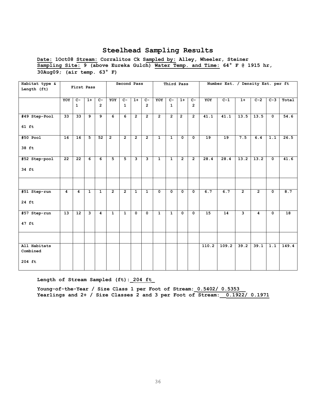**Date: 1Oct08 Stream: Corralitos Ck Sampled by: Alley, Wheeler, Steiner Sampling Site: 9 (above Eureka Gulch) Water Temp. and Time: 64° F @ 1915 hr, 30Aug09; (air temp. 63° F)** 

| Habitat type &<br>Length (ft)      |                | First Pass            |                         |                         |                | Second Pass           |                |                         |                      | Third Pass            |                         |                         |                   | Number Est. / Density Est. per ft |                |                         |                         |                 |
|------------------------------------|----------------|-----------------------|-------------------------|-------------------------|----------------|-----------------------|----------------|-------------------------|----------------------|-----------------------|-------------------------|-------------------------|-------------------|-----------------------------------|----------------|-------------------------|-------------------------|-----------------|
|                                    | YOY            | $C -$<br>$\mathbf{1}$ | $1+$                    | $C -$<br>$\overline{2}$ | YOY            | $C -$<br>$\mathbf{1}$ | $1+$           | $C -$<br>$\overline{2}$ | YOY                  | $C -$<br>$\mathbf{1}$ | $1+$                    | $C-$<br>$\overline{2}$  | YOY               | $C-1$                             | $1+$           | $C-2$                   | $C-3$                   | Total           |
| #49 Step-Pool<br>$61$ ft           | 33             | 33                    | 9                       | $\overline{9}$          | 6              | 6                     | $\overline{2}$ | $\overline{2}$          | $\overline{2}$       | $\overline{2}$        | $\overline{2}$          | $\overline{2}$          | $\overline{41}.1$ | 41.1                              | 13.5           | 13.5                    | $\mathbf 0$             | 54.6            |
| $#50$ Pool<br>38 ft                | 16             | 16                    | 5                       | 52                      | $\overline{2}$ | $\overline{2}$        | $\overline{2}$ | $\overline{2}$          | $\mathbf{1}$         | $\mathbf{1}$          | $\mathbf{0}$            | $\mathbf{0}$            | 19                | $\overline{19}$                   | 7.5            | 6.4                     | 1.1                     | 26.5            |
| #52 Step-pool<br>34 ft             | 22             | 22                    | 6                       | 6                       | 5              | $\overline{5}$        | $\mathbf{3}$   | $\overline{\mathbf{3}}$ | $\mathbf{1}$         | $\mathbf{1}$          | $\overline{2}$          | $\overline{2}$          | 28.4              | 28.4                              | 13.2           | $\overline{13.2}$       | $\mathbf{o}$            | 41.6            |
|                                    |                |                       |                         |                         |                |                       |                |                         |                      |                       |                         |                         |                   |                                   |                |                         |                         |                 |
| #51 Step-run<br>24 ft              | $\overline{4}$ | $\overline{4}$        | $\mathbf{1}$            | $\overline{1}$          | $\overline{2}$ | $\overline{2}$        | $\overline{1}$ | $\overline{1}$          | $\overline{\bullet}$ | $\overline{0}$        | $\overline{\mathbf{0}}$ | $\overline{\mathbf{0}}$ | 6.7               | 6.7                               | $\overline{2}$ | $\overline{2}$          | $\overline{\mathbf{0}}$ | 8.7             |
| #57 Step-run<br>47 ft              | 13             | 12                    | $\overline{\mathbf{3}}$ | $\overline{4}$          | $\mathbf{1}$   | $\mathbf{1}$          | $\Omega$       | $\mathbf 0$             | $\mathbf{1}$         | $\mathbf{1}$          | $\mathbf{0}$            | $\mathbf{0}$            | $\overline{15}$   | $\overline{14}$                   | 3              | $\overline{\mathbf{4}}$ | $\mathbf 0$             | $\overline{18}$ |
|                                    |                |                       |                         |                         |                |                       |                |                         |                      |                       |                         |                         |                   |                                   |                |                         |                         |                 |
| All Habitats<br>Combined<br>204 ft |                |                       |                         |                         |                |                       |                |                         |                      |                       |                         |                         | 110.2             | 109.2                             | 39.2           | 39.1                    | 1.1                     | 149.4           |
|                                    |                |                       |                         |                         |                |                       |                |                         |                      |                       |                         |                         |                   |                                   |                |                         |                         |                 |

#### **Length of Stream Sampled (ft):\_204 ft\_**

**Young-of-the-Year / Size Class 1 per Foot of Stream:\_0.5402/ 0.5353\_\_** Yearlings and 2+ / Size Classes 2 and 3 per Foot of Stream:  $0.1922/ 0.1971$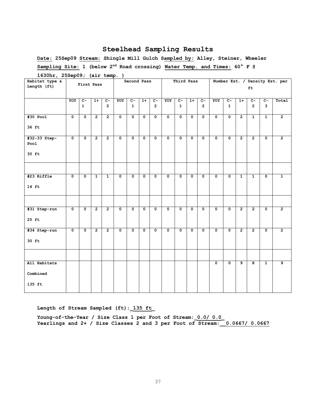**Date: 25Sep09 Stream: Shingle Mill Gulch Sampled by: Alley, Steiner, Wheeler Sampling Site: 1 (below 2nd Road crossing) Water Temp. and Times: 60° F @** 

| $\mathbf{r}$<br>Habitat type & |                         | $-1$ . $\cdot$ . $\cdot$ |                | - <b>1</b> ·   |                      | Second Pass             |              |                         |                         | Third Pass   |                         |                         |                         |                         |                |                         |                         | Number Est. / Density Est. per |
|--------------------------------|-------------------------|--------------------------|----------------|----------------|----------------------|-------------------------|--------------|-------------------------|-------------------------|--------------|-------------------------|-------------------------|-------------------------|-------------------------|----------------|-------------------------|-------------------------|--------------------------------|
| Length (ft)                    |                         | First Pass               |                |                |                      |                         |              |                         |                         |              |                         |                         |                         |                         |                | ft                      |                         |                                |
|                                |                         |                          |                |                |                      |                         |              |                         |                         |              |                         |                         |                         |                         |                |                         |                         |                                |
|                                | YOY                     | $C-$                     | $1+$           | $C-$           | YOY                  | $C -$                   | $1+$         | $C-$                    | YOY                     | $C-$         | $1+$                    | $C -$                   | YOY                     | $C -$                   | $1+$           | $c-$                    | $C-$                    | Total                          |
|                                |                         | $\mathbf{1}$             |                | $\overline{2}$ |                      | $\mathbf{1}$            |              | $\overline{2}$          |                         | $\mathbf{1}$ |                         | $\overline{2}$          |                         | $\mathbf{1}$            |                | $\overline{2}$          | $\overline{3}$          |                                |
| $#30$ Pool                     | $\mathbf 0$             | $\overline{\mathbf{0}}$  | $\overline{2}$ | $\overline{2}$ | $\mathbf 0$          | $\overline{\mathbf{0}}$ | $\mathbf 0$  | $\overline{\mathbf{0}}$ | $\overline{\mathbf{0}}$ | $\mathbf{o}$ | $\overline{\mathbf{0}}$ | $\overline{\mathbf{0}}$ | 0                       | $\mathbf 0$             | $\overline{2}$ | $\mathbf{1}$            | $\mathbf{1}$            | $\overline{2}$                 |
| 36 ft                          |                         |                          |                |                |                      |                         |              |                         |                         |              |                         |                         |                         |                         |                |                         |                         |                                |
| #32-33 Step-                   | $\mathbf 0$             | $\overline{\mathbf{0}}$  | $\overline{2}$ | $\overline{2}$ | $\mathbf 0$          | $\mathbf 0$             | $\mathbf 0$  | $\mathbf 0$             | $\overline{\mathbf{0}}$ | $\mathbf 0$  | $\mathbf 0$             | 0                       | 0                       | $\mathbf 0$             | $\overline{2}$ | $\overline{2}$          | 0                       | $\mathbf{2}$                   |
| Pool                           |                         |                          |                |                |                      |                         |              |                         |                         |              |                         |                         |                         |                         |                |                         |                         |                                |
| 30 ft                          |                         |                          |                |                |                      |                         |              |                         |                         |              |                         |                         |                         |                         |                |                         |                         |                                |
|                                |                         |                          |                |                |                      |                         |              |                         |                         |              |                         |                         |                         |                         |                |                         |                         |                                |
| #23 Riffle                     | $\overline{\mathbf{0}}$ | $\overline{\mathbf{0}}$  | $\mathbf{1}$   | $\mathbf{1}$   | $\mathbf 0$          | $\overline{\mathbf{0}}$ | $\mathbf{0}$ | $\overline{\mathbf{0}}$ | $\overline{\mathbf{0}}$ | $\mathbf 0$  | $\mathbf{o}$            | $\mathbf 0$             | $\overline{\mathbf{0}}$ | $\mathbf 0$             | $\mathbf{1}$   | $\mathbf{1}$            | $\mathbf 0$             | $\mathbf{1}$                   |
| $14 \text{ ft}$                |                         |                          |                |                |                      |                         |              |                         |                         |              |                         |                         |                         |                         |                |                         |                         |                                |
|                                |                         |                          |                |                |                      |                         |              |                         |                         |              |                         |                         |                         |                         |                |                         |                         |                                |
| #31 Step-run                   | $\overline{\bullet}$    | $\overline{\mathbf{0}}$  | $\overline{2}$ | $\overline{2}$ | $\mathbf 0$          | $\mathbf 0$             | $\mathbf{o}$ | $\mathbf 0$             | $\overline{\mathbf{0}}$ | $\mathbf 0$  | $\mathbf 0$             | $\overline{\mathbf{0}}$ | $\mathbf{o}$            | $\mathbf 0$             | $\overline{2}$ | $\overline{2}$          | $\mathbf 0$             | $\overline{2}$                 |
| $25$ ft                        |                         |                          |                |                |                      |                         |              |                         |                         |              |                         |                         |                         |                         |                |                         |                         |                                |
| #34 Step-run                   | $\overline{\mathbf{0}}$ | $\overline{\mathbf{0}}$  | $\overline{2}$ | $\overline{2}$ | $\overline{\bullet}$ | $\overline{\mathbf{0}}$ | $\mathbf 0$  | $\overline{\bullet}$    | $\overline{\bullet}$    | $\mathbf 0$  | $\overline{\bullet}$    | $\overline{\bullet}$    | $\overline{\bullet}$    | $\overline{\mathbf{0}}$ | $\overline{2}$ | $\overline{2}$          | $\overline{\mathbf{0}}$ | $\overline{2}$                 |
| $30$ ft                        |                         |                          |                |                |                      |                         |              |                         |                         |              |                         |                         |                         |                         |                |                         |                         |                                |
|                                |                         |                          |                |                |                      |                         |              |                         |                         |              |                         |                         |                         |                         |                |                         |                         |                                |
| All Habitats                   |                         |                          |                |                |                      |                         |              |                         |                         |              |                         |                         | $\overline{\mathbf{0}}$ | $\overline{\mathbf{0}}$ | $\overline{9}$ | $\overline{\mathbf{g}}$ | $\mathbf{1}$            | $\overline{9}$                 |
| Combined                       |                         |                          |                |                |                      |                         |              |                         |                         |              |                         |                         |                         |                         |                |                         |                         |                                |
| 135 ft                         |                         |                          |                |                |                      |                         |              |                         |                         |              |                         |                         |                         |                         |                |                         |                         |                                |

**1630hr, 25Sep09; (air temp. )**

**Length of Stream Sampled (ft):\_135 ft\_**

**Young-of-the-Year / Size Class 1 per Foot of Stream:\_0.0/ 0.0\_ Yearlings and 2+ / Size Classes 2 and 3 per Foot of Stream:\_\_0.0667/ 0.0667**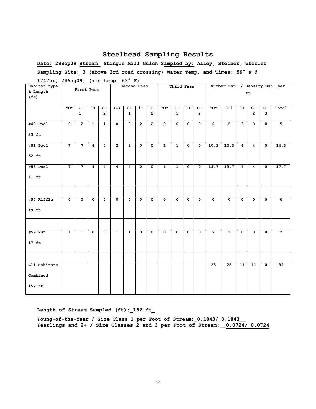**Date: 28Sep09 Stream: Shingle Mill Gulch Sampled by: Alley, Steiner, Wheeler Sampling Site: 3 (above 3rd road crossing) Water Temp. and Times: 59° F @** 

| $\frac{1}{2}$ , $\frac{1}{2}$ , $\frac{1}{2}$ , $\frac{1}{2}$ , $\frac{1}{2}$ , $\frac{1}{2}$ , $\frac{1}{2}$ , $\frac{1}{2}$ , $\frac{1}{2}$<br>Habitat type |                      |                         |                         |                  |                         | Second Pass    |                      |                |                      | Third Pass           |                         |                |                      | Number Est. / Density Est. per |                         |                 |                      |                         |
|---------------------------------------------------------------------------------------------------------------------------------------------------------------|----------------------|-------------------------|-------------------------|------------------|-------------------------|----------------|----------------------|----------------|----------------------|----------------------|-------------------------|----------------|----------------------|--------------------------------|-------------------------|-----------------|----------------------|-------------------------|
| & Length                                                                                                                                                      |                      | First Pass              |                         |                  |                         |                |                      |                |                      |                      |                         |                |                      |                                |                         | ft.             |                      |                         |
| (f <sub>t</sub> )                                                                                                                                             |                      |                         |                         |                  |                         |                |                      |                |                      |                      |                         |                |                      |                                |                         |                 |                      |                         |
|                                                                                                                                                               | YOY                  | $\overline{c}$          | $1+$                    | $C-$             | YOY                     | $C -$          | $1+$                 | $C -$          | YOY                  | $\overline{c}$       | $1+$                    | $C-$           | YOY                  | $\overline{C-1}$               | $1+$                    | $c-$            | $c-$                 | Total                   |
|                                                                                                                                                               |                      | $\mathbf{1}$            |                         | $\overline{2}$   |                         | $\mathbf{1}$   |                      | $\overline{2}$ |                      | $\mathbf{1}$         |                         | $\overline{2}$ |                      |                                |                         | $\overline{2}$  | $\mathbf{3}$         |                         |
| $#49$ Pool                                                                                                                                                    | $\overline{2}$       | $\overline{2}$          | $\overline{1}$          | $\overline{1}$   | $\overline{\bullet}$    | $\mathbf 0$    | $\overline{2}$       | $\overline{2}$ | $\overline{\bullet}$ | $\overline{\bullet}$ | $\overline{\bullet}$    | $\mathbf{0}$   | $\overline{2}$       | $\overline{2}$                 | ىر                      | د               | $\overline{\bullet}$ | 5                       |
| $23$ ft                                                                                                                                                       |                      |                         |                         |                  |                         |                |                      |                |                      |                      |                         |                |                      |                                |                         |                 |                      |                         |
| $#51$ Pool                                                                                                                                                    | $\overline{7}$       | $\overline{7}$          | $\overline{\mathbf{4}}$ | $\overline{4}$   | $\overline{2}$          | $\overline{2}$ | $\overline{\bullet}$ | $\mathbf{0}$   | $\mathbf{1}$         | $\mathbf{1}$         | $\overline{0}$          | $\mathbf{0}$   | 10.3                 | 10.3                           | $\overline{\mathbf{4}}$ | $\overline{4}$  | $\mathbf{0}$         | 14.3                    |
| 52 ft                                                                                                                                                         |                      |                         |                         |                  |                         |                |                      |                |                      |                      |                         |                |                      |                                |                         |                 |                      |                         |
| $#53$ Pool                                                                                                                                                    | $\overline{7}$       | $\overline{7}$          | 4                       | $\boldsymbol{4}$ | $\overline{4}$          | 4              | $\mathbf 0$          | $\mathbf 0$    | $\mathbf{1}$         | $\mathbf{1}$         | $\overline{\bullet}$    | $\mathbf 0$    | 13.7                 | 13.7                           | $\overline{4}$          | $\overline{4}$  | $\mathbf 0$          | 17.7                    |
| $41$ ft                                                                                                                                                       |                      |                         |                         |                  |                         |                |                      |                |                      |                      |                         |                |                      |                                |                         |                 |                      |                         |
|                                                                                                                                                               |                      |                         |                         |                  |                         |                |                      |                |                      |                      |                         |                |                      |                                |                         |                 |                      |                         |
| #50 Riffle                                                                                                                                                    | $\overline{\bullet}$ | $\overline{\mathbf{0}}$ | $\mathbf 0$             | $\mathbf 0$      | $\overline{\mathbf{0}}$ | $\mathbf{o}$   | $\mathbf 0$          | $\mathbf{0}$   | $\mathbf 0$          | $\mathbf{o}$         | $\overline{\mathbf{0}}$ | $\mathbf 0$    | $\overline{\bullet}$ | $\Omega$                       | $\mathbf 0$             | $\mathbf{o}$    | $\mathbf 0$          | $\overline{\mathbf{0}}$ |
| $19$ ft                                                                                                                                                       |                      |                         |                         |                  |                         |                |                      |                |                      |                      |                         |                |                      |                                |                         |                 |                      |                         |
|                                                                                                                                                               |                      |                         |                         |                  |                         |                |                      |                |                      |                      |                         |                |                      |                                |                         |                 |                      |                         |
| #59 Run                                                                                                                                                       | $\overline{1}$       | $\overline{1}$          | $\mathbf 0$             | $\mathbf 0$      | $\mathbf{1}$            | $\mathbf{1}$   | $\mathbf 0$          | $\mathbf 0$    | $\mathbf 0$          | $\overline{\bullet}$ | $\overline{\mathbf{0}}$ | $\mathbf{0}$   | $\overline{2}$       | $\overline{2}$                 | $\mathbf 0$             | $\mathbf 0$     | $\mathbf{o}$         | $\overline{2}$          |
| $17$ ft                                                                                                                                                       |                      |                         |                         |                  |                         |                |                      |                |                      |                      |                         |                |                      |                                |                         |                 |                      |                         |
|                                                                                                                                                               |                      |                         |                         |                  |                         |                |                      |                |                      |                      |                         |                |                      |                                |                         |                 |                      |                         |
| All Habitats                                                                                                                                                  |                      |                         |                         |                  |                         |                |                      |                |                      |                      |                         |                | 28                   | 28                             | $\overline{11}$         | $\overline{11}$ | $\mathbf 0$          | 39                      |
| Combined                                                                                                                                                      |                      |                         |                         |                  |                         |                |                      |                |                      |                      |                         |                |                      |                                |                         |                 |                      |                         |
| 152 ft                                                                                                                                                        |                      |                         |                         |                  |                         |                |                      |                |                      |                      |                         |                |                      |                                |                         |                 |                      |                         |

**1747hr, 24Aug09; (air temp. 63° F)**

**Length of Stream Sampled (ft):\_152 ft\_**

Young-of-the-Year / Size Class 1 per Foot of Stream:  $0.1843/0.1843$ **Yearlings and 2+ / Size Classes 2 and 3 per Foot of Stream:\_\_0.0724/ 0.0724**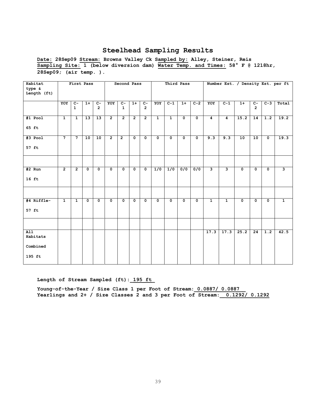**Date: 28Sep09 Stream: Browns Valley Ck Sampled by: Alley, Steiner, Reis Sampling Site: 1 (below diversion dam) Water Temp. and Times: 58° F @ 1218hr, 28Sep09; (air temp. ).** 

| Habitat                               |                | First Pass           |                         |                        | Second Pass             |                      |                |                        | Third Pass     |                |                         |                           | Number Est. / Density Est. per ft |                         |                |                         |                  |                |
|---------------------------------------|----------------|----------------------|-------------------------|------------------------|-------------------------|----------------------|----------------|------------------------|----------------|----------------|-------------------------|---------------------------|-----------------------------------|-------------------------|----------------|-------------------------|------------------|----------------|
| type &<br>Length (ft)                 |                |                      |                         |                        |                         |                      |                |                        |                |                |                         |                           |                                   |                         |                |                         |                  |                |
|                                       | YOY            | $C-$<br>$\mathbf{1}$ | $1+$                    | $c-$<br>$\overline{2}$ | YOY                     | $C-$<br>$\mathbf{1}$ | $1+$           | $c-$<br>$\overline{2}$ | YOY            | $C-1$          | $1+$                    | $C-2$                     | YOY                               | $C-1$                   | $1+$           | $C -$<br>$\overline{2}$ | $C-3$            | Total          |
| #1 Pool<br>65 ft                      | $\mathbf{1}$   | $\overline{1}$       | 13                      | $\overline{13}$        | $\overline{2}$          | $\overline{2}$       | $\overline{2}$ | $\overline{2}$         | $\mathbf{1}$   | $\overline{1}$ | $\overline{\mathbf{0}}$ | $\overline{\mathfrak{o}}$ | $\overline{4}$                    | 4                       | 15.2           | $\overline{14}$         | $\overline{1.2}$ | 19.2           |
| #3 Pool<br>57 ft                      | $\overline{7}$ | $\overline{7}$       | 10                      | 10                     | $\overline{2}$          | $\overline{2}$       | 0              | $\mathbf 0$            | $\mathbf 0$    | $\mathbf 0$    | $\overline{\mathbf{0}}$ | $\overline{\mathbf{0}}$   | 9.3                               | 9.3                     | 10             | 10                      | $\mathbf{o}$     | 19.3           |
|                                       |                |                      |                         |                        |                         |                      |                |                        |                |                |                         |                           |                                   |                         |                |                         |                  |                |
| $#2$ Run<br>$16$ ft                   | $\overline{2}$ | $\overline{2}$       | $\mathbf 0$             | $\mathbf 0$            | $\mathbf 0$             | $\mathbf{0}$         | $\mathbf{0}$   | $\mathbf 0$            | 1/0            | 1/0            | $\overline{0/0}$        | $\overline{0/0}$          | $\overline{\mathbf{3}}$           | $\overline{\mathbf{3}}$ | $\mathbf 0$    | $\mathbf 0$             | $\mathbf 0$      | 3              |
|                                       |                |                      |                         |                        |                         |                      |                |                        |                |                |                         |                           |                                   |                         |                |                         |                  |                |
| #4 Riffle-<br>57 ft                   | $\overline{1}$ | $\overline{1}$       | $\overline{\mathbf{0}}$ | $\overline{0}$         | $\overline{\mathbf{0}}$ | $\overline{0}$       | $\overline{0}$ | $\overline{0}$         | $\overline{0}$ | $\overline{0}$ | $\overline{\mathbf{0}}$ | $\overline{\mathbf{0}}$   | $\overline{1}$                    | $\overline{1}$          | $\overline{0}$ | $\overline{\mathbf{0}}$ | $\overline{0}$   | $\overline{1}$ |
|                                       |                |                      |                         |                        |                         |                      |                |                        |                |                |                         |                           |                                   |                         |                |                         |                  |                |
| AI1<br>Habitats<br>Combined<br>195 ft |                |                      |                         |                        |                         |                      |                |                        |                |                |                         |                           | 17.3                              | 17.3                    | 25.2           | $\overline{24}$         | 1.2              | 42.5           |

#### **Length of Stream Sampled (ft):\_195 ft\_**

**Young-of-the-Year / Size Class 1 per Foot of Stream:\_0.0887/ 0.0887\_\_ Yearlings and 2+ / Size Classes 2 and 3 per Foot of Stream:\_\_0.1292/ 0.1292**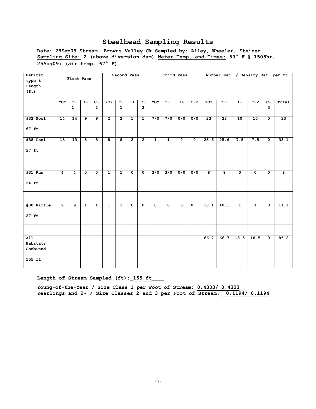**Date: 28Sep09 Stream: Browns Valley Ck Sampled by: Alley, Wheeler, Steiner Sampling Site: 2 (above diversion dam) Water Temp. and Times: 59° F @ 1505hr, 25Aug09; (air temp. 67° F).** 

| Habitat           |                |                  |                |                | Second Pass             |                  |                         |                  | Third Pass              |                  |                         |                         | Number Est. / Density Est. per ft |       |                |                |                           |       |
|-------------------|----------------|------------------|----------------|----------------|-------------------------|------------------|-------------------------|------------------|-------------------------|------------------|-------------------------|-------------------------|-----------------------------------|-------|----------------|----------------|---------------------------|-------|
| type &            | First Pass     |                  |                |                |                         |                  |                         |                  |                         |                  |                         |                         |                                   |       |                |                |                           |       |
| Length            |                |                  |                |                |                         |                  |                         |                  |                         |                  |                         |                         |                                   |       |                |                |                           |       |
| (f <sub>t</sub> ) |                |                  |                |                |                         |                  |                         |                  |                         |                  |                         |                         |                                   |       |                |                |                           |       |
|                   |                |                  |                |                |                         |                  |                         |                  |                         |                  |                         |                         |                                   |       |                |                |                           |       |
|                   | YOY            | $\overline{c}$ - | $1+$           | $\overline{C}$ | YOY                     | $\overline{c}$ - | $1+$                    | $\overline{c}$ - | YOY                     | $C-1$            | $1+$                    | $C-2$                   | YOY                               | $C-1$ | $1+$           | $C-2$          | $\overline{c}$ -          | Total |
|                   |                | $\mathbf{1}$     |                | $\overline{2}$ |                         | $\mathbf{1}$     |                         | $\overline{2}$   |                         |                  |                         |                         |                                   |       |                |                | 3                         |       |
|                   |                |                  |                |                |                         |                  |                         |                  |                         |                  |                         |                         |                                   |       |                |                |                           |       |
| $#32$ Pool        | 14             | 14               | 9              | $\overline{9}$ | $\overline{2}$          | $\overline{2}$   | $\overline{1}$          | $\overline{1}$   | 7/0                     | 7/0              | 0/0                     | 0/0                     | 23                                | 23    | 10             | 10             | $\overline{\mathfrak{o}}$ | 33    |
|                   |                |                  |                |                |                         |                  |                         |                  |                         |                  |                         |                         |                                   |       |                |                |                           |       |
| 67 ft             |                |                  |                |                |                         |                  |                         |                  |                         |                  |                         |                         |                                   |       |                |                |                           |       |
|                   |                |                  |                |                |                         |                  |                         |                  |                         |                  |                         |                         |                                   |       |                |                |                           |       |
| #38 Pool          | 13             | $\overline{13}$  | $\overline{5}$ | $\overline{5}$ | $\overline{\mathbf{8}}$ | $\overline{8}$   | $\overline{2}$          | $\overline{2}$   | $\overline{1}$          | $\overline{1}$   | $\overline{0}$          | $\overline{\mathbf{0}}$ | 25.6                              | 25.6  | 7.5            | 7.5            | $\overline{\mathbf{0}}$   | 33.1  |
|                   |                |                  |                |                |                         |                  |                         |                  |                         |                  |                         |                         |                                   |       |                |                |                           |       |
| 37 ft             |                |                  |                |                |                         |                  |                         |                  |                         |                  |                         |                         |                                   |       |                |                |                           |       |
|                   |                |                  |                |                |                         |                  |                         |                  |                         |                  |                         |                         |                                   |       |                |                |                           |       |
|                   |                |                  |                |                |                         |                  |                         |                  |                         |                  |                         |                         |                                   |       |                |                |                           |       |
|                   |                |                  |                |                |                         |                  |                         |                  |                         |                  |                         |                         |                                   |       |                |                |                           |       |
| #31 Run           | 4              | 4                | $\mathbf 0$    | $\mathbf 0$    | $\mathbf{1}$            | $\mathbf{1}$     | $\mathbf 0$             | $\mathbf 0$      | $\overline{3/0}$        | $\overline{3/0}$ | 0/0                     | $\overline{0/0}$        | 8                                 | 8     | $\mathbf 0$    | $\mathbf 0$    | $\mathbf 0$               | 8     |
|                   |                |                  |                |                |                         |                  |                         |                  |                         |                  |                         |                         |                                   |       |                |                |                           |       |
| 24 ft             |                |                  |                |                |                         |                  |                         |                  |                         |                  |                         |                         |                                   |       |                |                |                           |       |
|                   |                |                  |                |                |                         |                  |                         |                  |                         |                  |                         |                         |                                   |       |                |                |                           |       |
|                   |                |                  |                |                |                         |                  |                         |                  |                         |                  |                         |                         |                                   |       |                |                |                           |       |
|                   |                |                  |                |                |                         |                  |                         |                  |                         |                  |                         |                         |                                   |       |                |                |                           |       |
| #30 Riffle        | $\overline{9}$ | 9                | $\overline{1}$ | $\overline{1}$ | $\overline{1}$          | $\overline{1}$   | $\overline{\mathbf{0}}$ | $\mathbf 0$      | $\overline{\mathbf{0}}$ | $\mathbf 0$      | $\overline{\mathbf{0}}$ | $\overline{\mathbf{0}}$ | 10.1                              | 10.1  | $\overline{1}$ | $\overline{1}$ | $\overline{\mathbf{0}}$   | 11.1  |
|                   |                |                  |                |                |                         |                  |                         |                  |                         |                  |                         |                         |                                   |       |                |                |                           |       |
| $27$ ft           |                |                  |                |                |                         |                  |                         |                  |                         |                  |                         |                         |                                   |       |                |                |                           |       |
|                   |                |                  |                |                |                         |                  |                         |                  |                         |                  |                         |                         |                                   |       |                |                |                           |       |
|                   |                |                  |                |                |                         |                  |                         |                  |                         |                  |                         |                         |                                   |       |                |                |                           |       |
|                   |                |                  |                |                |                         |                  |                         |                  |                         |                  |                         |                         |                                   |       |                |                |                           |       |
| $\overline{A11}$  |                |                  |                |                |                         |                  |                         |                  |                         |                  |                         |                         | 66.7                              | 66.7  | 18.5           | 18.5           | $\mathbf{o}$              | 85.2  |
| Habitats          |                |                  |                |                |                         |                  |                         |                  |                         |                  |                         |                         |                                   |       |                |                |                           |       |
| Combined          |                |                  |                |                |                         |                  |                         |                  |                         |                  |                         |                         |                                   |       |                |                |                           |       |
|                   |                |                  |                |                |                         |                  |                         |                  |                         |                  |                         |                         |                                   |       |                |                |                           |       |
| 155 ft            |                |                  |                |                |                         |                  |                         |                  |                         |                  |                         |                         |                                   |       |                |                |                           |       |
|                   |                |                  |                |                |                         |                  |                         |                  |                         |                  |                         |                         |                                   |       |                |                |                           |       |

**Length of Stream Sampled (ft):\_155 ft\_\_\_\_**

Young-of-the-Year / Size Class 1 per Foot of Stream:  $0.4303/0.4303$ **Yearlings and 2+ / Size Classes 2 and 3 per Foot of Stream:\_\_0.1194/ 0.1194**